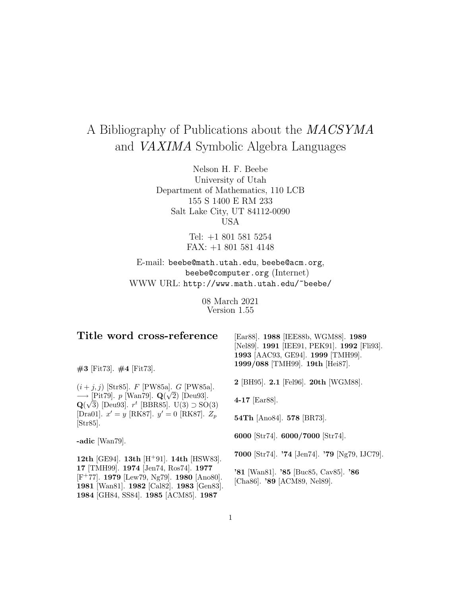# A Bibliography of Publications about the MACSYMA and VAXIMA Symbolic Algebra Languages

Nelson H. F. Beebe University of Utah Department of Mathematics, 110 LCB 155 S 1400 E RM 233 Salt Lake City, UT 84112-0090 USA

> Tel: +1 801 581 5254 FAX: +1 801 581 4148

E-mail: beebe@math.utah.edu, beebe@acm.org, beebe@computer.org (Internet) WWW URL: http://www.math.utah.edu/~beebe/

> 08 March 2021 Version 1.55

| Title word cross-reference                                                                                                                                                                             | [Ear88]. 1988 [IEE88b, WGM88]. 1989<br>[Nel89]. 1991 [IEE91, PEK91]. 1992 [Fli93].<br>1993 [AAC93, GE94]. 1999 [TMH99]. |
|--------------------------------------------------------------------------------------------------------------------------------------------------------------------------------------------------------|-------------------------------------------------------------------------------------------------------------------------|
| $#3$ [Fit73]. $#4$ [Fit73].                                                                                                                                                                            | 1999/088 [TMH99]. 19th [Hei87].                                                                                         |
| $(i + j, j)$ [Str85]. F [PW85a]. G [PW85a].                                                                                                                                                            | 2 [BH95]. 2.1 [Fel96]. 20th [WGM88].                                                                                    |
| $\longrightarrow$ [Pit79]. p [Wan79]. $\mathbf{Q}(\sqrt{2})$ [Deu93].<br>$\mathbf{Q}(\sqrt{3})$ [Deu93]. $r^t$ [BBR85]. U(3) $\supset$ SO(3)                                                           | 4-17 [ $Ear 88$ ].                                                                                                      |
| [Dra01]. $x' = y$ [RK87]. $y' = 0$ [RK87]. $Z_p$<br>[Str85].                                                                                                                                           | 54Th [Ano84]. 578 [BR73].                                                                                               |
| -adic [ $Wan79$ ].                                                                                                                                                                                     | 6000 [Str74]. 6000/7000 [Str74].                                                                                        |
| 12th [GE94]. 13th [H <sup>+</sup> 91]. 14th [HSW83].                                                                                                                                                   | 7000 [Str74]. '74 [Jen74]. '79 [Ng79, IJC79].                                                                           |
| 17 [TMH99]. 1974 [Jen74, Ros74]. 1977<br>[ $F$ <sup>+</sup> 77]. <b>1979</b> [Lew79, Ng79]. <b>1980</b> [Ano80].<br>1981 [Wan81]. 1982 [Cal82]. 1983 [Gen83].<br>1984 [GH84, SS84]. 1985 [ACM85]. 1987 | '81 [Wan81]. '85 [Buc85, Cav85]. '86<br>[Cha86]. '89 [ACM89, Nel89].                                                    |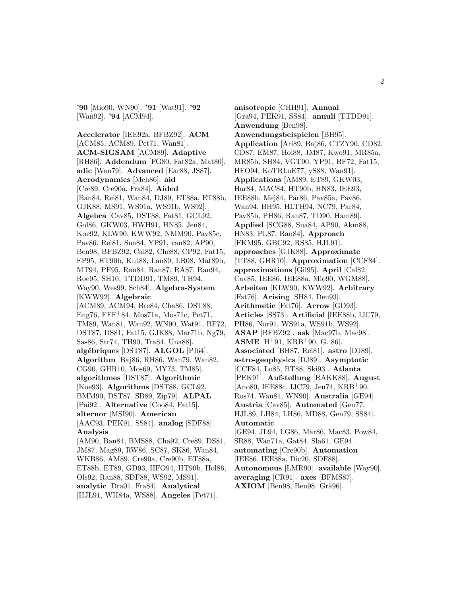**'90** [Mio90, WN90]. **'91** [Wat91]. **'92** [Wan92]. **'94** [ACM94].

**Accelerator** [IEE92a, BFBZ92]. **ACM** [ACM85, ACM89, Pet71, Wan81]. **ACM-SIGSAM** [ACM89]. **Adaptive** [RH86]. **Addendum** [FG80, Fat82a, Mat80]. **adic** [Wan79]. **Advanced** [Ear88, JS87]. **Aerodynamics** [Meh86]. **aid** [Cre89, Cre90a, Fra84]. **Aided** [Ban84, Rei81, Wan84, DJ89, ET88a, ET88b, GJK88, MS91, WS91a, WS91b, WS92]. **Algebra** [Cav85, DST88, Fat81, GCL92, Gol86, GKW03, HWH91, HN85, Jen84, Koe92, KLW90, KWW92, NMM90, Pav85c, Pav86, Rei81, Sua84, YP91, van82, AP90, Ben98, BFBZ92, Cal82, Che88, CP92, Fat15, FP95, HT90b, Kut88, Lan89, LR08, Mat89b, MT94, PF95, Ran84, Ran87, RA87, Ran94, Roe95, SH10, TTDD91, TM89, TH94, Way90, Wes99, Sch84]. **Algebra-System** [KWW92]. **Algebraic** [ACM89, ACM94, Bre84, Cha86, DST88, Eng76, FFF<sup>+</sup>84, Mos71a, Mos71c, Pet71, TM89, Wan81, Wan92, WN90, Wat91, BF72, DST87, DS81, Fat15, GJK88, Mar71b, Ng79, Sas86, Str74, TH90, Tra84, Una88]. **alg´ebriques** [DST87]. **ALGOL** [PI64]. **Algorithm** [Baj86, RH86, Wan79, Wan82, CG90, GHR10, Mos69, MY73, TM85]. **algorithmes** [DST87]. **Algorithmic** [Koe93]. **Algorithms** [DST88, GCL92, BMM90, DST87, SB89, Zip79]. **ALPAL** [Pai92]. **Alternative** [Coo84, Fat15]. **alternor** [MSI90]. **American** [AAC93, PEK91, SS84]. **analog** [SDF88]. **Analysis** [AM90, Ban84, BMS88, Cha92, Cre89, DS81, JM87, Mag89, RW86, SC87, SK86, Wan84, WKB86, AM89, Cre90a, Cre90b, ET88a, ET88b, ET89, GD93, HFO94, HT90b, Hol86, Ols92, Ran88, SDF88, WS92, MS91]. **analytic** [Dra01, Fra84]. **Analytical** [HJL91, WH84a, WS88]. **Angeles** [Pet71].

**anisotropic** [CHH91]. **Annual** [Gra94, PEK91, SS84]. **annuli** [TTDD91]. **Anwendung** [Ben98]. **Anwendungsbeispielen** [BH95]. **Application** [Ari89, Baj86, CTZY90, CD82, CD87, EM87, Hol88, JM87, Kwo91, MR85a, MR85b, SH84, VGT90, YP91, BF72, Fat15, HFO94, KoTRLoE77, yS88, Wan91]. **Applications** [AM89, ET89, GKW03, Har84, MAC84, HT90b, HN83, IEE93, IEE88b, Mej84, Par86, Pav85a, Pav86, Wan94, BH95, HLTH94, NC79, Par84, Pav85b, PH86, Ran87, TD90, Ham89]. **Applied** [SCG88, Sua84, AP90, Akm88, HN83, PL87, Ran84]. **Approach** [FKM95, GBC92, RS85, HJL91]. **approaches** [GJK88]. **Approximate** [TT88, GHR10]. **Approximation** [CCF84]. **approximations** [Gil95]. **April** [Cal82, Cav85, IEE86, IEE88a, Mio90, WGM88]. **Arbeiten** [KLW90, KWW92]. **Arbitrary** [Fat76]. **Arising** [SH84, Deu93]. **Arithmetic** [Fat76]. **Arrow** [GD93]. **Articles** [SS73]. **Artificial** [IEE88b, IJC79, PH86, Nor91, WS91a, WS91b, WS92]. **ASAP** [BFBZ92]. **ask** [Mac97b, Mac98]. **ASME** [H<sup>+</sup>91, KRB<sup>+</sup>90, G. 86]. **Associated** [BH87, Rei81]. **astro** [DJ89]. **astro-geophysics** [DJ89]. **Asymptotic** [CCF84, Lo85, BT88, Ski93]. **Atlanta** [PEK91]. **Aufstellung** [RAKK88]. **August** [Ano80, IEE88c, IJC79, Jen74, KRB<sup>+</sup>90, Ros74, Wan81, WN90]. **Australia** [GE94]. **Austria** [Cav85]. **Automated** [Gen77, HJL89, LH84, LH86, MD88, Gen79, SS84]. **Automatic** [GE94, JL94, LG86, Mår86, Mac83, Pow84, SR88, Wan71a, Gat84, Sla61, GE94]. **automating** [Cre90b]. **Automation** [IEE86, IEE88a, Dic20, SDF88]. **Autonomous** [LMR90]. **available** [Way90]. **averaging** [CR91]. **axes** [BFMS87]. **AXIOM** [Ben98, Ben98, Grä96].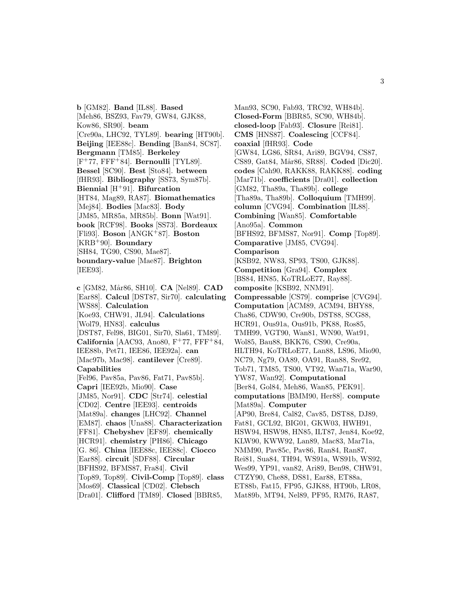**b** [GM82]. **Band** [IL88]. **Based** [Meh86, BSZ93, Fav79, GW84, GJK88, Kow86, SR90]. **beam** [Cre90a, LHC92, TYL89]. **bearing** [HT90b]. **Beijing** [IEE88c]. **Bending** [Ban84, SC87]. **Bergmann** [TM85]. **Berkeley** [F<sup>+</sup>77, FFF<sup>+</sup>84]. **Bernoulli** [TYL89]. **Bessel** [SC90]. **Best** [Sto84]. **between** [fHR93]. **Bibliography** [SS73, Sym87b]. **Biennial** [H<sup>+</sup>91]. **Bifurcation** [HT84, Mag89, RA87]. **Biomathematics** [Mej84]. **Bodies** [Mac83]. **Body** [JM85, MR85a, MR85b]. **Bonn** [Wat91]. **book** [RCF98]. **Books** [SS73]. **Bordeaux** [Fli93]. **Boson** [ANGK<sup>+</sup>87]. **Boston** [KRB<sup>+</sup>90]. **Boundary** [SH84, TG90, CS90, Mae87]. **boundary-value** [Mae87]. **Brighton** [IEE93].

**c** [GM82, M˚ar86, SH10]. **CA** [Nel89]. **CAD** [Ear88]. **Calcul** [DST87, Sir70]. **calculating** [WS88]. **Calculation** [Koe93, CHW91, JL94]. **Calculations** [Wol79, HN83]. **calculus** [DST87, Fel98, BIG01, Sir70, Sla61, TM89]. **California** [AAC93, Ano80,  $F^+77$ ,  $FFF^+84$ , IEE88b, Pet71, IEE86, IEE92a]. **can** [Mac97b, Mac98]. **cantilever** [Cre89]. **Capabilities** [Fel96, Pav85a, Pav86, Fat71, Pav85b]. **Capri** [IEE92b, Mio90]. **Case** [JM85, Nor91]. **CDC** [Str74]. **celestial** [CD02]. **Centre** [IEE93]. **centroids** [Mat89a]. **changes** [LHC92]. **Channel** [EM87]. **chaos** [Una88]. **Characterization** [FF81]. **Chebyshev** [EF89]. **chemically** [HCR91]. **chemistry** [PH86]. **Chicago** [G. 86]. **China** [IEE88c, IEE88c]. **Ciocco** [Ear88]. **circuit** [SDF88]. **Circular** [BFHS92, BFMS87, Fra84]. **Civil** [Top89, Top89]. **Civil-Comp** [Top89]. **class** [Mos69]. **Classical** [CD02]. **Clebsch** [Dra01]. **Clifford** [TM89]. **Closed** [BBR85,

Man93, SC90, Fab93, TRC92, WH84b]. **Closed-Form** [BBR85, SC90, WH84b]. **closed-loop** [Fab93]. **Closure** [Rei81]. **CMS** [HNS87]. **Coalescing** [CCF84]. **coaxial** [fHR93]. **Code** [GW84, LG86, SR84, Ari89, BGV94, CS87, CS89, Gat84, Mår86, SR88]. **Coded** [Dic20]. **codes** [Cah90, RAKK88, RAKK88]. **coding** [Mar71b]. **coefficients** [Dra01]. **collection** [GM82, Tha89a, Tha89b]. **college** [Tha89a, Tha89b]. **Colloquium** [TMH99]. **column** [CVG94]. **Combination** [IL88]. **Combining** [Wan85]. **Comfortable** [Ano95a]. **Common** [BFHS92, BFMS87, Nor91]. **Comp** [Top89]. **Comparative** [JM85, CVG94]. **Comparison** [KSB92, NW83, SP93, TS00, GJK88]. **Competition** [Gra94]. **Complex** [BS84, HN85, KoTRLoE77, Ray88]. **composite** [KSB92, NNM91]. **Compressable** [CS79]. **comprise** [CVG94]. **Computation** [ACM89, ACM94, BHY88, Cha86, CDW90, Cre90b, DST88, SCG88, HCR91, Ous91a, Ous91b, PK88, Ros85, TMH99, VGT90, Wan81, WN90, Wat91, Wol85, Bau88, BKK76, CS90, Cre90a, HLTH94, KoTRLoE77, Lan88, LS96, Mio90, NC79, Ng79, OA89, OA91, Ran88, Sre92, Tob71, TM85, TS00, VT92, Wan71a, War90, YW87, Wan92]. **Computational** [Ber84, Gol84, Meh86, Wan85, PEK91]. **computations** [BMM90, Her88]. **compute** [Mat89a]. **Computer** [AP90, Bre84, Cal82, Cav85, DST88, DJ89, Fat81, GCL92, BIG01, GKW03, HWH91, HSW94, HSW98, HN85, ILT87, Jen84, Koe92, KLW90, KWW92, Lan89, Mac83, Mar71a, NMM90, Pav85c, Pav86, Ran84, Ran87, Rei81, Sua84, TH94, WS91a, WS91b, WS92, Wes99, YP91, van82, Ari89, Ben98, CHW91, CTZY90, Che88, DS81, Ear88, ET88a, ET88b, Fat15, FP95, GJK88, HT90b, LR08, Mat89b, MT94, Nel89, PF95, RM76, RA87,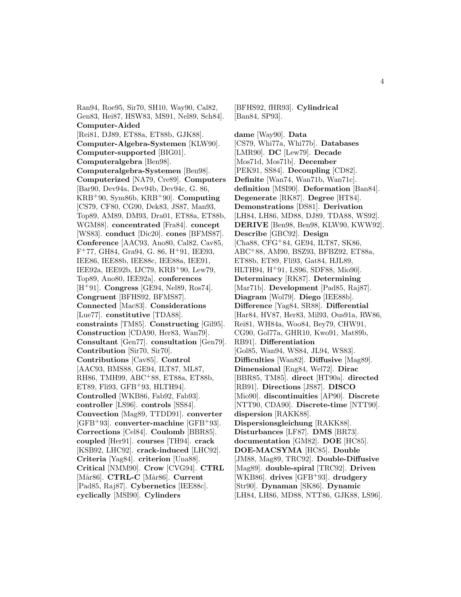Ran94, Roe95, Sir70, SH10, Way90, Cal82, Gen83, Hei87, HSW83, MS91, Nel89, Sch84]. **Computer-Aided** [Rei81, DJ89, ET88a, ET88b, GJK88]. **Computer-Algebra-Systemen** [KLW90]. **Computer-supported** [BIG01]. **Computeralgebra** [Ben98]. **Computeralgebra-Systemen** [Ben98]. **Computerized** [NA79, Cre89]. **Computers** [Bar90, Dev94a, Dev94b, Dev94c, G. 86, KRB<sup>+</sup>90, Sym86b, KRB<sup>+</sup>90]. **Computing** [CS79, CF80, CG90, Dek83, JS87, Man93, Top89, AM89, DM93, Dra01, ET88a, ET88b, WGM88]. **concentrated** [Fra84]. **concept** [WS83]. **conduct** [Dic20]. **cones** [BFMS87]. **Conference** [AAC93, Ano80, Cal82, Cav85, F<sup>+</sup>77, GH84, Gra94, G. 86, H<sup>+</sup>91, IEE93, IEE86, IEE88b, IEE88c, IEE88a, IEE91, IEE92a, IEE92b, IJC79, KRB<sup>+</sup>90, Lew79, Top89, Ano80, IEE92a]. **conferences** [H<sup>+</sup>91]. **Congress** [GE94, Nel89, Ros74]. **Congruent** [BFHS92, BFMS87]. **Connected** [Mac83]. **Considerations** [Lue77]. **constitutive** [TDA88]. **constraints** [TM85]. **Constructing** [Gil95]. **Construction** [CDA90, Her83, Wan79]. **Consultant** [Gen77]. **consultation** [Gen79]. **Contribution** [Sir70, Sir70]. **Contributions** [Cav85]. **Control** [AAC93, BMS88, GE94, ILT87, ML87, RH86, TMH99, ABC<sup>+</sup>88, ET88a, ET88b, ET89, Fli $93, GFB+93, HLTH94$ . **Controlled** [WKB86, Fab92, Fab93]. **controller** [LS96]. **controls** [SS84]. **Convection** [Mag89, TTDD91]. **converter** [GFB<sup>+</sup>93]. **converter-machine** [GFB<sup>+</sup>93]. **Corrections** [Cel84]. **Coulomb** [BBR85]. **coupled** [Her91]. **courses** [TH94]. **crack** [KSB92, LHC92]. **crack-induced** [LHC92]. **Criteria** [Yag84]. **criterion** [Una88]. **Critical** [NMM90]. **Crow** [CVG94]. **CTRL** [Mår86]. **CTRL-C** [Mår86]. **Current** [Pad85, Raj87]. **Cybernetics** [IEE88c]. **cyclically** [MSI90]. **Cylinders**

[BFHS92, fHR93]. **Cylindrical** [Ban84, SP93].

**dame** [Way90]. **Data** [CS79, Whi77a, Whi77b]. **Databases** [LMR90]. **DC** [Lew79]. **Decade** [Mos71d, Mos71b]. **December** [PEK91, SS84]. **Decoupling** [CD82]. **Definite** [Wan74, Wan71b, Wan71c]. **definition** [MSI90]. **Deformation** [Ban84]. **Degenerate** [RK87]. **Degree** [HT84]. **Demonstrations** [DS81]. **Derivation** [LH84, LH86, MD88, DJ89, TDA88, WS92]. **DERIVE** [Ben98, Ben98, KLW90, KWW92]. **Describe** [GBC92]. **Design** [Cha88, CFG<sup>+</sup>84, GE94, ILT87, SK86, ABC<sup>+</sup>88, AM90, BSZ93, BFBZ92, ET88a, ET88b, ET89, Fli93, Gat84, HJL89, HLTH94, H<sup>+</sup>91, LS96, SDF88, Mio90]. **Determinacy** [RK87]. **Determining** [Mar71b]. **Development** [Pad85, Raj87]. **Diagram** [Wol79]. **Diego** [IEE88b]. **Difference** [Yag84, SR88]. **Differential** [Har84, HV87, Her83, Mil93, Ous91a, RW86, Rei81, WH84a, Woo84, Bey79, CHW91, CG90, Gol77a, GHR10, Kwo91, Mat89b, RB91]. **Differentiation** [Gol85, Wan94, WS84, JL94, WS83]. **Difficulties** [Wan82]. **Diffusive** [Mag89]. **Dimensional** [Eng84, Wel72]. **Dirac** [BBR85, TM85]. **direct** [HT90a]. **directed** [RB91]. **Directions** [JS87]. **DISCO** [Mio90]. **discontinuities** [AP90]. **Discrete** [NTT90, CDA90]. **Discrete-time** [NTT90]. **dispersion** [RAKK88]. **Dispersionsgleichung** [RAKK88]. **Disturbances** [LF87]. **DMS** [BR73]. **documentation** [GM82]. **DOE** [HC85]. **DOE-MACSYMA** [HC85]. **Double** [JM88, Mag89, TRC92]. **Double-Diffusive** [Mag89]. **double-spiral** [TRC92]. **Driven** [WKB86]. **drives** [GFB<sup>+</sup>93]. **drudgery** [Str90]. **Dynaman** [SK86]. **Dynamic** [LH84, LH86, MD88, NTT86, GJK88, LS96].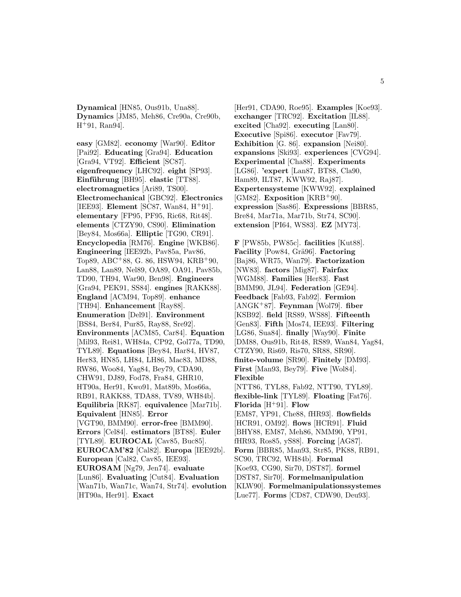**Dynamical** [HN85, Ous91b, Una88]. **Dynamics** [JM85, Meh86, Cre90a, Cre90b, H<sup>+</sup>91, Ran94].

**easy** [GM82]. **economy** [War90]. **Editor** [Pai92]. **Educating** [Gra94]. **Education** [Gra94, VT92]. **Efficient** [SC87]. **eigenfrequency** [LHC92]. **eight** [SP93]. Einführung [BH95]. **elastic** [TT88]. **electromagnetics** [Ari89, TS00]. **Electromechanical** [GBC92]. **Electronics** [IEE93]. **Element** [SC87, Wan84, H<sup>+</sup>91]. **elementary** [FP95, PF95, Ric68, Rit48]. **elements** [CTZY90, CS90]. **Elimination** [Bey84, Mos66a]. **Elliptic** [TG90, CR91]. **Encyclopedia** [RM76]. **Engine** [WKB86]. **Engineering** [IEE92b, Pav85a, Pav86, Top89, ABC<sup>+</sup>88, G. 86, HSW94, KRB<sup>+</sup>90, Lan88, Lan89, Nel89, OA89, OA91, Pav85b, TD90, TH94, War90, Ben98]. **Engineers** [Gra94, PEK91, SS84]. **engines** [RAKK88]. **England** [ACM94, Top89]. **enhance** [TH94]. **Enhancement** [Ray88]. **Enumeration** [Del91]. **Environment** [BS84, Ber84, Pur85, Ray88, Sre92]. **Environments** [ACM85, Car84]. **Equation** [Mil93, Rei81, WH84a, CP92, Gol77a, TD90, TYL89]. **Equations** [Bey84, Har84, HV87, Her83, HN85, LH84, LH86, Mac83, MD88, RW86, Woo84, Yag84, Bey79, CDA90, CHW91, DJ89, Fod78, Fra84, GHR10, HT90a, Her91, Kwo91, Mat89b, Mos66a, RB91, RAKK88, TDA88, TV89, WH84b]. **Equilibria** [RK87]. **equivalence** [Mar71b]. **Equivalent** [HN85]. **Error** [VGT90, BMM90]. **error-free** [BMM90]. **Errors** [Cel84]. **estimators** [BT88]. **Euler** [TYL89]. **EUROCAL** [Cav85, Buc85]. **EUROCAM'82** [Cal82]. **Europa** [IEE92b]. **European** [Cal82, Cav85, IEE93]. **EUROSAM** [Ng79, Jen74]. **evaluate** [Lun86]. **Evaluating** [Cut84]. **Evaluation** [Wan71b, Wan71c, Wan74, Str74]. **evolution** [HT90a, Her91]. **Exact**

[Her91, CDA90, Roe95]. **Examples** [Koe93]. **exchanger** [TRC92]. **Excitation** [IL88]. **excited** [Cha92]. **executing** [Lan80]. **Executive** [Spi86]. **executor** [Fav79]. **Exhibition** [G. 86]. **expansion** [Nei80]. **expansions** [Ski93]. **experiences** [CVG94]. **Experimental** [Cha88]. **Experiments** [LG86]. **'expert** [Lan87, BT88, Cla90, Ham89, ILT87, KWW92, Raj87]. **Expertensysteme** [KWW92]. **explained** [GM82]. **Exposition** [KRB<sup>+</sup>90]. **expression** [Sas86]. **Expressions** [BBR85, Bre84, Mar71a, Mar71b, Str74, SC90]. **extension** [PI64, WS83]. **EZ** [MY73].

**F** [PW85b, PW85c]. **facilities** [Kut88]. **Facility** [Pow84, Grä96]. **Factoring** [Baj86, WR75, Wan79]. **Factorization** [NW83]. **factors** [Mig87]. **Fairfax** [WGM88]. **Families** [Her83]. **Fast** [BMM90, JL94]. **Federation** [GE94]. **Feedback** [Fab93, Fab92]. **Fermion** [ANGK<sup>+</sup>87]. **Feynman** [Wol79]. **fiber** [KSB92]. **field** [RS89, WS88]. **Fifteenth** [Gen83]. **Fifth** [Mos74, IEE93]. **Filtering** [LG86, Sua84]. **finally** [Way90]. **Finite** [DM88, Ous91b, Rit48, RS89, Wan84, Yag84, CTZY90, Ris69, Ris70, SR88, SR90]. **finite-volume** [SR90]. **Finitely** [DM93]. **First** [Man93, Bey79]. **Five** [Wol84]. **Flexible** [NTT86, TYL88, Fab92, NTT90, TYL89]. **flexible-link** [TYL89]. **Floating** [Fat76]. **Florida** [H<sup>+</sup>91]. **Flow** [EM87, YP91, Che88, fHR93]. **flowfields** [HCR91, OM92]. **flows** [HCR91]. **Fluid** [BHY88, EM87, Meh86, NMM90, YP91, fHR93, Ros85, yS88]. **Forcing** [AG87]. **Form** [BBR85, Man93, Str85, PK88, RB91, SC90, TRC92, WH84b]. **Formal** [Koe93, CG90, Sir70, DST87]. **formel** [DST87, Sir70]. **Formelmanipulation** [KLW90]. **Formelmanipulationssystemes** [Lue77]. **Forms** [CD87, CDW90, Deu93].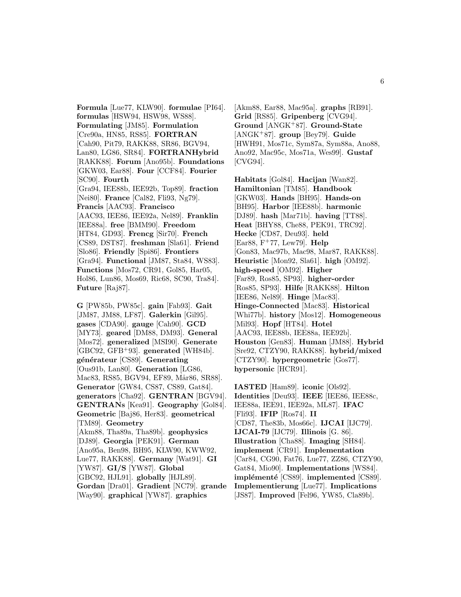**Formula** [Lue77, KLW90]. **formulae** [PI64]. **formulas** [HSW94, HSW98, WS88]. **Formulating** [JM85]. **Formulation** [Cre90a, HN85, RS85]. **FORTRAN** [Cah90, Pit79, RAKK88, SR86, BGV94, Lan80, LG86, SR84]. **FORTRANHybrid** [RAKK88]. **Forum** [Ano95b]. **Foundations** [GKW03, Ear88]. **Four** [CCF84]. **Fourier** [SC90]. **Fourth** [Gra94, IEE88b, IEE92b, Top89]. **fraction** [Nei80]. **France** [Cal82, Fli93, Ng79]. **Francis** [AAC93]. **Francisco** [AAC93, IEE86, IEE92a, Nel89]. **Franklin** [IEE88a]. **free** [BMM90]. **Freedom** [HT84, GD93]. **Frencg** [Sir70]. **French** [CS89, DST87]. **freshman** [Sla61]. **Friend** [Slo86]. **Friendly** [Spi86]. **Frontiers** [Gra94]. **Functional** [JM87, Sta84, WS83]. **Functions** [Mos72, CR91, Gol85, Har05, Hol86, Lun86, Mos69, Ric68, SC90, Tra84]. **Future** [Raj87].

**G** [PW85b, PW85c]. **gain** [Fab93]. **Gait** [JM87, JM88, LF87]. **Galerkin** [Gil95]. **gases** [CDA90]. **gauge** [Cah90]. **GCD** [MY73]. **geared** [DM88, DM93]. **General** [Mos72]. **generalized** [MSI90]. **Generate** [GBC92, GFB<sup>+</sup>93]. **generated** [WH84b]. **g´en´erateur** [CS89]. **Generating** [Ous91b, Lan80]. **Generation** [LG86, Mac83, RS85, BGV94, EF89, Mår86, SR88]. **Generator** [GW84, CS87, CS89, Gat84]. **generators** [Cha92]. **GENTRAN** [BGV94]. **GENTRANs** [Kea91]. **Geography** [Gol84]. **Geometric** [Baj86, Her83]. **geometrical** [TM89]. **Geometry** [Akm88, Tha89a, Tha89b]. **geophysics** [DJ89]. **Georgia** [PEK91]. **German** [Ano95a, Ben98, BH95, KLW90, KWW92, Lue77, RAKK88]. **Germany** [Wat91]. **GI** [YW87]. **GI/S** [YW87]. **Global** [GBC92, HJL91]. **globally** [HJL89]. **Gordan** [Dra01]. **Gradient** [NC79]. **grande** [Way90]. **graphical** [YW87]. **graphics**

[Akm88, Ear88, Mac95a]. **graphs** [RB91]. **Grid** [RS85]. **Gripenberg** [CVG94]. **Ground** [ANGK<sup>+</sup>87]. **Ground-State** [ANGK<sup>+</sup>87]. **group** [Bey79]. **Guide** [HWH91, Mos71c, Sym87a, Sym88a, Ano88, Ano92, Mac95c, Mos71a, Wes99]. **Gustaf** [CVG94].

**Habitats** [Gol84]. **Hacijan** [Wan82]. **Hamiltonian** [TM85]. **Handbook** [GKW03]. **Hands** [BH95]. **Hands-on** [BH95]. **Harbor** [IEE88b]. **harmonic** [DJ89]. **hash** [Mar71b]. **having** [TT88]. **Heat** [BHY88, Che88, PEK91, TRC92]. **Hecke** [CD87, Deu93]. **held** [Ear88, F<sup>+</sup>77, Lew79]. **Help** [Gon83, Mac97b, Mac98, Mar87, RAKK88]. **Heuristic** [Mon92, Sla61]. **high** [OM92]. **high-speed** [OM92]. **Higher** [Far89, Ros85, SP93]. **higher-order** [Ros85, SP93]. **Hilfe** [RAKK88]. **Hilton** [IEE86, Nel89]. **Hinge** [Mac83]. **Hinge-Connected** [Mac83]. **Historical** [Whi77b]. **history** [Mos12]. **Homogeneous** [Mil93]. **Hopf** [HT84]. **Hotel** [AAC93, IEE88b, IEE88a, IEE92b]. **Houston** [Gen83]. **Human** [JM88]. **Hybrid** [Sre92, CTZY90, RAKK88]. **hybrid/mixed** [CTZY90]. **hypergeometric** [Gos77]. **hypersonic** [HCR91].

**IASTED** [Ham89]. **iconic** [Ols92]. **Identities** [Deu93]. **IEEE** [IEE86, IEE88c, IEE88a, IEE91, IEE92a, ML87]. **IFAC** [Fli93]. **IFIP** [Ros74]. **II** [CD87, The83b, Mos66c]. **IJCAI** [IJC79]. **IJCAI-79** [IJC79]. **Illinois** [G. 86]. **Illustration** [Cha88]. **Imaging** [SH84]. **implement** [CR91]. **Implementation** [Car84, CG90, Fat76, Lue77, ZZ86, CTZY90, Gat84, Mio90]. **Implementations** [WS84]. **implémenté** [CS89]. **implemented** [CS89]. **Implementierung** [Lue77]. **Implications** [JS87]. **Improved** [Fel96, YW85, Cla89b].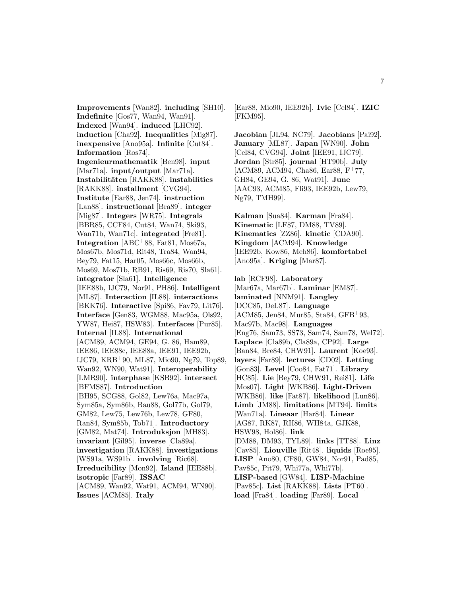**Improvements** [Wan82]. **including** [SH10]. **Indefinite** [Gos77, Wan94, Wan91]. **Indexed** [Wan94]. **induced** [LHC92]. **induction** [Cha92]. **Inequalities** [Mig87]. **inexpensive** [Ano95a]. **Infinite** [Cut84]. **Information** [Ros74]. **Ingenieurmathematik** [Ben98]. **input** [Mar71a]. **input/output** [Mar71a]. **Instabilit¨aten** [RAKK88]. **instabilities** [RAKK88]. **installment** [CVG94]. **Institute** [Ear88, Jen74]. **instruction** [Lan88]. **instructional** [Bra89]. **integer** [Mig87]. **Integers** [WR75]. **Integrals** [BBR85, CCF84, Cut84, Wan74, Ski93, Wan71b, Wan71c]. **integrated** [Fre81]. **Integration** [ABC<sup>+</sup>88, Fat81, Mos67a, Mos67b, Mos71d, Rit48, Tra84, Wan94, Bey79, Fat15, Har05, Mos66c, Mos66b, Mos69, Mos71b, RB91, Ris69, Ris70, Sla61]. **integrator** [Sla61]. **Intelligence** [IEE88b, IJC79, Nor91, PH86]. **Intelligent** [ML87]. **Interaction** [IL88]. **interactions** [BKK76]. **Interactive** [Spi86, Fav79, Lit76]. **Interface** [Gen83, WGM88, Mac95a, Ols92, YW87, Hei87, HSW83]. **Interfaces** [Pur85]. **Internal** [IL88]. **International** [ACM89, ACM94, GE94, G. 86, Ham89, IEE86, IEE88c, IEE88a, IEE91, IEE92b, IJC79, KRB<sup>+</sup>90, ML87, Mio90, Ng79, Top89, Wan92, WN90, Wat91]. **Interoperability** [LMR90]. **interphase** [KSB92]. **intersect** [BFMS87]. **Introduction** [BH95, SCG88, Gol82, Lew76a, Mac97a, Sym85a, Sym86b, Bau88, Gol77b, Gol79, GM82, Lew75, Lew76b, Lew78, GF80, Ran84, Sym85b, Tob71]. **Introductory** [GM82, Mat74]. **Introduksjon** [MH83]. **invariant** [Gil95]. **inverse** [Cla89a]. **investigation** [RAKK88]. **investigations** [WS91a, WS91b]. **involving** [Ric68]. **Irreducibility** [Mon92]. **Island** [IEE88b]. **isotropic** [Far89]. **ISSAC** [ACM89, Wan92, Wat91, ACM94, WN90]. **Issues** [ACM85]. **Italy**

[Ear88, Mio90, IEE92b]. **Ivie** [Cel84]. **IZIC** [FKM95].

**Jacobian** [JL94, NC79]. **Jacobians** [Pai92]. **January** [ML87]. **Japan** [WN90]. **John** [Cel84, CVG94]. **Joint** [IEE91, IJC79]. **Jordan** [Str85]. **journal** [HT90b]. **July** [ACM89, ACM94, Cha86, Ear88, F<sup>+</sup>77, GH84, GE94, G. 86, Wat91]. **June** [AAC93, ACM85, Fli93, IEE92b, Lew79, Ng79, TMH99].

**Kalman** [Sua84]. **Karman** [Fra84]. **Kinematic** [LF87, DM88, TV89]. **Kinematics** [ZZ86]. **kinetic** [CDA90]. **Kingdom** [ACM94]. **Knowledge** [IEE92b, Kow86, Meh86]. **komfortabel** [Ano95a]. **Kriging** [Mar87].

**lab** [RCF98]. **Laboratory** [Mar67a, Mar67b]. **Laminar** [EM87]. **laminated** [NNM91]. **Langley** [DCC85, DeL87]. **Language** [ACM85, Jen84, Mur85, Sta84, GFB<sup>+</sup>93, Mac97b, Mac98]. **Languages** [Eng76, Sam73, SS73, Sam74, Sam78, Wel72]. **Laplace** [Cla89b, Cla89a, CP92]. **Large** [Ban84, Bre84, CHW91]. **Laurent** [Koe93]. **layers** [Far89]. **lectures** [CD02]. **Letting** [Gon83]. **Level** [Coo84, Fat71]. **Library** [HC85]. **Lie** [Bey79, CHW91, Rei81]. **Life** [Mos07]. **Light** [WKB86]. **Light-Driven** [WKB86]. **like** [Fat87]. **likelihood** [Lun86]. **Limb** [JM88]. **limitations** [MT94]. **limits** [Wan71a]. **Lineaar** [Har84]. **Linear** [AG87, RK87, RH86, WH84a, GJK88, HSW98, Hol86]. **link** [DM88, DM93, TYL89]. **links** [TT88]. **Linz** [Cav85]. **Liouville** [Rit48]. **liquids** [Roe95]. **LISP** [Ano80, CF80, GW84, Nor91, Pad85, Pav85c, Pit79, Whi77a, Whi77b]. **LISP-based** [GW84]. **LISP-Machine** [Pav85c]. **List** [RAKK88]. **Lists** [PT60]. **load** [Fra84]. **loading** [Far89]. **Local**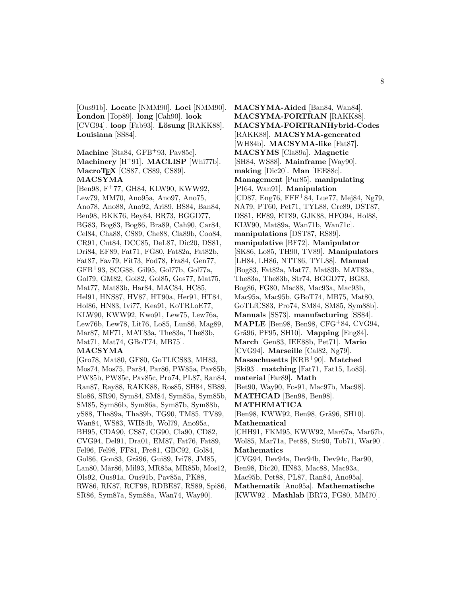[Ous91b]. **Locate** [NMM90]. **Loci** [NMM90]. **London** [Top89]. **long** [Cah90]. **look** [CVG94]. **loop** [Fab93]. **Lösung** [RAKK88]. **Louisiana** [SS84].

# **Machine** [Sta84, GFB<sup>+</sup>93, Pav85c]. **Machinery** [H<sup>+</sup>91]. **MACLISP** [Whi77b]. **MacroTEX** [CS87, CS89, CS89]. **MACSYMA**

[Ben98, F<sup>+</sup>77, GH84, KLW90, KWW92, Lew79, MM70, Ano95a, Ano97, Ano75, Ano78, Ano88, Ano92, Ari89, BS84, Ban84, Ben98, BKK76, Bey84, BR73, BGGD77, BG83, Bog83, Bog86, Bra89, Cah90, Car84, Cel84, Cha88, CS89, Che88, Cla89b, Coo84, CR91, Cut84, DCC85, DeL87, Dic20, DS81, Dri84, EF89, Fat71, FG80, Fat82a, Fat82b, Fat87, Fav79, Fit73, Fod78, Fra84, Gen77, GFB<sup>+</sup>93, SCG88, Gil95, Gol77b, Gol77a, Gol79, GM82, Gol82, Gol85, Gos77, Mat75, Mat77, Mat83b, Har84, MAC84, HC85, Hel91, HNS87, HV87, HT90a, Her91, HT84, Hol86, HN83, Ivi77, Kea91, KoTRLoE77, KLW90, KWW92, Kwo91, Lew75, Lew76a, Lew76b, Lew78, Lit76, Lo85, Lun86, Mag89, Mar87, MF71, MAT83a, The83a, The83b, Mat71, Mat74, GBoT74, MB75].

#### **MACSYMA**

[Gro78, Mat80, GF80, GoTLfCS83, MH83, Mos74, Mos75, Par84, Par86, PW85a, Pav85b, PW85b, PW85c, Pav85c, Pro74, PL87, Ran84, Ran87, Ray88, RAKK88, Ros85, SH84, SB89, Slo86, SR90, Sym84, SM84, Sym85a, Sym85b, SM85, Sym86b, Sym86a, Sym87b, Sym88b, yS88, Tha89a, Tha89b, TG90, TM85, TV89, Wan84, WS83, WH84b, Wol79, Ano95a, BH95, CDA90, CS87, CG90, Cla90, CD82, CVG94, Del91, Dra01, EM87, Fat76, Fat89, Fel96, Fel98, FF81, Fre81, GBC92, Gol84, Gol86, Gon83, Grä96, Gui89, Ivi78, JM85, Lan80, Mår86, Mil93, MR85a, MR85b, Mos12, Ols92, Ous91a, Ous91b, Pav85a, PK88, RW86, RK87, RCF98, RDBE87, RS89, Spi86, SR86, Sym87a, Sym88a, Wan74, Way90].

**MACSYMA-Aided** [Ban84, Wan84]. **MACSYMA-FORTRAN** [RAKK88]. **MACSYMA-FORTRANHybrid-Codes** [RAKK88]. **MACSYMA-generated** [WH84b]. **MACSYMA-like** [Fat87]. **MACSYMS** [Cla89a]. **Magnetic** [SH84, WS88]. **Mainframe** [Way90]. **making** [Dic20]. **Man** [IEE88c]. **Management** [Pur85]. **manipulating** [PI64, Wan91]. **Manipulation** [CD87, Eng76, FFF<sup>+</sup>84, Lue77, Mej84, Ng79, NA79, PT60, Pet71, TYL88, Cre89, DST87, DS81, EF89, ET89, GJK88, HFO94, Hol88, KLW90, Mat89a, Wan71b, Wan71c]. **manipulations** [DST87, RS89]. **manipulative** [BF72]. **Manipulator** [SK86, Lo85, TH90, TV89]. **Manipulators** [LH84, LH86, NTT86, TYL88]. **Manual** [Bog83, Fat82a, Mat77, Mat83b, MAT83a, The83a, The83b, Str74, BGGD77, BG83, Bog86, FG80, Mac88, Mac93a, Mac93b, Mac95a, Mac95b, GBoT74, MB75, Mat80, GoTLfCS83, Pro74, SM84, SM85, Sym88b]. **Manuals** [SS73]. **manufacturing** [SS84]. **MAPLE** [Ben98, Ben98, CFG<sup>+</sup>84, CVG94, Grä96, PF95, SH10]. **Mapping** [Eng84]. **March** [Gen83, IEE88b, Pet71]. **Mario** [CVG94]. **Marseille** [Cal82, Ng79]. **Massachusetts** [KRB<sup>+</sup>90]. **Matched** [Ski93]. **matching** [Fat71, Fat15, Lo85]. **material** [Far89]. **Math** [Bet90, Way90, Fos91, Mac97b, Mac98]. **MATHCAD** [Ben98, Ben98]. **MATHEMATICA** [Ben98, KWW92, Ben98, Grä96, SH10]. **Mathematical** [CHH91, FKM95, KWW92, Mar67a, Mar67b, Wol85, Mar71a, Pet88, Str90, Tob71, War90]. **Mathematics** [CVG94, Dev94a, Dev94b, Dev94c, Bar90, Ben98, Dic20, HN83, Mac88, Mac93a, Mac95b, Pet88, PL87, Ran84, Ano95a]. **Mathematik** [Ano95a]. **Mathematische** [KWW92]. **Mathlab** [BR73, FG80, MM70].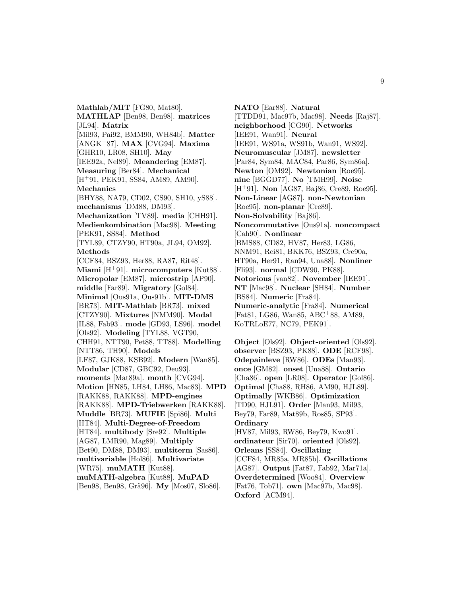**Mathlab/MIT** [FG80, Mat80]. **MATHLAP** [Ben98, Ben98]. **matrices** [JL94]. **Matrix** [Mil93, Pai92, BMM90, WH84b]. **Matter** [ANGK<sup>+</sup>87]. **MAX** [CVG94]. **Maxima** [GHR10, LR08, SH10]. **May** [IEE92a, Nel89]. **Meandering** [EM87]. **Measuring** [Ber84]. **Mechanical** [H<sup>+</sup>91, PEK91, SS84, AM89, AM90]. **Mechanics** [BHY88, NA79, CD02, CS90, SH10, yS88]. **mechanisms** [DM88, DM93]. **Mechanization** [TV89]. **media** [CHH91]. **Medienkombination** [Mac98]. **Meeting** [PEK91, SS84]. **Method** [TYL89, CTZY90, HT90a, JL94, OM92]. **Methods** [CCF84, BSZ93, Her88, RA87, Rit48]. **Miami** [H<sup>+</sup>91]. **microcomputers** [Kut88]. **Micropolar** [EM87]. **microstrip** [AP90]. **middle** [Far89]. **Migratory** [Gol84]. **Minimal** [Ous91a, Ous91b]. **MIT-DMS** [BR73]. **MIT-Mathlab** [BR73]. **mixed** [CTZY90]. **Mixtures** [NMM90]. **Modal** [IL88, Fab93]. **mode** [GD93, LS96]. **model** [Ols92]. **Modeling** [TYL88, VGT90, CHH91, NTT90, Pet88, TT88]. **Modelling** [NTT86, TH90]. **Models** [LF87, GJK88, KSB92]. **Modern** [Wan85]. **Modular** [CD87, GBC92, Deu93]. **moments** [Mat89a]. **month** [CVG94]. **Motion** [HN85, LH84, LH86, Mac83]. **MPD** [RAKK88, RAKK88]. **MPD-engines** [RAKK88]. **MPD-Triebwerken** [RAKK88]. **Muddle** [BR73]. **MUFIE** [Spi86]. **Multi** [HT84]. **Multi-Degree-of-Freedom** [HT84]. **multibody** [Sre92]. **Multiple** [AG87, LMR90, Mag89]. **Multiply** [Bet90, DM88, DM93]. **multiterm** [Sas86]. **multivariable** [Hol86]. **Multivariate** [WR75]. **muMATH** [Kut88]. **muMATH-algebra** [Kut88]. **MuPAD** [Ben98, Ben98, Grä96]. **My** [Mos07, Slo86].

**NATO** [Ear88]. **Natural** [TTDD91, Mac97b, Mac98]. **Needs** [Raj87]. **neighborhood** [CG90]. **Networks** [IEE91, Wan91]. **Neural** [IEE91, WS91a, WS91b, Wan91, WS92]. **Neuromuscular** [JM87]. **newsletter** [Par84, Sym84, MAC84, Par86, Sym86a]. **Newton** [OM92]. **Newtonian** [Roe95]. **nine** [BGGD77]. **No** [TMH99]. **Noise** [H<sup>+</sup>91]. **Non** [AG87, Baj86, Cre89, Roe95]. **Non-Linear** [AG87]. **non-Newtonian** [Roe95]. **non-planar** [Cre89]. **Non-Solvability** [Baj86]. **Noncommutative** [Ous91a]. **noncompact** [Cah90]. **Nonlinear** [BMS88, CD82, HV87, Her83, LG86, NNM91, Rei81, BKK76, BSZ93, Cre90a, HT90a, Her91, Ran94, Una88]. **Nonliner** [Fli93]. **normal** [CDW90, PK88]. **Notorious** [van82]. **November** [IEE91]. **NT** [Mac98]. **Nuclear** [SH84]. **Number** [BS84]. **Numeric** [Fra84]. **Numeric-analytic** [Fra84]. **Numerical** [Fat81, LG86, Wan85, ABC<sup>+</sup>88, AM89, KoTRLoE77, NC79, PEK91].

**Object** [Ols92]. **Object-oriented** [Ols92]. **observer** [BSZ93, PK88]. **ODE** [RCF98]. **Odepainleve** [RW86]. **ODEs** [Man93]. **once** [GM82]. **onset** [Una88]. **Ontario** [Cha86]. **open** [LR08]. **Operator** [Gol86]. **Optimal** [Cha88, RH86, AM90, HJL89]. **Optimally** [WKB86]. **Optimization** [TD90, HJL91]. **Order** [Man93, Mil93, Bey79, Far89, Mat89b, Ros85, SP93]. **Ordinary** [HV87, Mil93, RW86, Bey79, Kwo91]. **ordinateur** [Sir70]. **oriented** [Ols92].

**Orleans** [SS84]. **Oscillating** [CCF84, MR85a, MR85b]. **Oscillations** [AG87]. **Output** [Fat87, Fab92, Mar71a]. **Overdetermined** [Woo84]. **Overview** [Fat76, Tob71]. **own** [Mac97b, Mac98]. **Oxford** [ACM94].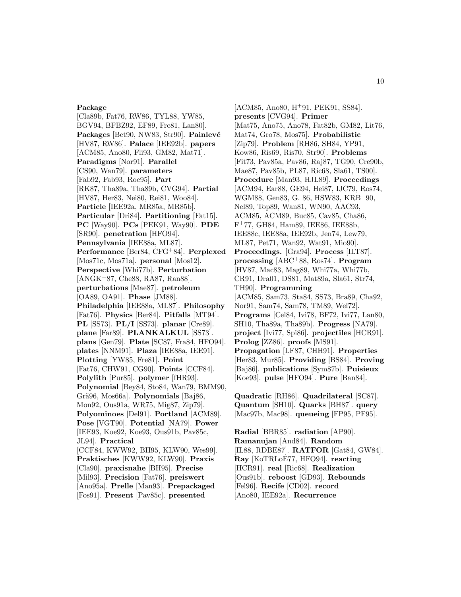### **Package**

[Cla89b, Fat76, RW86, TYL88, YW85, BGV94, BFBZ92, EF89, Fre81, Lan80]. Packages<sup> [Bet90, NW83, Str90]. **Painlevé**</sup> [HV87, RW86]. **Palace** [IEE92b]. **papers** [ACM85, Ano80, Fli93, GM82, Mat71]. **Paradigms** [Nor91]. **Parallel** [CS90, Wan79]. **parameters** [Fab92, Fab93, Roe95]. **Part** [RK87, Tha89a, Tha89b, CVG94]. **Partial** [HV87, Her83, Nei80, Rei81, Woo84]. **Particle** [IEE92a, MR85a, MR85b]. **Particular** [Dri84]. **Partitioning** [Fat15]. **PC** [Way90]. **PCs** [PEK91, Way90]. **PDE** [SR90]. **penetration** [HFO94]. **Pennsylvania** [IEE88a, ML87]. **Performance** [Ber84, CFG<sup>+</sup>84]. **Perplexed** [Mos71c, Mos71a]. **personal** [Mos12]. **Perspective** [Whi77b]. **Perturbation** [ANGK<sup>+</sup>87, Che88, RA87, Ran88]. **perturbations** [Mae87]. **petroleum** [OA89, OA91]. **Phase** [JM88]. **Philadelphia** [IEE88a, ML87]. **Philosophy** [Fat76]. **Physics** [Ber84]. **Pitfalls** [MT94]. **PL** [SS73]. **PL/I** [SS73]. **planar** [Cre89]. **plane** [Far89]. **PLANKALKUL** [SS73]. **plans** [Gen79]. **Plate** [SC87, Fra84, HFO94]. **plates** [NNM91]. **Plaza** [IEE88a, IEE91]. **Plotting** [YW85, Fre81]. **Point** [Fat76, CHW91, CG90]. **Points** [CCF84]. **Polylith** [Pur85]. **polymer** [fHR93]. **Polynomial** [Bey84, Sto84, Wan79, BMM90, Gr¨a96, Mos66a]. **Polynomials** [Baj86, Mon92, Ous91a, WR75, Mig87, Zip79]. **Polyominoes** [Del91]. **Portland** [ACM89]. **Pose** [VGT90]. **Potential** [NA79]. **Power** [IEE93, Koe92, Koe93, Ous91b, Pav85c, JL94]. **Practical** [CCF84, KWW92, BH95, KLW90, Wes99]. **Praktisches** [KWW92, KLW90]. **Praxis** [Cla90]. **praxisnahe** [BH95]. **Precise** [Mil93]. **Precision** [Fat76]. **preiswert** [Ano95a]. **Prelle** [Man93]. **Prepackaged** [Fos91]. **Present** [Pav85c]. **presented**

[ACM85, Ano80, H<sup>+</sup>91, PEK91, SS84]. **presents** [CVG94]. **Primer** [Mat75, Ano75, Ano78, Fat82b, GM82, Lit76, Mat74, Gro78, Mos75]. **Probabilistic** [Zip79]. **Problem** [RH86, SH84, YP91, Kow86, Ris69, Ris70, Str90]. **Problems** [Fit73, Pav85a, Pav86, Raj87, TG90, Cre90b, Mae87, Pav85b, PL87, Ric68, Sla61, TS00]. **Procedure** [Man93, HJL89]. **Proceedings** [ACM94, Ear88, GE94, Hei87, IJC79, Ros74, WGM88, Gen83, G. 86, HSW83, KRB<sup>+</sup>90, Nel89, Top89, Wan81, WN90, AAC93, ACM85, ACM89, Buc85, Cav85, Cha86, F<sup>+</sup>77, GH84, Ham89, IEE86, IEE88b, IEE88c, IEE88a, IEE92b, Jen74, Lew79, ML87, Pet71, Wan92, Wat91, Mio90]. **Proceedings.** [Gra94]. **Process** [ILT87]. **processing** [ABC<sup>+</sup>88, Ros74]. **Program** [HV87, Mac83, Mag89, Whi77a, Whi77b, CR91, Dra01, DS81, Mat89a, Sla61, Str74, TH90]. **Programming** [ACM85, Sam73, Sta84, SS73, Bra89, Cha92, Nor91, Sam74, Sam78, TM89, Wel72]. **Programs** [Cel84, Ivi78, BF72, Ivi77, Lan80, SH10, Tha89a, Tha89b]. **Progress** [NA79]. **project** [Ivi77, Spi86]. **projectiles** [HCR91]. **Prolog** [ZZ86]. **proofs** [MS91]. **Propagation** [LF87, CHH91]. **Properties** [Her83, Mur85]. **Providing** [BS84]. **Proving** [Baj86]. **publications** [Sym87b]. **Puisieux** [Koe93]. **pulse** [HFO94]. **Pure** [Ban84].

**Quadratic** [RH86]. **Quadrilateral** [SC87]. **Quantum** [SH10]. **Quarks** [BH87]. **query** [Mac97b, Mac98]. **queueing** [FP95, PF95].

**Radial** [BBR85]. **radiation** [AP90]. **Ramanujan** [And84]. **Random** [IL88, RDBE87]. **RATFOR** [Gat84, GW84]. **Ray** [KoTRLoE77, HFO94]. **reacting** [HCR91]. **real** [Ric68]. **Realization** [Ous91b]. **reboost** [GD93]. **Rebounds** [Fel96]. **Recife** [CD02]. **record** [Ano80, IEE92a]. **Recurrence**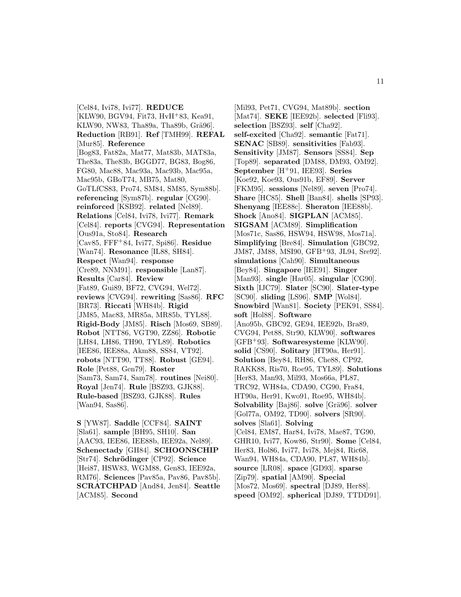[Cel84, Ivi78, Ivi77]. **REDUCE** [KLW90, BGV94, Fit73, HvH<sup>+</sup>83, Kea91, KLW90, NW83, Tha89a, Tha89b, Grä96]. **Reduction** [RB91]. **Ref** [TMH99]. **REFAL** [Mur85]. **Reference** [Bog83, Fat82a, Mat77, Mat83b, MAT83a, The83a, The83b, BGGD77, BG83, Bog86, FG80, Mac88, Mac93a, Mac93b, Mac95a, Mac95b, GBoT74, MB75, Mat80, GoTLfCS83, Pro74, SM84, SM85, Sym88b]. **referencing** [Sym87b]. **regular** [CG90]. **reinforced** [KSB92]. **related** [Nel89]. **Relations** [Cel84, Ivi78, Ivi77]. **Remark** [Cel84]. **reports** [CVG94]. **Representation** [Ous91a, Sto84]. **Research** [Cav85, FFF<sup>+</sup>84, Ivi77, Spi86]. **Residue** [Wan74]. **Resonance** [IL88, SH84]. **Respect** [Wan94]. **response** [Cre89, NNM91]. **responsible** [Lan87]. **Results** [Car84]. **Review** [Fat89, Gui89, BF72, CVG94, Wel72]. **reviews** [CVG94]. **rewriting** [Sas86]. **RFC** [BR73]. **Riccati** [WH84b]. **Rigid** [JM85, Mac83, MR85a, MR85b, TYL88]. **Rigid-Body** [JM85]. **Risch** [Mos69, SB89]. **Robot** [NTT86, VGT90, ZZ86]. **Robotic** [LH84, LH86, TH90, TYL89]. **Robotics** [IEE86, IEE88a, Akm88, SS84, VT92]. **robots** [NTT90, TT88]. **Robust** [GE94]. **Role** [Pet88, Gen79]. **Roster** [Sam73, Sam74, Sam78]. **routines** [Nei80]. **Royal** [Jen74]. **Rule** [BSZ93, GJK88]. **Rule-based** [BSZ93, GJK88]. **Rules** [Wan94, Sas86].

**S** [YW87]. **Saddle** [CCF84]. **SAINT** [Sla61]. **sample** [BH95, SH10]. **San** [AAC93, IEE86, IEE88b, IEE92a, Nel89]. **Schenectady** [GH84]. **SCHOONSCHIP** [Str74]. **Schr¨odinger** [CP92]. **Science** [Hei87, HSW83, WGM88, Gen83, IEE92a, RM76]. **Sciences** [Pav85a, Pav86, Pav85b]. **SCRATCHPAD** [And84, Jen84]. **Seattle** [ACM85]. **Second**

[Mil93, Pet71, CVG94, Mat89b]. **section** [Mat74]. **SEKE** [IEE92b]. **selected** [Fli93]. **selection** [BSZ93]. **self** [Cha92]. **self-excited** [Cha92]. **semantic** [Fat71]. **SENAC** [SB89]. **sensitivities** [Fab93]. **Sensitivity** [JM87]. **Sensors** [SS84]. **Sep** [Top89]. **separated** [DM88, DM93, OM92]. **September** [H<sup>+</sup>91, IEE93]. **Series** [Koe92, Koe93, Ous91b, EF89]. **Server** [FKM95]. **sessions** [Nel89]. **seven** [Pro74]. **Share** [HC85]. **Shell** [Ban84]. **shells** [SP93]. **Shenyang** [IEE88c]. **Sheraton** [IEE88b]. **Shock** [Ano84]. **SIGPLAN** [ACM85]. **SIGSAM** [ACM89]. **Simplification** [Mos71c, Sas86, HSW94, HSW98, Mos71a]. **Simplifying** [Bre84]. **Simulation** [GBC92, JM87, JM88, MSI90, GFB<sup>+</sup>93, JL94, Sre92]. **simulations** [Cah90]. **Simultaneous** [Bey84]. **Singapore** [IEE91]. **Singer** [Man93]. **single** [Har05]. **singular** [CG90]. **Sixth** [IJC79]. **Slater** [SC90]. **Slater-type** [SC90]. **sliding** [LS96]. **SMP** [Wol84]. **Snowbird** [Wan81]. **Society** [PEK91, SS84]. **soft** [Hol88]. **Software** [Ano95b, GBC92, GE94, IEE92b, Bra89, CVG94, Pet88, Str90, KLW90]. **softwares** [GFB<sup>+</sup>93]. **Softwaresysteme** [KLW90]. **solid** [CS90]. **Solitary** [HT90a, Her91]. **Solution** [Bey84, RH86, Che88, CP92, RAKK88, Ris70, Roe95, TYL89]. **Solutions** [Her83, Man93, Mil93, Mos66a, PL87, TRC92, WH84a, CDA90, CG90, Fra84, HT90a, Her91, Kwo91, Roe95, WH84b]. **Solvability** [Baj86]. **solve** [Grä96]. **solver** [Gol77a, OM92, TD90]. **solvers** [SR90]. **solves** [Sla61]. **Solving** [Cel84, EM87, Har84, Ivi78, Mae87, TG90, GHR10, Ivi77, Kow86, Str90]. **Some** [Cel84, Her83, Hol86, Ivi77, Ivi78, Mej84, Ric68, Wan94, WH84a, CDA90, PL87, WH84b]. **source** [LR08]. **space** [GD93]. **sparse** [Zip79]. **spatial** [AM90]. **Special** [Mos72, Mos69]. **spectral** [DJ89, Her88]. **speed** [OM92]. **spherical** [DJ89, TTDD91].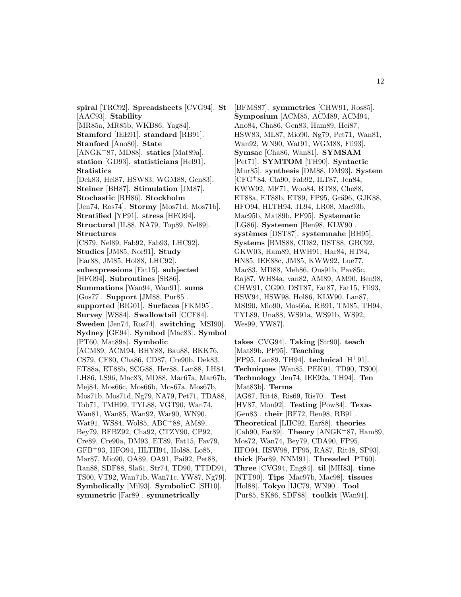**spiral** [TRC92]. **Spreadsheets** [CVG94]. **St** [AAC93]. **Stability** [MR85a, MR85b, WKB86, Yag84]. **Stamford** [IEE91]. **standard** [RB91]. **Stanford** [Ano80]. **State** [ANGK<sup>+</sup>87, MD88]. **statics** [Mat89a]. **station** [GD93]. **statisticians** [Hel91]. **Statistics** [Dek83, Hei87, HSW83, WGM88, Gen83]. **Steiner** [BH87]. **Stimulation** [JM87]. **Stochastic** [RH86]. **Stockholm** [Jen74, Ros74]. **Stormy** [Mos71d, Mos71b]. **Stratified** [YP91]. **stress** [HFO94]. **Structural** [IL88, NA79, Top89, Nel89]. **Structures** [CS79, Nel89, Fab92, Fab93, LHC92]. **Studies** [JM85, Nor91]. **Study** [Ear88, JM85, Hol88, LHC92]. **subexpressions** [Fat15]. **subjected** [HFO94]. **Subroutines** [SR86]. **Summations** [Wan94, Wan91]. **sums** [Gos77]. **Support** [JM88, Pur85]. **supported** [BIG01]. **Surfaces** [FKM95]. **Survey** [WS84]. **Swallowtail** [CCF84]. **Sweden** [Jen74, Ros74]. **switching** [MSI90]. **Sydney** [GE94]. **Symbod** [Mac83]. **Symbol** [PT60, Mat89a]. **Symbolic** [ACM89, ACM94, BHY88, Bau88, BKK76, CS79, CF80, Cha86, CD87, Cre90b, Dek83, ET88a, ET88b, SCG88, Her88, Lan88, LH84, LH86, LS96, Mac83, MD88, Mar67a, Mar67b, Mej84, Mos66c, Mos66b, Mos67a, Mos67b, Mos71b, Mos71d, Ng79, NA79, Pet71, TDA88, Tob71, TMH99, TYL88, VGT90, Wan74, Wan81, Wan85, Wan92, War90, WN90, Wat91, WS84, Wol85, ABC<sup>+</sup>88, AM89, Bey79, BFBZ92, Cha92, CTZY90, CP92, Cre89, Cre90a, DM93, ET89, Fat15, Fav79, GFB<sup>+</sup>93, HFO94, HLTH94, Hol88, Lo85, Mar87, Mio90, OA89, OA91, Pai92, Pet88, Ran88, SDF88, Sla61, Str74, TD90, TTDD91, TS00, VT92, Wan71b, Wan71c, YW87, Ng79]. **Symbolically** [Mil93]. **SymbolicC** [SH10]. **symmetric** [Far89]. **symmetrically**

[BFMS87]. **symmetries** [CHW91, Ros85]. **Symposium** [ACM85, ACM89, ACM94, Ano84, Cha86, Gen83, Ham89, Hei87, HSW83, ML87, Mio90, Ng79, Pet71, Wan81, Wan92, WN90, Wat91, WGM88, Fli93]. **Symsac** [Cha86, Wan81]. **SYMSAM** [Pet71]. **SYMTOM** [TH90]. **Syntactic** [Mur85]. **synthesis** [DM88, DM93]. **System** [CFG<sup>+</sup>84, Cla90, Fab92, ILT87, Jen84, KWW92, MF71, Woo84, BT88, Che88, ET88a, ET88b, ET89, FP95, Grä96, GJK88, HFO94, HLTH94, JL94, LR08, Mac93b, Mac95b, Mat89b, PF95]. **Systematic** [LG86]. **Systemen** [Ben98, KLW90]. **syst`emes** [DST87]. **systemnahe** [BH95]. **Systems** [BMS88, CD82, DST88, GBC92, GKW03, Ham89, HWH91, Har84, HT84, HN85, IEE88c, JM85, KWW92, Lue77, Mac83, MD88, Meh86, Ous91b, Pav85c, Raj87, WH84a, van82, AM89, AM90, Ben98, CHW91, CG90, DST87, Fat87, Fat15, Fli93, HSW94, HSW98, Hol86, KLW90, Lan87, MSI90, Mio90, Mos66a, RB91, TM85, TH94, TYL89, Una88, WS91a, WS91b, WS92, Wes99, YW87].

**takes** [CVG94]. **Taking** [Str90]. **teach** [Mat89b, PF95]. **Teaching** [FP95, Lan89, TH94]. **technical** [H<sup>+</sup>91]. **Techniques** [Wan85, PEK91, TD90, TS00]. **Technology** [Jen74, IEE92a, TH94]. **Ten** [Mat83b]. **Terms** [AG87, Rit48, Ris69, Ris70]. **Test** [HV87, Mon92]. **Testing** [Pow84]. **Texas** [Gen83]. **their** [BF72, Ben98, RB91]. **Theoretical** [LHC92, Ear88]. **theories** [Cah90, Far89]. **Theory** [ANGK<sup>+</sup>87, Ham89, Mos72, Wan74, Bey79, CDA90, FP95, HFO94, HSW98, PF95, RA87, Rit48, SP93]. **thick** [Far89, NNM91]. **Threaded** [PT60]. **Three** [CVG94, Eng84]. **til** [MH83]. **time** [NTT90]. **Tips** [Mac97b, Mac98]. **tissues** [Hol88]. **Tokyo** [IJC79, WN90]. **Tool** [Pur85, SK86, SDF88]. **toolkit** [Wan91].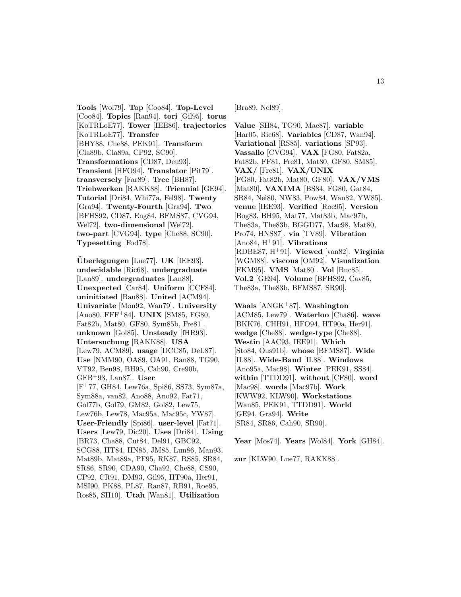**Tools** [Wol79]. **Top** [Coo84]. **Top-Level** [Coo84]. **Topics** [Ran94]. **tori** [Gil95]. **torus** [KoTRLoE77]. **Tower** [IEE86]. **trajectories** [KoTRLoE77]. **Transfer** [BHY88, Che88, PEK91]. **Transform** [Cla89b, Cla89a, CP92, SC90]. **Transformations** [CD87, Deu93]. **Transient** [HFO94]. **Translator** [Pit79]. **transversely** [Far89]. **Tree** [BH87]. **Triebwerken** [RAKK88]. **Triennial** [GE94]. **Tutorial** [Dri84, Whi77a, Fel98]. **Twenty** [Gra94]. **Twenty-Fourth** [Gra94]. **Two** [BFHS92, CD87, Eng84, BFMS87, CVG94, Wel72]. **two-dimensional** [Wel72]. **two-part** [CVG94]. **type** [Che88, SC90]. **Typesetting** [Fod78].

**Uberlegungen ¨** [Lue77]. **UK** [IEE93]. **undecidable** [Ric68]. **undergraduate** [Lan89]. **undergraduates** [Lan88]. **Unexpected** [Car84]. **Uniform** [CCF84]. **uninitiated** [Bau88]. **United** [ACM94]. **Univariate** [Mon92, Wan79]. **University** [Ano80, FFF<sup>+</sup>84]. **UNIX** [SM85, FG80, Fat82b, Mat80, GF80, Sym85b, Fre81]. **unknown** [Gol85]. **Unsteady** [fHR93]. **Untersuchung** [RAKK88]. **USA** [Lew79, ACM89]. **usage** [DCC85, DeL87]. **Use** [NMM90, OA89, OA91, Ran88, TG90, VT92, Ben98, BH95, Cah90, Cre90b, GFB<sup>+</sup>93, Lan87]. **User** [F<sup>+</sup>77, GH84, Lew76a, Spi86, SS73, Sym87a, Sym88a, van82, Ano88, Ano92, Fat71, Gol77b, Gol79, GM82, Gol82, Lew75, Lew76b, Lew78, Mac95a, Mac95c, YW87]. **User-Friendly** [Spi86]. **user-level** [Fat71]. **Users** [Lew79, Dic20]. **Uses** [Dri84]. **Using** [BR73, Cha88, Cut84, Del91, GBC92, SCG88, HT84, HN85, JM85, Lun86, Man93, Mat89b, Mat89a, PF95, RK87, RS85, SR84, SR86, SR90, CDA90, Cha92, Che88, CS90, CP92, CR91, DM93, Gil95, HT90a, Her91, MSI90, PK88, PL87, Ran87, RB91, Roe95, Ros85, SH10]. **Utah** [Wan81]. **Utilization**

[Bra89, Nel89].

**Value** [SH84, TG90, Mae87]. **variable** [Har05, Ric68]. **Variables** [CD87, Wan94]. **Variational** [RS85]. **variations** [SP93]. **Vassallo** [CVG94]. **VAX** [FG80, Fat82a, Fat82b, FF81, Fre81, Mat80, GF80, SM85]. **VAX/** [Fre81]. **VAX/UNIX** [FG80, Fat82b, Mat80, GF80]. **VAX/VMS** [Mat80]. **VAXIMA** [BS84, FG80, Gat84, SR84, Nei80, NW83, Pow84, Wan82, YW85]. **venue** [IEE93]. **Verified** [Roe95]. **Version** [Bog83, BH95, Mat77, Mat83b, Mac97b, The83a, The83b, BGGD77, Mac98, Mat80, Pro74, HNS87]. **via** [TV89]. **Vibration** [Ano84, H<sup>+</sup>91]. **Vibrations** [RDBE87, H<sup>+</sup>91]. **Viewed** [van82]. **Virginia** [WGM88]. **viscous** [OM92]. **Visualization** [FKM95]. **VMS** [Mat80]. **Vol** [Buc85]. **Vol.2** [GE94]. **Volume** [BFHS92, Cav85, The83a, The83b, BFMS87, SR90].

**Waals** [ANGK<sup>+</sup>87]. **Washington** [ACM85, Lew79]. **Waterloo** [Cha86]. **wave** [BKK76, CHH91, HFO94, HT90a, Her91]. **wedge** [Che88]. **wedge-type** [Che88]. **Westin** [AAC93, IEE91]. **Which** [Sto84, Ous91b]. **whose** [BFMS87]. **Wide** [IL88]. **Wide-Band** [IL88]. **Windows** [Ano95a, Mac98]. **Winter** [PEK91, SS84]. **within** [TTDD91]. **without** [CF80]. **word** [Mac98]. **words** [Mac97b]. **Work** [KWW92, KLW90]. **Workstations** [Wan85, PEK91, TTDD91]. **World** [GE94, Gra94]. **Write** [SR84, SR86, Cah90, SR90].

**Year** [Mos74]. **Years** [Wol84]. **York** [GH84].

**zur** [KLW90, Lue77, RAKK88].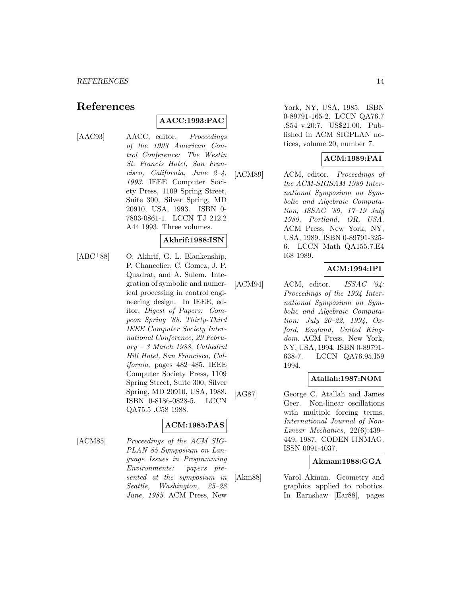# **References**

# **AACC:1993:PAC**

- 
- [AAC93] AACC, editor. Proceedings of the 1993 American Control Conference: The Westin St. Francis Hotel, San Francisco, California, June 2–4, 1993. IEEE Computer Society Press, 1109 Spring Street, Suite 300, Silver Spring, MD 20910, USA, 1993. ISBN 0- 7803-0861-1. LCCN TJ 212.2 A44 1993. Three volumes.

# **Akhrif:1988:ISN**

[ABC<sup>+</sup>88] O. Akhrif, G. L. Blankenship, P. Chancelier, C. Gomez, J. P. Quadrat, and A. Sulem. Integration of symbolic and numerical processing in control engineering design. In IEEE, editor, Digest of Papers: Compcon Spring '88. Thirty-Third IEEE Computer Society International Conference, 29 February – 3 March 1988, Cathedral Hill Hotel, San Francisco, California, pages 482–485. IEEE Computer Society Press, 1109 Spring Street, Suite 300, Silver Spring, MD 20910, USA, 1988. ISBN 0-8186-0828-5. LCCN QA75.5 .C58 1988.

# **ACM:1985:PAS**

[ACM85] Proceedings of the ACM SIG-PLAN 85 Symposium on Language Issues in Programming Environments: papers presented at the symposium in Seattle, Washington, 25–28 June, 1985. ACM Press, New

York, NY, USA, 1985. ISBN 0-89791-165-2. LCCN QA76.7 .S54 v.20:7. US\$21.00. Published in ACM SIGPLAN notices, volume 20, number 7.

# **ACM:1989:PAI**

[ACM89] ACM, editor. Proceedings of the ACM-SIGSAM 1989 International Symposium on Symbolic and Algebraic Computation, ISSAC '89, 17–19 July 1989, Portland, OR, USA. ACM Press, New York, NY, USA, 1989. ISBN 0-89791-325- 6. LCCN Math QA155.7.E4 I68 1989.

# **ACM:1994:IPI**

 $[ACM94]$  ACM, editor.  $ISSAC$  '94: Proceedings of the 1994 International Symposium on Symbolic and Algebraic Computation: July 20–22, 1994, Oxford, England, United Kingdom. ACM Press, New York, NY, USA, 1994. ISBN 0-89791- 638-7. LCCN QA76.95.I59 1994.

# **Atallah:1987:NOM**

[AG87] George C. Atallah and James Geer. Non-linear oscillations with multiple forcing terms. International Journal of Non-Linear Mechanics, 22(6):439– 449, 1987. CODEN IJNMAG. ISSN 0091-4037.

# **Akman:1988:GGA**

[Akm88] Varol Akman. Geometry and graphics applied to robotics. In Earnshaw [Ear88], pages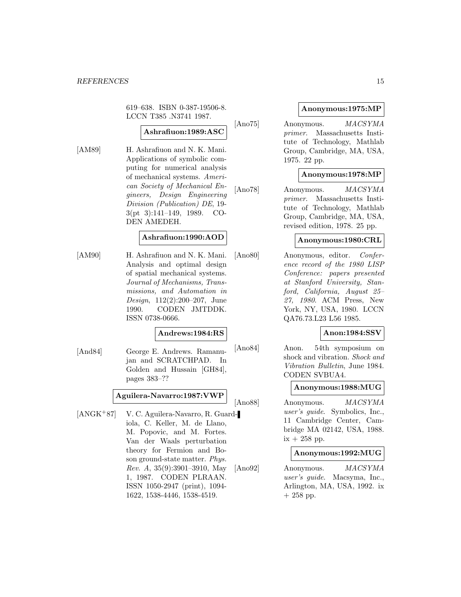619–638. ISBN 0-387-19506-8. LCCN T385 .N3741 1987.

# **Ashrafiuon:1989:ASC**

[AM89] H. Ashrafiuon and N. K. Mani. Applications of symbolic computing for numerical analysis of mechanical systems. American Society of Mechanical Engineers, Design Engineering Division (Publication) DE, 19- 3(pt 3):141–149, 1989. CO-DEN AMEDEH.

# **Ashrafiuon:1990:AOD**

[AM90] H. Ashrafiuon and N. K. Mani. Analysis and optimal design of spatial mechanical systems. Journal of Mechanisms, Transmissions, and Automation in Design, 112(2):200–207, June 1990. CODEN JMTDDK. ISSN 0738-0666.

#### **Andrews:1984:RS**

[And84] George E. Andrews. Ramanujan and SCRATCHPAD. In Golden and Hussain [GH84], pages 383–??

# **Aguilera-Navarro:1987:VWP**

[ANGK<sup>+</sup>87] V. C. Aguilera-Navarro, R. Guardiola, C. Keller, M. de Llano, M. Popovic, and M. Fortes. Van der Waals perturbation theory for Fermion and Boson ground-state matter. Phys. Rev. A, 35(9):3901–3910, May 1, 1987. CODEN PLRAAN. ISSN 1050-2947 (print), 1094- 1622, 1538-4446, 1538-4519.

# **Anonymous:1975:MP**

[Ano75] Anonymous. MACSYMA primer. Massachusetts Institute of Technology, Mathlab Group, Cambridge, MA, USA, 1975. 22 pp.

# **Anonymous:1978:MP**

[Ano78] Anonymous. *MACSYMA* primer. Massachusetts Institute of Technology, Mathlab Group, Cambridge, MA, USA, revised edition, 1978. 25 pp.

### **Anonymous:1980:CRL**

[Ano80] Anonymous, editor. Conference record of the 1980 LISP Conference: papers presented at Stanford University, Stanford, California, August 25– 27, 1980. ACM Press, New York, NY, USA, 1980. LCCN QA76.73.L23 L56 1985.

# **Anon:1984:SSV**

[Ano84] Anon. 54th symposium on shock and vibration. Shock and Vibration Bulletin, June 1984. CODEN SVBUA4.

#### **Anonymous:1988:MUG**

[Ano88] Anonymous. MACSYMA user's guide. Symbolics, Inc., 11 Cambridge Center, Cambridge MA 02142, USA, 1988.  $ix + 258$  pp.

#### **Anonymous:1992:MUG**

[Ano92] Anonymous. MACSYMA user's guide. Macsyma, Inc., Arlington, MA, USA, 1992. ix  $+ 258$  pp.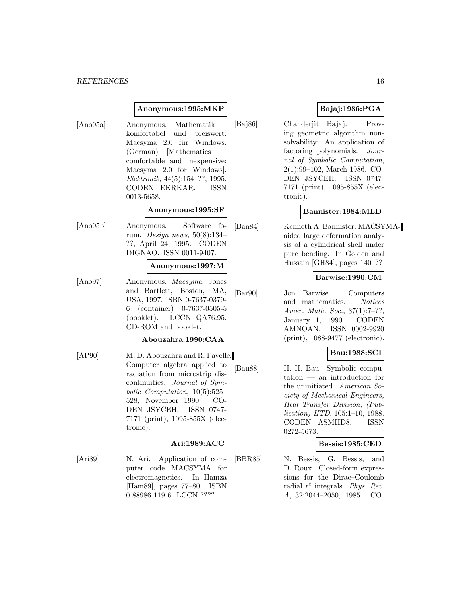# **Anonymous:1995:MKP**

[Ano95a] Anonymous. Mathematik komfortabel und preiswert: Macsyma 2.0 für Windows. (German) [Mathematics comfortable and inexpensive: Macsyma 2.0 for Windows]. Elektronik, 44(5):154–??, 1995. CODEN EKRKAR. ISSN 0013-5658.

# **Anonymous:1995:SF**

[Ano95b] Anonymous. Software forum. Design news, 50(8):134– ??, April 24, 1995. CODEN DIGNAO. ISSN 0011-9407.

#### **Anonymous:1997:M**

[Ano97] Anonymous. Macsyma. Jones and Bartlett, Boston, MA, USA, 1997. ISBN 0-7637-0379- 6 (container) 0-7637-0505-5 (booklet). LCCN QA76.95. CD-ROM and booklet.

#### **Abouzahra:1990:CAA**

[AP90] M. D. Abouzahra and R. Pavelle. Computer algebra applied to radiation from microstrip discontinuities. Journal of Symbolic Computation, 10(5):525– 528, November 1990. CO-DEN JSYCEH. ISSN 0747- 7171 (print), 1095-855X (electronic).

# **Ari:1989:ACC**

[Ari89] N. Ari. Application of computer code MACSYMA for electromagnetics. In Hamza [Ham89], pages 77–80. ISBN 0-88986-119-6. LCCN ????

# **Bajaj:1986:PGA**

[Baj86] Chanderjit Bajaj. Proving geometric algorithm nonsolvability: An application of factoring polynomials. Journal of Symbolic Computation, 2(1):99–102, March 1986. CO-DEN JSYCEH. ISSN 0747- 7171 (print), 1095-855X (electronic).

# **Bannister:1984:MLD**

[Ban84] Kenneth A. Bannister. MACSYMAaided large deformation analysis of a cylindrical shell under pure bending. In Golden and Hussain [GH84], pages 140–??

# **Barwise:1990:CM**

[Bar90] Jon Barwise. Computers and mathematics. Notices Amer. Math. Soc., 37(1):7–??, January 1, 1990. CODEN AMNOAN. ISSN 0002-9920 (print), 1088-9477 (electronic).

# **Bau:1988:SCI**

[Bau88] H. H. Bau. Symbolic computation — an introduction for the uninitiated. American Society of Mechanical Engineers, Heat Transfer Division, (Publication) HTD, 105:1–10, 1988. CODEN ASMHD8. ISSN 0272-5673.

# **Bessis:1985:CED**

[BBR85] N. Bessis, G. Bessis, and D. Roux. Closed-form expressions for the Dirac–Coulomb radial  $r^t$  integrals. Phys. Rev. A, 32:2044–2050, 1985. CO-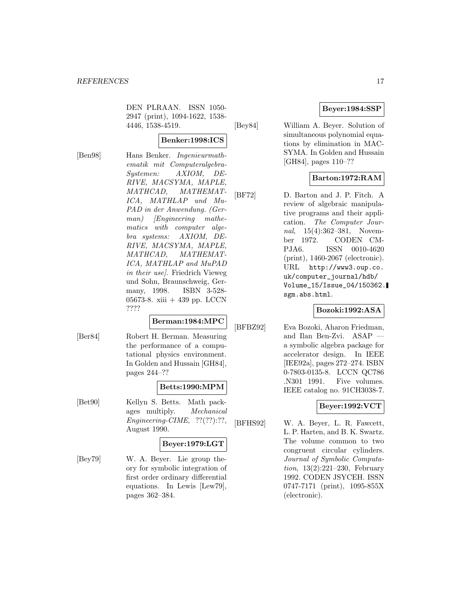DEN PLRAAN. ISSN 1050- 2947 (print), 1094-1622, 1538- 4446, 1538-4519.

**Benker:1998:ICS**

[Ben98] Hans Benker. Ingenieurmathematik mit Computeralgebra-Systemen: AXIOM, DE-RIVE, MACSYMA, MAPLE, MATHCAD, MATHEMAT-ICA, MATHLAP und Mu-PAD in der Anwendung. (German) [Engineering mathematics with computer algebra systems: AXIOM, DE-RIVE, MACSYMA, MAPLE, MATHCAD, MATHEMAT-ICA, MATHLAP and MuPAD in their use]. Friedrich Vieweg und Sohn, Braunschweig, Germany, 1998. ISBN 3-528- 05673-8. xiii + 439 pp. LCCN ????

# **Berman:1984:MPC**

[Ber84] Robert H. Berman. Measuring the performance of a computational physics environment. In Golden and Hussain [GH84], pages 244–??

# **Betts:1990:MPM**

[Bet90] Kellyn S. Betts. Math packages multiply. Mechanical Engineering-CIME, ??(??):??, August 1990.

# **Beyer:1979:LGT**

[Bey79] W. A. Beyer. Lie group theory for symbolic integration of first order ordinary differential equations. In Lewis [Lew79], pages 362–384.

# **Beyer:1984:SSP**

[Bey84] William A. Beyer. Solution of simultaneous polynomial equations by elimination in MAC-SYMA. In Golden and Hussain [GH84], pages 110–??

# **Barton:1972:RAM**

[BF72] D. Barton and J. P. Fitch. A review of algebraic manipulative programs and their application. The Computer Journal, 15(4):362–381, November 1972. CODEN CM-PJA6. ISSN 0010-4620 (print), 1460-2067 (electronic). URL http://www3.oup.co. uk/computer\_journal/hdb/ Volume\_15/Issue\_04/150362. sgm.abs.html.

# **Bozoki:1992:ASA**

[BFBZ92] Eva Bozoki, Aharon Friedman, and Ilan Ben-Zvi. ASAP a symbolic algebra package for accelerator design. In IEEE [IEE92a], pages 272–274. ISBN 0-7803-0135-8. LCCN QC786 .N301 1991. Five volumes. IEEE catalog no. 91CH3038-7.

# **Beyer:1992:VCT**

[BFHS92] W. A. Beyer, L. R. Fawcett, L. P. Harten, and B. K. Swartz. The volume common to two congruent circular cylinders. Journal of Symbolic Computation, 13(2):221–230, February 1992. CODEN JSYCEH. ISSN 0747-7171 (print), 1095-855X (electronic).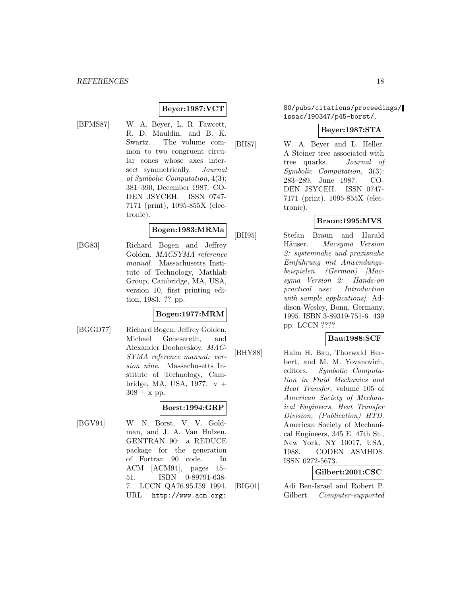# **Beyer:1987:VCT**

- 
- [BFMS87] W. A. Beyer, L. R. Fawcett, R. D. Mauldin, and B. K. Swartz. The volume common to two congruent circular cones whose axes intersect symmetrically. Journal of Symbolic Computation, 4(3): 381–390, December 1987. CO-DEN JSYCEH. ISSN 0747- 7171 (print), 1095-855X (electronic).

# **Bogen:1983:MRMa**

[BG83] Richard Bogen and Jeffrey Golden. MACSYMA reference manual. Massachusetts Institute of Technology, Mathlab Group, Cambridge, MA, USA, version 10, first printing edition, 1983. ?? pp.

# **Bogen:1977:MRM**

[BGGD77] Richard Bogen, Jeffrey Golden, Michael Genesereth, and Alexander Doohovskoy. MAC-SYMA reference manual: version nine. Massachusetts Institute of Technology, Cambridge, MA, USA, 1977.  $v +$  $308 + x$  pp.

# **Borst:1994:GRP**

[BGV94] W. N. Borst, V. V. Goldman, and J. A. Van Hulzen. GENTRAN 90: a REDUCE package for the generation of Fortran 90 code. In ACM [ACM94], pages 45– 51. ISBN 0-89791-638- 7. LCCN QA76.95.I59 1994. URL http://www.acm.org:

# 80/pubs/citations/proceedings/ issac/190347/p45-borst/.

#### **Beyer:1987:STA**

[BH87] W. A. Beyer and L. Heller. A Steiner tree associated with tree quarks. Journal of Symbolic Computation, 3(3): 283–289, June 1987. CO-DEN JSYCEH. ISSN 0747- 7171 (print), 1095-855X (electronic).

# **Braun:1995:MVS**

[BH95] Stefan Braun and Harald Häuser. Macsyma Version 2: systemnahe und praxisnahe Einführung mit Anwendungsbeispielen. (German) [Macsyma Version 2: Hands-on practical use: Introduction with sample applications). Addison-Wesley, Bonn, Germany, 1995. ISBN 3-89319-751-6. 439 pp. LCCN ????

# **Bau:1988:SCF**

[BHY88] Haim H. Bau, Thorwald Herbert, and M. M. Yovanovich, editors. Symbolic Computation in Fluid Mechanics and Heat Transfer, volume 105 of American Society of Mechanical Engineers, Heat Transfer Division, (Publication) HTD. American Society of Mechanical Engineers, 345 E. 47th St., New York, NY 10017, USA, 1988. CODEN ASMHD8. ISSN 0272-5673.

**Gilbert:2001:CSC**

[BIG01] Adi Ben-Israel and Robert P. Gilbert. Computer-supported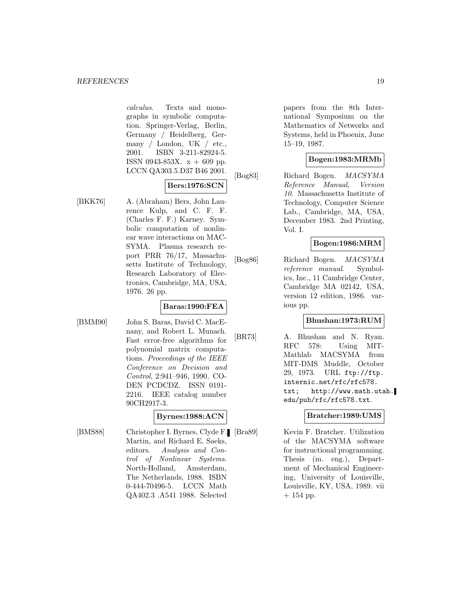calculus. Texts and monographs in symbolic computation. Springer-Verlag, Berlin, Germany / Heidelberg, Germany / London, UK / etc., 2001. ISBN 3-211-82924-5. ISSN 0943-853X.  $x + 609$  pp. LCCN QA303.5.D37 B46 2001.

# **Bers:1976:SCN**

[BKK76] A. (Abraham) Bers, John Laurence Kulp, and C. F. F. (Charles F. F.) Karney. Symbolic computation of nonlinear wave interactions on MAC-SYMA. Plasma research report PRR 76/17, Massachusetts Institute of Technology, Research Laboratory of Electronics, Cambridge, MA, USA, 1976. 26 pp.

# **Baras:1990:FEA**

[BMM90] John S. Baras, David C. MacEnany, and Robert L. Munach. Fast error-free algorithms for polynomial matrix computations. Proceedings of the IEEE Conference on Decision and Control, 2:941–946, 1990. CO-DEN PCDCDZ. ISSN 0191- 2216. IEEE catalog number 90CH2917-3.

# **Byrnes:1988:ACN**

[BMS88] Christopher I. Byrnes, Clyde F. Martin, and Richard E. Saeks, editors. Analysis and Control of Nonlinear Systems. North-Holland, Amsterdam, The Netherlands, 1988. ISBN 0-444-70496-5. LCCN Math QA402.3 .A541 1988. Selected

papers from the 8th International Symposium on the Mathematics of Networks and Systems, held in Phoenix, June 15–19, 1987.

# **Bogen:1983:MRMb**

[Bog83] Richard Bogen. MACSYMA Reference Manual, Version 10. Massachusetts Institute of Technology, Computer Science Lab., Cambridge, MA, USA, December 1983. 2nd Printing, Vol. I.

# **Bogen:1986:MRM**

[Bog86] Richard Bogen. MACSYMA reference manual. Symbolics, Inc., 11 Cambridge Center, Cambridge MA 02142, USA, version 12 edition, 1986. various pp.

# **Bhushan:1973:RUM**

[BR73] A. Bhushan and N. Ryan. RFC 578: Using MIT-Mathlab MACSYMA from MIT-DMS Muddle, October 29, 1973. URL ftp://ftp. internic.net/rfc/rfc578. txt; http://www.math.utah. edu/pub/rfc/rfc578.txt.

# **Bratcher:1989:UMS**

Kevin F. Bratcher. Utilization of the MACSYMA software for instructional programming. Thesis (m. eng.), Department of Mechanical Engineering, University of Louisville, Louisville, KY, USA, 1989. vii  $+ 154$  pp.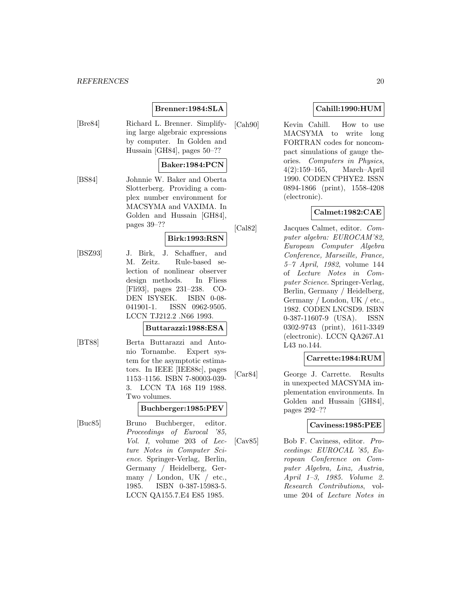#### *REFERENCES* 20

# **Brenner:1984:SLA**

[Bre84] Richard L. Brenner. Simplifying large algebraic expressions by computer. In Golden and Hussain [GH84], pages 50–??

# **Baker:1984:PCN**

[BS84] Johnnie W. Baker and Oberta Slotterberg. Providing a complex number environment for MACSYMA and VAXIMA. In Golden and Hussain [GH84], pages 39–??

# **Birk:1993:RSN**

[BSZ93] J. Birk, J. Schaffner, and M. Zeitz. Rule-based selection of nonlinear observer design methods. In Fliess [Fli93], pages 231–238. CO-DEN ISYSEK. ISBN 0-08- 041901-1. ISSN 0962-9505. LCCN TJ212.2 .N66 1993.

# **Buttarazzi:1988:ESA**

[BT88] Berta Buttarazzi and Antonio Tornambe. Expert system for the asymptotic estimators. In IEEE [IEE88c], pages 1153–1156. ISBN 7-80003-039- 3. LCCN TA 168 I19 1988. Two volumes.

# **Buchberger:1985:PEV**

[Buc85] Bruno Buchberger, editor. Proceedings of Eurocal '85, Vol. I, volume 203 of Lecture Notes in Computer Science. Springer-Verlag, Berlin, Germany / Heidelberg, Germany / London, UK / etc., 1985. ISBN 0-387-15983-5. LCCN QA155.7.E4 E85 1985.

# **Cahill:1990:HUM**

[Cah90] Kevin Cahill. How to use MACSYMA to write long FORTRAN codes for noncompact simulations of gauge theories. Computers in Physics, 4(2):159–165, March–April 1990. CODEN CPHYE2. ISSN 0894-1866 (print), 1558-4208 (electronic).

# **Calmet:1982:CAE**

[Cal82] Jacques Calmet, editor. Computer algebra: EUROCAM'82, European Computer Algebra Conference, Marseille, France, 5–7 April, 1982, volume 144 of Lecture Notes in Computer Science. Springer-Verlag, Berlin, Germany / Heidelberg, Germany / London, UK / etc., 1982. CODEN LNCSD9. ISBN 0-387-11607-9 (USA). ISSN 0302-9743 (print), 1611-3349 (electronic). LCCN QA267.A1 L43 no.144.

# **Carrette:1984:RUM**

[Car84] George J. Carrette. Results in unexpected MACSYMA implementation environments. In Golden and Hussain [GH84], pages 292–??

# **Caviness:1985:PEE**

[Cav85] Bob F. Caviness, editor. Proceedings: EUROCAL '85, European Conference on Computer Algebra, Linz, Austria, April 1–3, 1985. Volume 2. Research Contributions, volume 204 of Lecture Notes in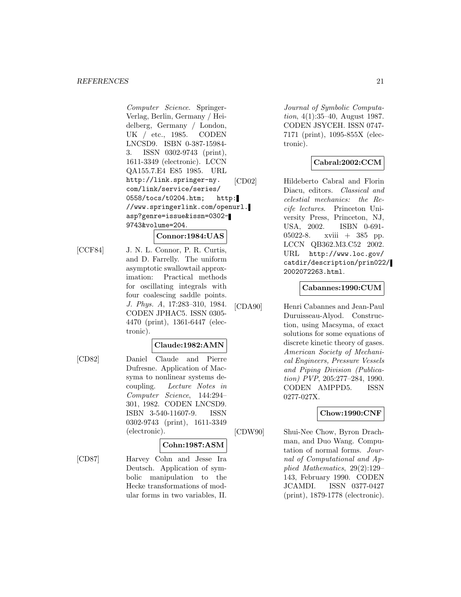Computer Science. Springer-Verlag, Berlin, Germany / Heidelberg, Germany / London, UK / etc., 1985. CODEN LNCSD9. ISBN 0-387-15984- 3. ISSN 0302-9743 (print), 1611-3349 (electronic). LCCN QA155.7.E4 E85 1985. URL http://link.springer-ny. com/link/service/series/ 0558/tocs/t0204.htm; http: //www.springerlink.com/openurl. asp?genre=issue&issn=0302- 9743&volume=204.

# **Connor:1984:UAS**

[CCF84] J. N. L. Connor, P. R. Curtis, and D. Farrelly. The uniform asymptotic swallowtail approximation: Practical methods for oscillating integrals with four coalescing saddle points. J. Phys. A, 17:283–310, 1984. CODEN JPHAC5. ISSN 0305- 4470 (print), 1361-6447 (electronic).

# **Claude:1982:AMN**

[CD82] Daniel Claude and Pierre Dufresne. Application of Macsyma to nonlinear systems decoupling. Lecture Notes in Computer Science, 144:294– 301, 1982. CODEN LNCSD9. ISBN 3-540-11607-9. ISSN 0302-9743 (print), 1611-3349 (electronic).

# **Cohn:1987:ASM**

[CD87] Harvey Cohn and Jesse Ira Deutsch. Application of symbolic manipulation to the Hecke transformations of modular forms in two variables, II.

Journal of Symbolic Computation, 4(1):35–40, August 1987. CODEN JSYCEH. ISSN 0747- 7171 (print), 1095-855X (electronic).

# **Cabral:2002:CCM**

[CD02] Hildeberto Cabral and Florin Diacu, editors. Classical and celestial mechanics: the Recife lectures. Princeton University Press, Princeton, NJ, USA, 2002. ISBN 0-691- 05022-8. xviii + 385 pp. LCCN QB362.M3.C52 2002. URL http://www.loc.gov/ catdir/description/prin022/ 2002072263.html.

# **Cabannes:1990:CUM**

[CDA90] Henri Cabannes and Jean-Paul Duruisseau-Alyod. Construction, using Macsyma, of exact solutions for some equations of discrete kinetic theory of gases. American Society of Mechanical Engineers, Pressure Vessels and Piping Division (Publication) PVP, 205:277–284, 1990. CODEN AMPPD5. ISSN 0277-027X.

# **Chow:1990:CNF**

[CDW90] Shui-Nee Chow, Byron Drachman, and Duo Wang. Computation of normal forms. Journal of Computational and Applied Mathematics, 29(2):129– 143, February 1990. CODEN JCAMDI. ISSN 0377-0427 (print), 1879-1778 (electronic).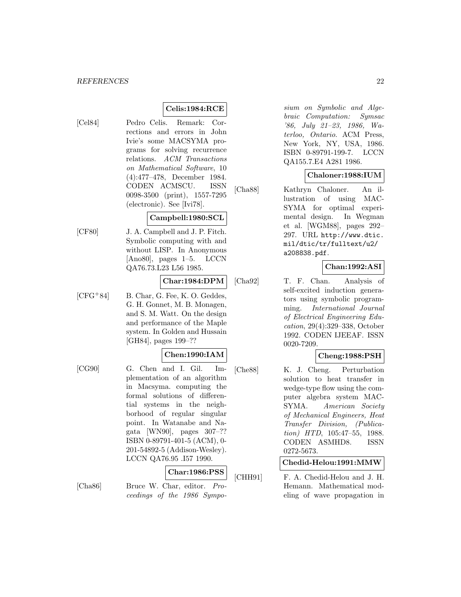# **Celis:1984:RCE**

[Cel84] Pedro Celis. Remark: Corrections and errors in John Ivie's some MACSYMA programs for solving recurrence relations. ACM Transactions on Mathematical Software, 10 (4):477–478, December 1984. CODEN ACMSCU. ISSN 0098-3500 (print), 1557-7295 (electronic). See [Ivi78].

# **Campbell:1980:SCL**

[CF80] J. A. Campbell and J. P. Fitch. Symbolic computing with and without LISP. In Anonymous  $[Ano80]$ , pages  $1-5$ . LCCN QA76.73.L23 L56 1985.

# **Char:1984:DPM**

 $[CFG+84]$  B. Char, G. Fee, K. O. Geddes, G. H. Gonnet, M. B. Monagen, and S. M. Watt. On the design and performance of the Maple system. In Golden and Hussain [GH84], pages 199–??

# **Chen:1990:IAM**

[CG90] G. Chen and I. Gil. Implementation of an algorithm in Macsyma. computing the formal solutions of differential systems in the neighborhood of regular singular point. In Watanabe and Nagata [WN90], pages 307–?? ISBN 0-89791-401-5 (ACM), 0- 201-54892-5 (Addison-Wesley). LCCN QA76.95 .I57 1990.

# **Char:1986:PSS**

[Cha86] Bruce W. Char, editor. Proceedings of the 1986 Sympo-

sium on Symbolic and Algebraic Computation: Symsac '86, July 21–23, 1986, Waterloo, Ontario. ACM Press, New York, NY, USA, 1986. ISBN 0-89791-199-7. LCCN QA155.7.E4 A281 1986.

# **Chaloner:1988:IUM**

[Cha88] Kathryn Chaloner. An illustration of using MAC-SYMA for optimal experimental design. In Wegman et al. [WGM88], pages 292– 297. URL http://www.dtic. mil/dtic/tr/fulltext/u2/ a208838.pdf.

# **Chan:1992:ASI**

[Cha92] T. F. Chan. Analysis of self-excited induction generators using symbolic programming. International Journal of Electrical Engineering Education, 29(4):329–338, October 1992. CODEN IJEEAF. ISSN 0020-7209.

# **Cheng:1988:PSH**

[Che88] K. J. Cheng. Perturbation solution to heat transfer in wedge-type flow using the computer algebra system MAC-SYMA. American Society of Mechanical Engineers, Heat Transfer Division, (Publication) HTD, 105:47–55, 1988. CODEN ASMHD8. ISSN 0272-5673.

# **Chedid-Helou:1991:MMW**

[CHH91] F. A. Chedid-Helou and J. H. Hemann. Mathematical modeling of wave propagation in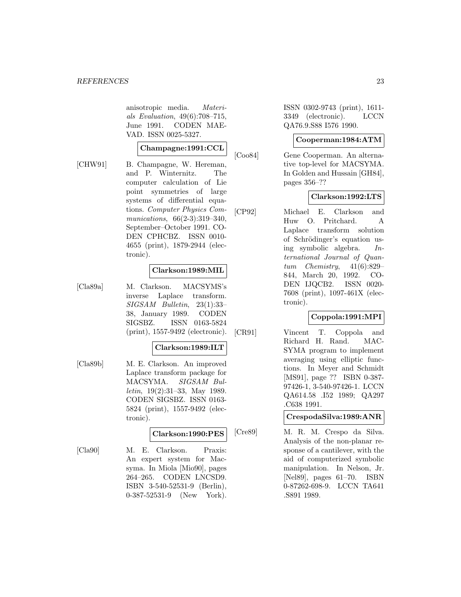anisotropic media. Materials Evaluation, 49(6):708–715, June 1991. CODEN MAE-VAD. ISSN 0025-5327.

# **Champagne:1991:CCL**

[CHW91] B. Champagne, W. Hereman, and P. Winternitz. The computer calculation of Lie point symmetries of large systems of differential equations. Computer Physics Communications, 66(2-3):319-340, September–October 1991. CO-DEN CPHCBZ. ISSN 0010- 4655 (print), 1879-2944 (electronic).

# **Clarkson:1989:MIL**

[Cla89a] M. Clarkson. MACSYMS's inverse Laplace transform. SIGSAM Bulletin, 23(1):33– 38, January 1989. CODEN SIGSBZ. ISSN 0163-5824 (print), 1557-9492 (electronic).

# **Clarkson:1989:ILT**

[Cla89b] M. E. Clarkson. An improved Laplace transform package for MACSYMA. SIGSAM Bulletin, 19(2):31–33, May 1989. CODEN SIGSBZ. ISSN 0163- 5824 (print), 1557-9492 (electronic).

# **Clarkson:1990:PES**

[Cla90] M. E. Clarkson. Praxis: An expert system for Macsyma. In Miola [Mio90], pages 264–265. CODEN LNCSD9. ISBN 3-540-52531-9 (Berlin), 0-387-52531-9 (New York).

ISSN 0302-9743 (print), 1611- 3349 (electronic). LCCN QA76.9.S88 I576 1990.

# **Cooperman:1984:ATM**

[Coo84] Gene Cooperman. An alternative top-level for MACSYMA. In Golden and Hussain [GH84], pages 356–??

# **Clarkson:1992:LTS**

[CP92] Michael E. Clarkson and Huw O. Pritchard. A Laplace transform solution of Schrödinger's equation using symbolic algebra. International Journal of Quantum Chemistry,  $41(6):829-$ 844, March 20, 1992. CO-DEN IJQCB2. ISSN 0020- 7608 (print), 1097-461X (electronic).

# **Coppola:1991:MPI**

[CR91] Vincent T. Coppola and Richard H. Rand. MAC-SYMA program to implement averaging using elliptic functions. In Meyer and Schmidt [MS91], page ?? ISBN 0-387- 97426-1, 3-540-97426-1. LCCN QA614.58 .I52 1989; QA297 .C638 1991.

# **CrespodaSilva:1989:ANR**

[Cre89] M. R. M. Crespo da Silva. Analysis of the non-planar response of a cantilever, with the aid of computerized symbolic manipulation. In Nelson, Jr. [Nel89], pages 61–70. ISBN 0-87262-698-9. LCCN TA641 .S891 1989.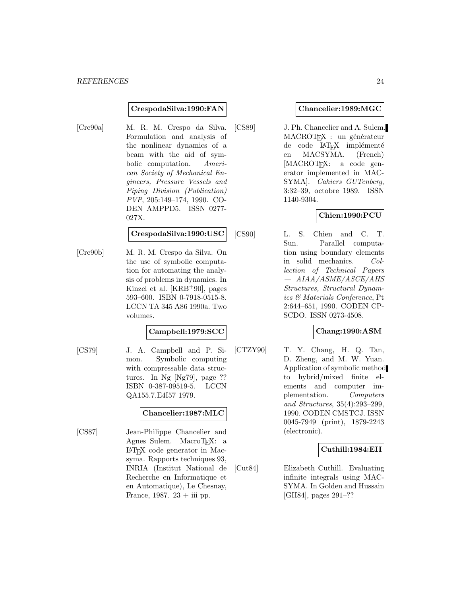#### **CrespodaSilva:1990:FAN**

[Cre90a] M. R. M. Crespo da Silva. Formulation and analysis of the nonlinear dynamics of a beam with the aid of symbolic computation. American Society of Mechanical Engineers, Pressure Vessels and Piping Division (Publication) PVP, 205:149–174, 1990. CO-DEN AMPPD5. ISSN 0277- 027X.

#### **CrespodaSilva:1990:USC**

[Cre90b] M. R. M. Crespo da Silva. On the use of symbolic computation for automating the analysis of problems in dynamics. In Kinzel et al. [KRB<sup>+</sup>90], pages 593–600. ISBN 0-7918-0515-8. LCCN TA 345 A86 1990a. Two volumes.

# **Campbell:1979:SCC**

[CS79] J. A. Campbell and P. Simon. Symbolic computing with compressable data structures. In Ng [Ng79], page ?? ISBN 0-387-09519-5. LCCN QA155.7.E4I57 1979.

# **Chancelier:1987:MLC**

[CS87] Jean-Philippe Chancelier and Agnes Sulem. MacroT<sub>EX</sub>: a LaTEX code generator in Macsyma. Rapports techniques 93, INRIA (Institut National de Recherche en Informatique et en Automatique), Le Chesnay, France, 1987.  $23 + iii$  pp.

### **Chancelier:1989:MGC**

[CS89] J. Ph. Chancelier and A. Sulem. MACROTEX : un générateur de code LAT<sub>E</sub>X implémenté<br>en MACSYMA. (French) en MACSYMA. [MACROT<sub>EX</sub>: a code generator implemented in MAC-SYMA]. Cahiers GUTenberg, 3:32–39, octobre 1989. ISSN 1140-9304.

# **Chien:1990:PCU**

[CS90] L. S. Chien and C. T. Sun. Parallel computation using boundary elements in solid mechanics. Collection of Technical Papers — AIAA/ASME/ASCE/AHS Structures, Structural Dynamics & Materials Conference, Pt 2:644–651, 1990. CODEN CP-SCDO. ISSN 0273-4508.

# **Chang:1990:ASM**

[CTZY90] T. Y. Chang, H. Q. Tan, D. Zheng, and M. W. Yuan. Application of symbolic method to hybrid/mixed finite elements and computer implementation. Computers and Structures, 35(4):293–299, 1990. CODEN CMSTCJ. ISSN 0045-7949 (print), 1879-2243 (electronic).

# **Cuthill:1984:EII**

[Cut84] Elizabeth Cuthill. Evaluating infinite integrals using MAC-SYMA. In Golden and Hussain [GH84], pages 291–??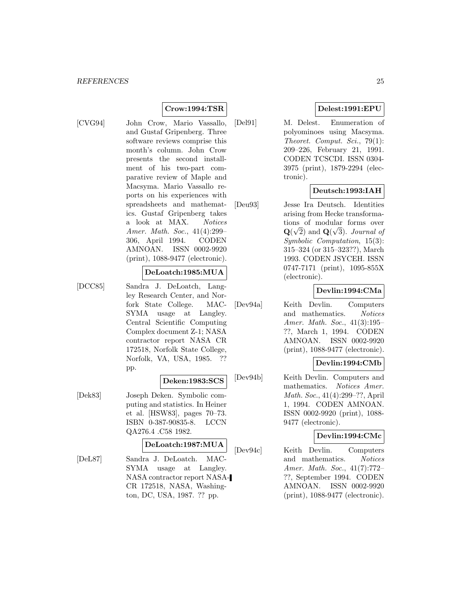# **Crow:1994:TSR**

[CVG94] John Crow, Mario Vassallo, and Gustaf Gripenberg. Three software reviews comprise this month's column. John Crow presents the second installment of his two-part comparative review of Maple and Macsyma. Mario Vassallo reports on his experiences with spreadsheets and mathematics. Gustaf Gripenberg takes a look at MAX. Notices Amer. Math. Soc., 41(4):299– 306, April 1994. CODEN AMNOAN. ISSN 0002-9920 (print), 1088-9477 (electronic).

### **DeLoatch:1985:MUA**

[DCC85] Sandra J. DeLoatch, Langley Research Center, and Norfork State College. MAC-SYMA usage at Langley. Central Scientific Computing Complex document Z-1; NASA contractor report NASA CR 172518, Norfolk State College, Norfolk, VA, USA, 1985. ?? pp.

# **Deken:1983:SCS**

[Dek83] Joseph Deken. Symbolic computing and statistics. In Heiner et al. [HSW83], pages 70–73. ISBN 0-387-90835-8. LCCN QA276.4 .C58 1982.

#### **DeLoatch:1987:MUA**

[DeL87] Sandra J. DeLoatch. MAC-SYMA usage at Langley. NASA contractor report NASA-CR 172518, NASA, Washington, DC, USA, 1987. ?? pp.

# **Delest:1991:EPU**

[Del91] M. Delest. Enumeration of polyominoes using Macsyma. Theoret. Comput. Sci., 79(1): 209–226, February 21, 1991. CODEN TCSCDI. ISSN 0304- 3975 (print), 1879-2294 (electronic).

# **Deutsch:1993:IAH**

[Deu93] Jesse Ira Deutsch. Identities arising from Hecke transformations of modular forms over  $\mathbf{Q}(\sqrt{2})$  and  $\mathbf{Q}(\sqrt{3})$ . Journal of Symbolic Computation, 15(3): 315–324 (or 315–323??), March 1993. CODEN JSYCEH. ISSN 0747-7171 (print), 1095-855X (electronic).

# **Devlin:1994:CMa**

[Dev94a] Keith Devlin. Computers and mathematics. Notices Amer. Math. Soc., 41(3):195– ??, March 1, 1994. CODEN AMNOAN. ISSN 0002-9920 (print), 1088-9477 (electronic).

# **Devlin:1994:CMb**

[Dev94b] Keith Devlin. Computers and mathematics. Notices Amer. Math. Soc., 41(4):299–??, April 1, 1994. CODEN AMNOAN. ISSN 0002-9920 (print), 1088- 9477 (electronic).

# **Devlin:1994:CMc**

[Dev94c] Keith Devlin. Computers and mathematics. Notices Amer. Math. Soc., 41(7):772– ??, September 1994. CODEN AMNOAN. ISSN 0002-9920 (print), 1088-9477 (electronic).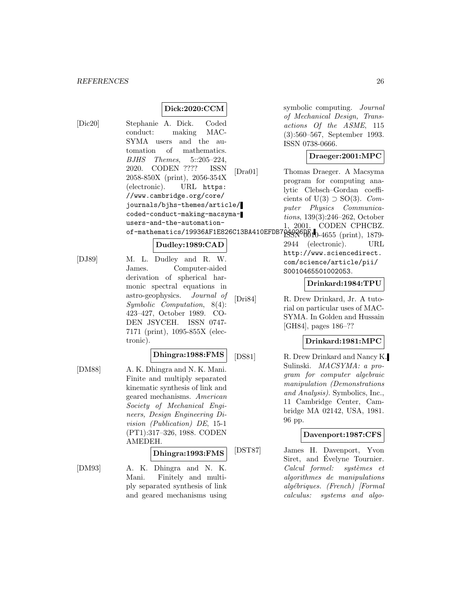# **Dick:2020:CCM**

[Dic20] Stephanie A. Dick. Coded conduct: making MAC-SYMA users and the automation of mathematics. BJHS Themes, 5::205–224, 2020. CODEN ???? ISSN 2058-850X (print), 2056-354X (electronic). URL https: //www.cambridge.org/core/ journals/bjhs-themes/article/ coded-conduct-making-macsymausers-and-the-automationof-mathematics/19936AF1E826C13BA410EFDB

#### **Dudley:1989:CAD**

[DJ89] M. L. Dudley and R. W. James. Computer-aided derivation of spherical harmonic spectral equations in astro-geophysics. Journal of Symbolic Computation, 8(4): 423–427, October 1989. CO-DEN JSYCEH. ISSN 0747- 7171 (print), 1095-855X (electronic).

# **Dhingra:1988:FMS**

[DM88] A. K. Dhingra and N. K. Mani. Finite and multiply separated kinematic synthesis of link and geared mechanisms. American Society of Mechanical Engineers, Design Engineering Division (Publication) DE, 15-1 (PT1):317–326, 1988. CODEN AMEDEH.

# **Dhingra:1993:FMS**

[DM93] A. K. Dhingra and N. K. Mani. Finitely and multiply separated synthesis of link and geared mechanisms using

symbolic computing. Journal of Mechanical Design, Transactions Of the ASME, 115 (3):560–567, September 1993. ISSN 0738-0666.

# **Draeger:2001:MPC**

[Dra01] Thomas Draeger. A Macsyma program for computing analytic Clebsch–Gordan coefficients of U(3)  $\supset$  SO(3). *Com*puter Physics Communications, 139(3):246–262, October 1, 2001. CODEN CPHCBZ.  $R^49860010-4655$  (print), 1879-

> 2944 (electronic). URL http://www.sciencedirect. com/science/article/pii/ S0010465501002053.

#### **Drinkard:1984:TPU**

[Dri84] R. Drew Drinkard, Jr. A tutorial on particular uses of MAC-SYMA. In Golden and Hussain [GH84], pages 186–??

#### **Drinkard:1981:MPC**

[DS81] R. Drew Drinkard and Nancy K. Sulinski. MACSYMA: a program for computer algebraic manipulation (Demonstrations and Analysis). Symbolics, Inc., 11 Cambridge Center, Cambridge MA 02142, USA, 1981. 96 pp.

# **Davenport:1987:CFS**

[DST87] James H. Davenport, Yvon Siret, and Évelyne Tournier. Calcul formel: systèmes et algorithmes de manipulations algébriques. (French) [Formal calculus: systems and algo-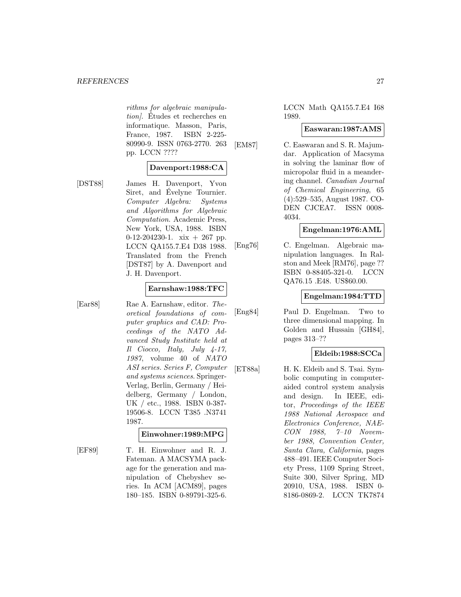rithms for algebraic manipulation. Études et recherches en informatique. Masson, Paris, France, 1987. ISBN 2-225- 80990-9. ISSN 0763-2770. 263 pp. LCCN ????

# **Davenport:1988:CA**

[DST88] James H. Davenport, Yvon Siret, and Evelyne Tournier. Computer Algebra: Systems and Algorithms for Algebraic Computation. Academic Press, New York, USA, 1988. ISBN 0-12-204230-1.  $xix + 267$  pp. LCCN QA155.7.E4 D38 1988. Translated from the French [DST87] by A. Davenport and J. H. Davenport.

### **Earnshaw:1988:TFC**

[Ear88] Rae A. Earnshaw, editor. Theoretical foundations of computer graphics and CAD: Proceedings of the NATO Advanced Study Institute held at  $Il$  Ciocco, Italy, July  $4-17$ , 1987, volume 40 of NATO ASI series. Series F, Computer and systems sciences. Springer-Verlag, Berlin, Germany / Heidelberg, Germany / London, UK / etc., 1988. ISBN 0-387- 19506-8. LCCN T385 .N3741 1987.

# **Einwohner:1989:MPG**

[EF89] T. H. Einwohner and R. J. Fateman. A MACSYMA package for the generation and manipulation of Chebyshev series. In ACM [ACM89], pages 180–185. ISBN 0-89791-325-6.

LCCN Math QA155.7.E4 I68 1989.

#### **Easwaran:1987:AMS**

[EM87] C. Easwaran and S. R. Majumdar. Application of Macsyma in solving the laminar flow of micropolar fluid in a meandering channel. Canadian Journal of Chemical Engineering, 65 (4):529–535, August 1987. CO-DEN CJCEA7. ISSN 0008- 4034.

# **Engelman:1976:AML**

[Eng76] C. Engelman. Algebraic manipulation languages. In Ralston and Meek [RM76], page ?? ISBN 0-88405-321-0. LCCN QA76.15 .E48. US\$60.00.

# **Engelman:1984:TTD**

[Eng84] Paul D. Engelman. Two to three dimensional mapping. In Golden and Hussain [GH84], pages 313–??

# **Eldeib:1988:SCCa**

[ET88a] H. K. Eldeib and S. Tsai. Symbolic computing in computeraided control system analysis and design. In IEEE, editor, Proceedings of the IEEE 1988 National Aerospace and Electronics Conference, NAE-CON 1988, 7–10 November 1988, Convention Center, Santa Clara, California, pages 488–491. IEEE Computer Society Press, 1109 Spring Street, Suite 300, Silver Spring, MD 20910, USA, 1988. ISBN 0- 8186-0869-2. LCCN TK7874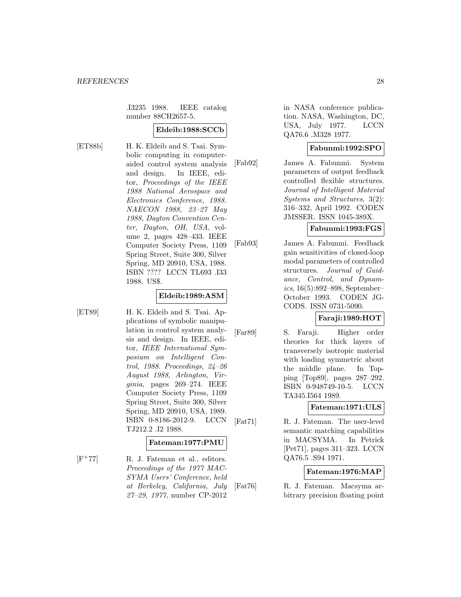.I3235 1988. IEEE catalog number 88CH2657-5.

### **Eldeib:1988:SCCb**

[ET88b] H. K. Eldeib and S. Tsai. Symbolic computing in computeraided control system analysis and design. In IEEE, editor, Proceedings of the IEEE 1988 National Aerospace and Electronics Conference, 1988. NAECON 1988, 23–27 May 1988, Dayton Convention Center, Dayton, OH, USA, volume 2, pages 428–433. IEEE Computer Society Press, 1109 Spring Street, Suite 300, Silver Spring, MD 20910, USA, 1988. ISBN ???? LCCN TL693 .I33 1988. US\$.

# **Eldeib:1989:ASM**

[ET89] H. K. Eldeib and S. Tsai. Applications of symbolic manipulation in control system analysis and design. In IEEE, editor, IEEE International Symposium on Intelligent Control, 1988. Proceedings, 24–26 August 1988, Arlington, Virginia, pages 269–274. IEEE Computer Society Press, 1109 Spring Street, Suite 300, Silver Spring, MD 20910, USA, 1989. ISBN 0-8186-2012-9. LCCN TJ212.2 .I2 1988.

#### **Fateman:1977:PMU**

 $[F^+77]$  R. J. Fateman et al., editors. Proceedings of the 1977 MAC-SYMA Users' Conference, held at Berkeley, California, July 27–29, 1977, number CP-2012

in NASA conference publication. NASA, Washington, DC, USA, July 1977. LCCN QA76.6 .M328 1977.

# **Fabunmi:1992:SPO**

[Fab92] James A. Fabunmi. System parameters of output feedback controlled flexible structures. Journal of Intelligent Material Systems and Structures, 3(2): 316–332, April 1992. CODEN JMSSER. ISSN 1045-389X.

# **Fabunmi:1993:FGS**

[Fab93] James A. Fabunmi. Feedback gain sensitivities of closed-loop modal parameters of controlled structures. Journal of Guidance, Control, and Dynam $ics, 16(5):892 - 898$ , September-October 1993. CODEN JG-CODS. ISSN 0731-5090.

# **Faraji:1989:HOT**

[Far89] S. Faraji. Higher order theories for thick layers of transversely isotropic material with loading symmetric about the middle plane. In Topping [Top89], pages 287–292. ISBN 0-948749-10-5. LCCN TA345.I564 1989.

# **Fateman:1971:ULS**

[Fat71] R. J. Fateman. The user-level semantic matching capabilities in MACSYMA. In Petrick [Pet71], pages 311–323. LCCN QA76.5 .S94 1971.

# **Fateman:1976:MAP**

[Fat76] R. J. Fateman. Macsyma arbitrary precision floating point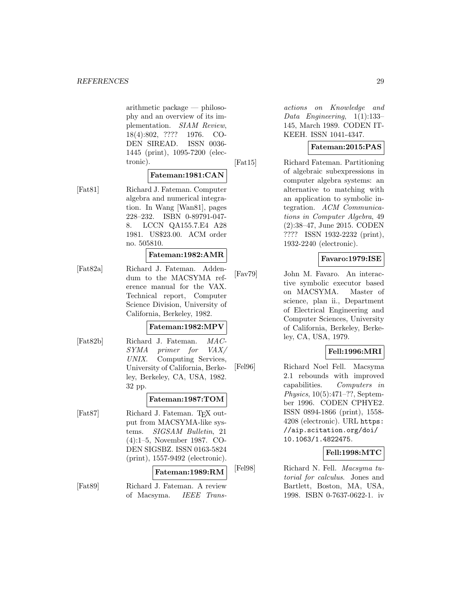arithmetic package — philosophy and an overview of its implementation. SIAM Review, 18(4):802, ???? 1976. CO-DEN SIREAD. ISSN 0036- 1445 (print), 1095-7200 (electronic).

# **Fateman:1981:CAN**

[Fat81] Richard J. Fateman. Computer algebra and numerical integration. In Wang [Wan81], pages 228–232. ISBN 0-89791-047- 8. LCCN QA155.7.E4 A28 1981. US\$23.00. ACM order no. 505810.

#### **Fateman:1982:AMR**

[Fat82a] Richard J. Fateman. Addendum to the MACSYMA reference manual for the VAX. Technical report, Computer Science Division, University of California, Berkeley, 1982.

### **Fateman:1982:MPV**

[Fat82b] Richard J. Fateman. MAC-SYMA primer for VAX/ UNIX. Computing Services, University of California, Berkeley, Berkeley, CA, USA, 1982. 32 pp.

### **Fateman:1987:TOM**

[Fat87] Richard J. Fateman. T<sub>F</sub>X output from MACSYMA-like systems. SIGSAM Bulletin, 21 (4):1–5, November 1987. CO-DEN SIGSBZ. ISSN 0163-5824 (print), 1557-9492 (electronic).

### **Fateman:1989:RM**

[Fat89] Richard J. Fateman. A review of Macsyma. IEEE Trans-

actions on Knowledge and Data Engineering, 1(1):133– 145, March 1989. CODEN IT-KEEH. ISSN 1041-4347.

# **Fateman:2015:PAS**

[Fat15] Richard Fateman. Partitioning of algebraic subexpressions in computer algebra systems: an alternative to matching with an application to symbolic integration. ACM Communications in Computer Algebra, 49 (2):38–47, June 2015. CODEN ???? ISSN 1932-2232 (print), 1932-2240 (electronic).

# **Favaro:1979:ISE**

[Fav79] John M. Favaro. An interactive symbolic executor based on MACSYMA. Master of science, plan ii., Department of Electrical Engineering and Computer Sciences, University of California, Berkeley, Berkeley, CA, USA, 1979.

# **Fell:1996:MRI**

[Fel96] Richard Noel Fell. Macsyma 2.1 rebounds with improved capabilities. Computers in Physics, 10(5):471–??, September 1996. CODEN CPHYE2. ISSN 0894-1866 (print), 1558- 4208 (electronic). URL https: //aip.scitation.org/doi/ 10.1063/1.4822475.

# **Fell:1998:MTC**

[Fel98] Richard N. Fell. Macsyma tutorial for calculus. Jones and Bartlett, Boston, MA, USA, 1998. ISBN 0-7637-0622-1. iv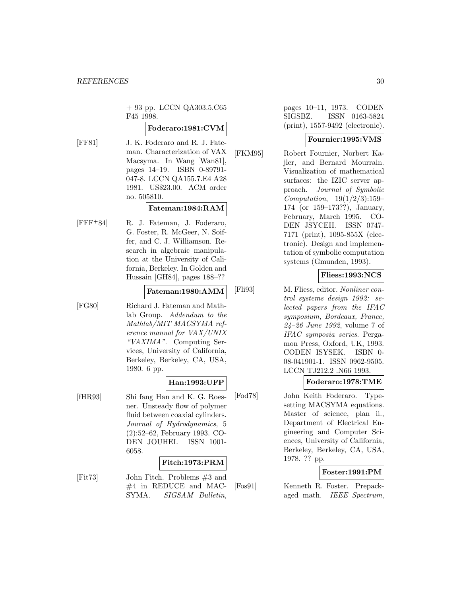+ 93 pp. LCCN QA303.5.C65 F45 1998.

# **Foderaro:1981:CVM**

[FF81] J. K. Foderaro and R. J. Fateman. Characterization of VAX Macsyma. In Wang [Wan81], pages 14–19. ISBN 0-89791- 047-8. LCCN QA155.7.E4 A28 1981. US\$23.00. ACM order no. 505810.

# **Fateman:1984:RAM**

[FFF<sup>+</sup>84] R. J. Fateman, J. Foderaro, G. Foster, R. McGeer, N. Soiffer, and C. J. Williamson. Research in algebraic manipulation at the University of California, Berkeley. In Golden and Hussain [GH84], pages 188–??

#### **Fateman:1980:AMM**

[FG80] Richard J. Fateman and Mathlab Group. Addendum to the Mathlab/MIT MACSYMA reference manual for VAX/UNIX "VAXIMA". Computing Services, University of California, Berkeley, Berkeley, CA, USA, 1980. 6 pp.

# **Han:1993:UFP**

[fHR93] Shi fang Han and K. G. Roesner. Unsteady flow of polymer fluid between coaxial cylinders. Journal of Hydrodynamics, 5 (2):52–62, February 1993. CO-DEN JOUHEI. ISSN 1001- 6058.

# **Fitch:1973:PRM**

[Fit73] John Fitch. Problems #3 and #4 in REDUCE and MAC-SYMA. SIGSAM Bulletin,

pages 10–11, 1973. CODEN SIGSBZ. ISSN 0163-5824 (print), 1557-9492 (electronic).

# **Fournier:1995:VMS**

[FKM95] Robert Fournier, Norbert Kajler, and Bernard Mourrain. Visualization of mathematical surfaces: the IZIC server approach. Journal of Symbolic  $Computation, 19(1/2/3):159-$ 174 (or 159–173??), January, February, March 1995. CO-DEN JSYCEH. ISSN 0747- 7171 (print), 1095-855X (electronic). Design and implementation of symbolic computation systems (Gmunden, 1993).

# **Fliess:1993:NCS**

[Fli93] M. Fliess, editor. Nonliner control systems design 1992: selected papers from the IFAC symposium, Bordeaux, France, 24–26 June 1992, volume 7 of IFAC symposia series. Pergamon Press, Oxford, UK, 1993. CODEN ISYSEK. ISBN 0- 08-041901-1. ISSN 0962-9505. LCCN TJ212.2 .N66 1993.

# **Foderaro:1978:TME**

[Fod78] John Keith Foderaro. Typesetting MACSYMA equations. Master of science, plan ii., Department of Electrical Engineering and Computer Sciences, University of California, Berkeley, Berkeley, CA, USA, 1978. ?? pp.

# **Foster:1991:PM**

[Fos91] Kenneth R. Foster. Prepackaged math. IEEE Spectrum,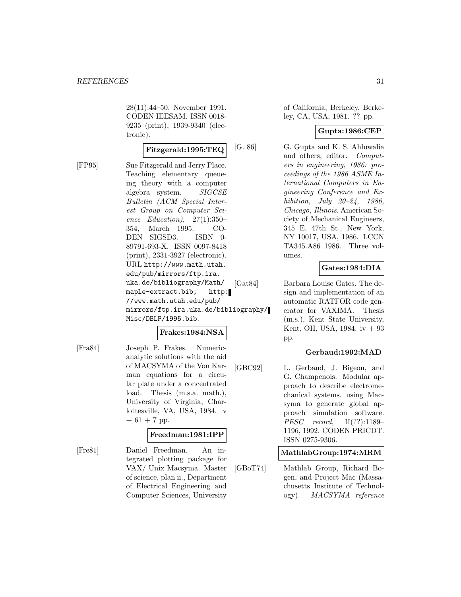28(11):44–50, November 1991. CODEN IEESAM. ISSN 0018- 9235 (print), 1939-9340 (electronic).

$$
\textbf{Fitz} \text{gerald:} 1995: \text{TEQ} | ^{\text{[C]}}
$$

[FP95] Sue Fitzgerald and Jerry Place. Teaching elementary queueing theory with a computer algebra system. SIGCSE Bulletin (ACM Special Interest Group on Computer Science Education),  $27(1):350-$ 354, March 1995. CO-DEN SIGSD3. ISBN 0- 89791-693-X. ISSN 0097-8418 (print), 2331-3927 (electronic). URL http://www.math.utah. edu/pub/mirrors/ftp.ira. uka.de/bibliography/Math/ maple-extract.bib; http: //www.math.utah.edu/pub/ mirrors/ftp.ira.uka.de/bibliography/ Misc/DBLP/1995.bib.

# **Frakes:1984:NSA**

[Fra84] Joseph P. Frakes. Numericanalytic solutions with the aid of MACSYMA of the Von Karman equations for a circular plate under a concentrated load. Thesis (m.s.a. math.), University of Virginia, Charlottesville, VA, USA, 1984. v  $+ 61 + 7$  pp.

# **Freedman:1981:IPP**

[Fre81] Daniel Freedman. An integrated plotting package for VAX/ Unix Macsyma. Master of science, plan ii., Department of Electrical Engineering and Computer Sciences, University

of California, Berkeley, Berkeley, CA, USA, 1981. ?? pp.

# **Gupta:1986:CEP**

[G. 86] G. Gupta and K. S. Ahluwalia and others, editor. Computers in engineering, 1986: proceedings of the 1986 ASME International Computers in Engineering Conference and Exhibition, July 20–24, 1986, Chicago, Illinois. American Society of Mechanical Engineers, 345 E. 47th St., New York, NY 10017, USA, 1986. LCCN TA345.A86 1986. Three volumes.

# **Gates:1984:DIA**

[Gat84] Barbara Louise Gates. The design and implementation of an automatic RATFOR code generator for VAXIMA. Thesis (m.s.), Kent State University, Kent, OH, USA, 1984. iv + 93 pp.

# **Gerbaud:1992:MAD**

[GBC92] L. Gerbaud, J. Bigeon, and G. Champenois. Modular approach to describe electromechanical systems. using Macsyma to generate global approach simulation software. PESC record, II(??):1189– 1196, 1992. CODEN PRICDT. ISSN 0275-9306.

# **MathlabGroup:1974:MRM**

[GBoT74] Mathlab Group, Richard Bogen, and Project Mac (Massachusetts Institute of Technology). MACSYMA reference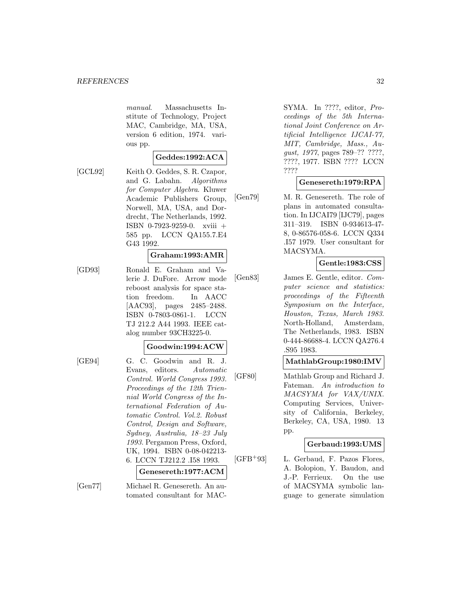manual. Massachusetts Institute of Technology, Project MAC, Cambridge, MA, USA, version 6 edition, 1974. various pp.

#### **Geddes:1992:ACA**

[GCL92] Keith O. Geddes, S. R. Czapor, and G. Labahn. Algorithms for Computer Algebra. Kluwer Academic Publishers Group, Norwell, MA, USA, and Dordrecht, The Netherlands, 1992. ISBN 0-7923-9259-0. xviii + 585 pp. LCCN QA155.7.E4 G43 1992.

#### **Graham:1993:AMR**

[GD93] Ronald E. Graham and Valerie J. DuFore. Arrow mode reboost analysis for space station freedom. In AACC [AAC93], pages 2485–2488. ISBN 0-7803-0861-1. LCCN TJ 212.2 A44 1993. IEEE catalog number 93CH3225-0.

#### **Goodwin:1994:ACW**

[GE94] G. C. Goodwin and R. J. Evans, editors. Automatic Control. World Congress 1993. Proceedings of the 12th Triennial World Congress of the International Federation of Automatic Control. Vol.2. Robust Control, Design and Software, Sydney, Australia, 18–23 July 1993. Pergamon Press, Oxford, UK, 1994. ISBN 0-08-042213- 6. LCCN TJ212.2 .I58 1993.

#### **Genesereth:1977:ACM**

[Gen77] Michael R. Genesereth. An automated consultant for MAC- SYMA. In ????, editor, Proceedings of the 5th International Joint Conference on Artificial Intelligence IJCAI-77, MIT, Cambridge, Mass., August, 1977, pages 789–?? ????, ????, 1977. ISBN ???? LCCN ????

# **Genesereth:1979:RPA**

[Gen79] M. R. Genesereth. The role of plans in automated consultation. In IJCAI79 [IJC79], pages 311–319. ISBN 0-934613-47- 8, 0-86576-058-6. LCCN Q334 .I57 1979. User consultant for MACSYMA.

# **Gentle:1983:CSS**

[Gen83] James E. Gentle, editor. Computer science and statistics: proceedings of the Fifteenth Symposium on the Interface, Houston, Texas, March 1983. North-Holland, Amsterdam, The Netherlands, 1983. ISBN 0-444-86688-4. LCCN QA276.4 .S95 1983.

# **MathlabGroup:1980:IMV**

[GF80] Mathlab Group and Richard J. Fateman. An introduction to MACSYMA for VAX/UNIX. Computing Services, University of California, Berkeley, Berkeley, CA, USA, 1980. 13 pp.

# **Gerbaud:1993:UMS**

[GFB<sup>+</sup>93] L. Gerbaud, F. Pazos Flores, A. Bolopion, Y. Baudon, and J.-P. Ferrieux. On the use of MACSYMA symbolic language to generate simulation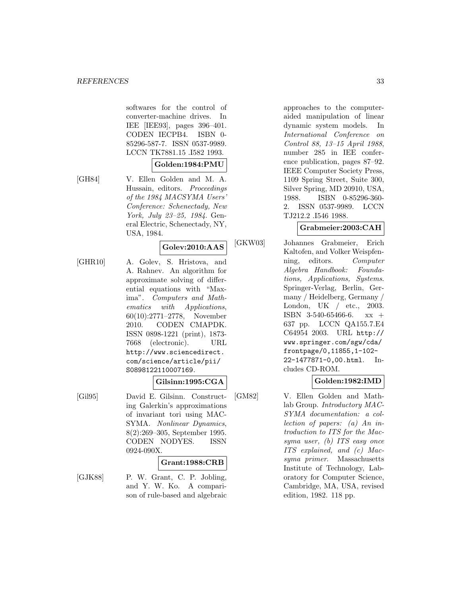softwares for the control of converter-machine drives. In IEE [IEE93], pages 396–401. CODEN IECPB4. ISBN 0- 85296-587-7. ISSN 0537-9989. LCCN TK7881.15 .I582 1993.

# **Golden:1984:PMU**

[GH84] V. Ellen Golden and M. A. Hussain, editors. Proceedings of the 1984 MACSYMA Users' Conference: Schenectady, New York, July 23–25, 1984. General Electric, Schenectady, NY, USA, 1984.

# **Golev:2010:AAS**

[GHR10] A. Golev, S. Hristova, and A. Rahnev. An algorithm for approximate solving of differential equations with "Maxima". Computers and Mathematics with Applications, 60(10):2771–2778, November 2010. CODEN CMAPDK. ISSN 0898-1221 (print), 1873- 7668 (electronic). URL http://www.sciencedirect. com/science/article/pii/ S0898122110007169.

# **Gilsinn:1995:CGA**

[Gil95] David E. Gilsinn. Constructing Galerkin's approximations of invariant tori using MAC-SYMA. Nonlinear Dynamics, 8(2):269–305, September 1995. CODEN NODYES. ISSN 0924-090X.

#### **Grant:1988:CRB**

[GJK88] P. W. Grant, C. P. Jobling, and Y. W. Ko. A comparison of rule-based and algebraic

approaches to the computeraided manipulation of linear dynamic system models. In International Conference on Control 88, 13–15 April 1988, number 285 in IEE conference publication, pages 87–92. IEEE Computer Society Press, 1109 Spring Street, Suite 300, Silver Spring, MD 20910, USA, 1988. ISBN 0-85296-360- 2. ISSN 0537-9989. LCCN TJ212.2 .I546 1988.

#### **Grabmeier:2003:CAH**

[GKW03] Johannes Grabmeier, Erich Kaltofen, and Volker Weispfenning, editors. Computer Algebra Handbook: Foundations, Applications, Systems. Springer-Verlag, Berlin, Germany / Heidelberg, Germany / London, UK / etc., 2003. ISBN 3-540-65466-6. xx + 637 pp. LCCN QA155.7.E4 C64954 2003. URL http:// www.springer.com/sgw/cda/ frontpage/0,11855,1-102- 22-1477871-0,00.html. Includes CD-ROM.

# **Golden:1982:IMD**

[GM82] V. Ellen Golden and Mathlab Group. Introductory MAC-SYMA documentation: a collection of papers: (a) An introduction to ITS for the Macsyma user, (b) ITS easy once ITS explained, and (c) Macsyma primer. Massachusetts Institute of Technology, Laboratory for Computer Science, Cambridge, MA, USA, revised edition, 1982. 118 pp.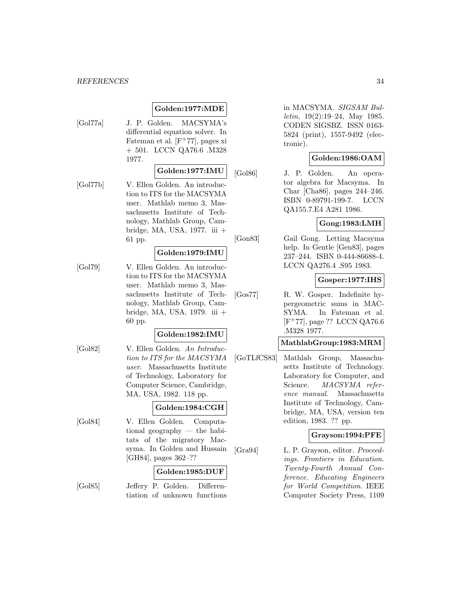# **Golden:1977:MDE**

[Gol77a] J. P. Golden. MACSYMA's differential equation solver. In Fateman et al.  $[F+77]$ , pages xi + 501. LCCN QA76.6 .M328 1977.

# **Golden:1977:IMU**

[Gol77b] V. Ellen Golden. An introduction to ITS for the MACSYMA user. Mathlab memo 3, Massachusetts Institute of Technology, Mathlab Group, Cambridge, MA, USA, 1977. iii + 61 pp.

### **Golden:1979:IMU**

[Gol79] V. Ellen Golden. An introduction to ITS for the MACSYMA user. Mathlab memo 3, Massachusetts Institute of Technology, Mathlab Group, Cambridge, MA, USA, 1979. iii + 60 pp.

# **Golden:1982:IMU**

[Gol82] V. Ellen Golden. An Introduction to ITS for the MACSYMA user. Massachusetts Institute of Technology, Laboratory for Computer Science, Cambridge, MA, USA, 1982. 118 pp.

#### **Golden:1984:CGH**

[Gol84] V. Ellen Golden. Computational geography — the habitats of the migratory Macsyma. In Golden and Hussain [GH84], pages 362–??

### **Golden:1985:DUF**

[Gol85] Jeffery P. Golden. Differentiation of unknown functions in MACSYMA. SIGSAM Bulletin, 19(2):19–24, May 1985. CODEN SIGSBZ. ISSN 0163- 5824 (print), 1557-9492 (electronic).

# **Golden:1986:OAM**

[Gol86] J. P. Golden. An operator algebra for Macsyma. In Char [Cha86], pages 244–246. ISBN 0-89791-199-7. LCCN QA155.7.E4 A281 1986.

# **Gong:1983:LMH**

[Gon83] Gail Gong. Letting Macsyma help. In Gentle [Gen83], pages 237–244. ISBN 0-444-86688-4. LCCN QA276.4 .S95 1983.

# **Gosper:1977:IHS**

[Gos77] R. W. Gosper. Indefinite hypergeometric sums in MAC-SYMA. In Fateman et al.  $[F^+77]$ , page ?? LCCN QA76.6 .M328 1977.

### **MathlabGroup:1983:MRM**

[GoTLfCS83] Mathlab Group, Massachusetts Institute of Technology. Laboratory for Computer, and Science. MACSYMA reference manual. Massachusetts Institute of Technology, Cambridge, MA, USA, version ten edition, 1983. ?? pp.

# **Grayson:1994:PFE**

[Gra94] L. P. Grayson, editor. Proceedings. Frontiers in Education. Twenty-Fourth Annual Conference. Educating Engineers for World Competition. IEEE Computer Society Press, 1109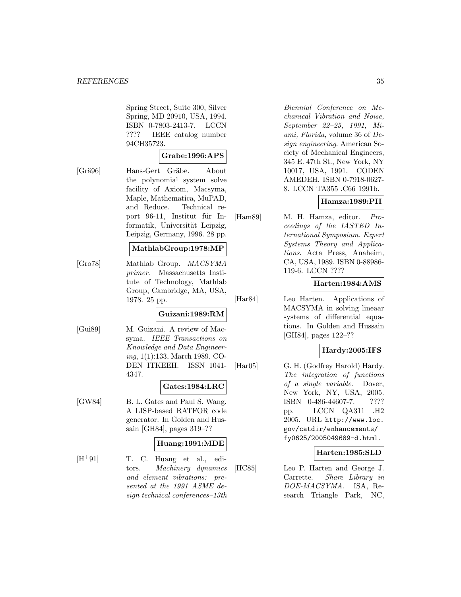Spring Street, Suite 300, Silver Spring, MD 20910, USA, 1994. ISBN 0-7803-2413-7. LCCN ???? IEEE catalog number 94CH35723.

# **Grabe:1996:APS**

[Grä96] Hans-Gert Gräbe. About the polynomial system solve facility of Axiom, Macsyma, Maple, Mathematica, MuPAD, and Reduce. Technical report 96-11, Institut für Informatik, Universität Leipzig, Leipzig, Germany, 1996. 28 pp.

# **MathlabGroup:1978:MP**

[Gro78] Mathlab Group. MACSYMA primer. Massachusetts Institute of Technology, Mathlab Group, Cambridge, MA, USA, 1978. 25 pp.

# **Guizani:1989:RM**

[Gui89] M. Guizani. A review of Macsyma. IEEE Transactions on Knowledge and Data Engineering, 1(1):133, March 1989. CO-DEN ITKEEH. ISSN 1041- 4347.

#### **Gates:1984:LRC**

[GW84] B. L. Gates and Paul S. Wang. A LISP-based RATFOR code generator. In Golden and Hussain [GH84], pages 319–??

# **Huang:1991:MDE**

 $[H^+91]$  T. C. Huang et al., editors. Machinery dynamics and element vibrations: presented at the 1991 ASME design technical conferences–13th

Biennial Conference on Mechanical Vibration and Noise, September 22–25, 1991, Miami, Florida, volume 36 of Design engineering. American Society of Mechanical Engineers, 345 E. 47th St., New York, NY 10017, USA, 1991. CODEN AMEDEH. ISBN 0-7918-0627- 8. LCCN TA355 .C66 1991b.

# **Hamza:1989:PII**

[Ham89] M. H. Hamza, editor. Proceedings of the IASTED International Symposium. Expert Systems Theory and Applications. Acta Press, Anaheim, CA, USA, 1989. ISBN 0-88986- 119-6. LCCN ????

# **Harten:1984:AMS**

[Har84] Leo Harten. Applications of MACSYMA in solving lineaar systems of differential equations. In Golden and Hussain [GH84], pages 122–??

# **Hardy:2005:IFS**

[Har05] G. H. (Godfrey Harold) Hardy. The integration of functions of a single variable. Dover, New York, NY, USA, 2005. ISBN 0-486-44607-7. ???? pp. LCCN QA311 .H2 2005. URL http://www.loc. gov/catdir/enhancements/ fy0625/2005049689-d.html.

# **Harten:1985:SLD**

[HC85] Leo P. Harten and George J. Carrette. Share Library in DOE-MACSYMA. ISA, Research Triangle Park, NC,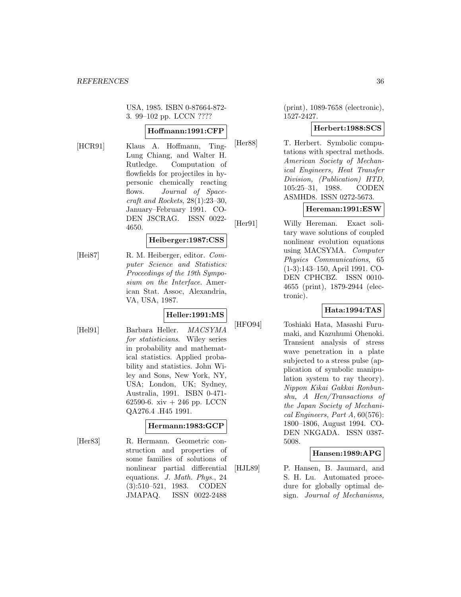USA, 1985. ISBN 0-87664-872- 3. 99–102 pp. LCCN ????

# **Hoffmann:1991:CFP**

[HCR91] Klaus A. Hoffmann, Ting-Lung Chiang, and Walter H. Rutledge. Computation of flowfields for projectiles in hypersonic chemically reacting flows. Journal of Spacecraft and Rockets, 28(1):23–30, January–February 1991. CO-DEN JSCRAG. ISSN 0022- 4650.

# **Heiberger:1987:CSS**

[Hei87] R. M. Heiberger, editor. Computer Science and Statistics: Proceedings of the 19th Symposium on the Interface. American Stat. Assoc, Alexandria, VA, USA, 1987.

# **Heller:1991:MS**

[Hel91] Barbara Heller. MACSYMA for statisticians. Wiley series in probability and mathematical statistics. Applied probability and statistics. John Wiley and Sons, New York, NY, USA; London, UK; Sydney, Australia, 1991. ISBN 0-471- 62590-6. xiv + 246 pp. LCCN QA276.4 .H45 1991.

# **Hermann:1983:GCP**

[Her83] R. Hermann. Geometric construction and properties of some families of solutions of nonlinear partial differential equations. J. Math. Phys., 24 (3):510–521, 1983. CODEN JMAPAQ. ISSN 0022-2488

(print), 1089-7658 (electronic), 1527-2427.

# **Herbert:1988:SCS**

[Her88] T. Herbert. Symbolic computations with spectral methods. American Society of Mechanical Engineers, Heat Transfer Division, (Publication) HTD, 105:25–31, 1988. CODEN ASMHD8. ISSN 0272-5673.

# **Hereman:1991:ESW**

[Her91] Willy Hereman. Exact solitary wave solutions of coupled nonlinear evolution equations using MACSYMA. Computer Physics Communications, 65 (1-3):143–150, April 1991. CO-DEN CPHCBZ. ISSN 0010- 4655 (print), 1879-2944 (electronic).

# **Hata:1994:TAS**

[HFO94] Toshiaki Hata, Masashi Furumaki, and Kazuhumi Ohenoki. Transient analysis of stress wave penetration in a plate subjected to a stress pulse (application of symbolic manipulation system to ray theory). Nippon Kikai Gakkai Ronbunshu, A Hen/Transactions of the Japan Society of Mechanical Engineers, Part A, 60(576): 1800–1806, August 1994. CO-DEN NKGADA. ISSN 0387- 5008.

# **Hansen:1989:APG**

[HJL89] P. Hansen, B. Jaumard, and S. H. Lu. Automated procedure for globally optimal design. Journal of Mechanisms,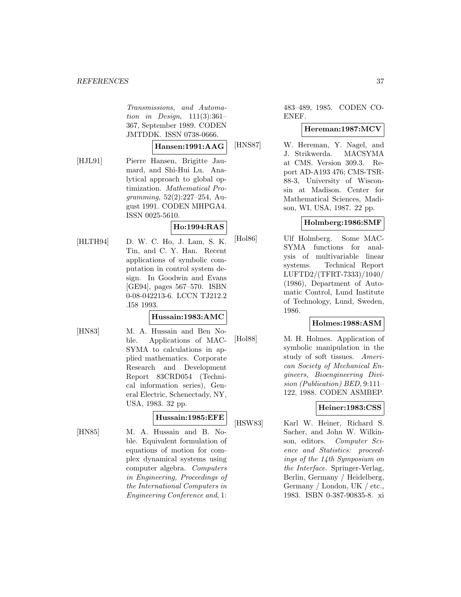Transmissions, and Automation in Design, 111(3):361– 367, September 1989. CODEN JMTDDK. ISSN 0738-0666.

#### **Hansen:1991:AAG**

[HJL91] Pierre Hansen, Brigitte Jaumard, and Shi-Hui Lu. Analytical approach to global optimization. Mathematical Programming, 52(2):227–254, August 1991. CODEN MHPGA4. ISSN 0025-5610.

# **Ho:1994:RAS**

[HLTH94] D. W. C. Ho, J. Lam, S. K. Tin, and C. Y. Han. Recent applications of symbolic computation in control system design. In Goodwin and Evans [GE94], pages 567–570. ISBN 0-08-042213-6. LCCN TJ212.2 .I58 1993.

# **Hussain:1983:AMC**

- 
- [HN83] M. A. Hussain and Ben Noble. Applications of MAC-SYMA to calculations in applied mathematics. Corporate Research and Development Report 83CRD054 (Technical information series), General Electric, Schenectady, NY, USA, 1983. 32 pp.

# **Hussain:1985:EFE**

[HN85] M. A. Hussain and B. Noble. Equivalent formulation of equations of motion for complex dynamical systems using computer algebra. Computers in Engineering, Proceedings of the International Computers in Engineering Conference and, 1:

483–489, 1985. CODEN CO-ENEF.

### **Hereman:1987:MCV**

[HNS87] W. Hereman, Y. Nagel, and J. Strikwerda. MACSYMA at CMS. Version 309.3. Report AD-A193 476; CMS-TSR-88-3, University of Wisconsin at Madison. Center for Mathematical Sciences, Madison, WI, USA, 1987. 22 pp.

# **Holmberg:1986:SMF**

[Hol86] Ulf Holmberg. Some MAC-SYMA functions for analysis of multivariable linear systems. Technical Report LUFTD2/(TFRT-7333)/1040/ (1986), Department of Automatic Control, Lund Institute of Technology, Lund, Sweden, 1986.

# **Holmes:1988:ASM**

[Hol88] M. H. Holmes. Application of symbolic manipulation in the study of soft tissues. American Society of Mechanical Engineers, Bioengineering Division (Publication) BED, 9:111– 122, 1988. CODEN ASMBEP.

# **Heiner:1983:CSS**

[HSW83] Karl W. Heiner, Richard S. Sacher, and John W. Wilkinson, editors. Computer Science and Statistics: proceedings of the 14th Symposium on the Interface. Springer-Verlag, Berlin, Germany / Heidelberg, Germany / London, UK / etc., 1983. ISBN 0-387-90835-8. xi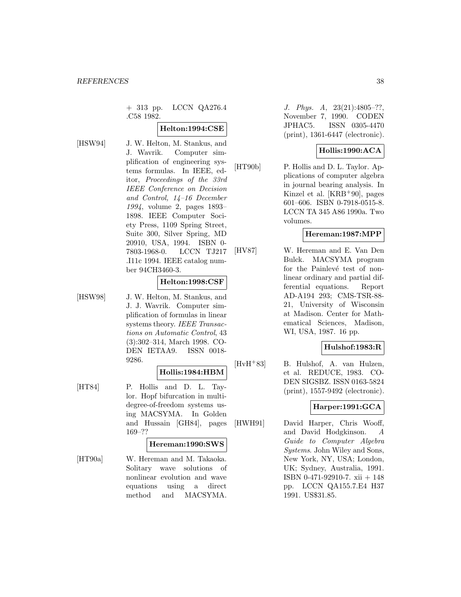+ 313 pp. LCCN QA276.4 .C58 1982.

### **Helton:1994:CSE**

[HSW94] J. W. Helton, M. Stankus, and J. Wavrik. Computer simplification of engineering systems formulas. In IEEE, editor, Proceedings of the 33rd IEEE Conference on Decision and Control, 14–16 December 1994, volume 2, pages 1893– 1898. IEEE Computer Society Press, 1109 Spring Street, Suite 300, Silver Spring, MD 20910, USA, 1994. ISBN 0- 7803-1968-0. LCCN TJ217 .I11c 1994. IEEE catalog number 94CH3460-3.

### **Helton:1998:CSF**

[HSW98] J. W. Helton, M. Stankus, and J. J. Wavrik. Computer simplification of formulas in linear systems theory. IEEE Transactions on Automatic Control, 43 (3):302–314, March 1998. CO-DEN IETAA9. ISSN 0018- 9286.

### **Hollis:1984:HBM**

[HT84] P. Hollis and D. L. Taylor. Hopf bifurcation in multidegree-of-freedom systems using MACSYMA. In Golden and Hussain [GH84], pages 169–??

#### **Hereman:1990:SWS**

[HT90a] W. Hereman and M. Takaoka. Solitary wave solutions of nonlinear evolution and wave equations using a direct method and MACSYMA.

J. Phys. A, 23(21):4805–??, November 7, 1990. CODEN JPHAC5. ISSN 0305-4470 (print), 1361-6447 (electronic).

# **Hollis:1990:ACA**

[HT90b] P. Hollis and D. L. Taylor. Applications of computer algebra in journal bearing analysis. In Kinzel et al. [KRB<sup>+</sup>90], pages 601–606. ISBN 0-7918-0515-8. LCCN TA 345 A86 1990a. Two volumes.

### **Hereman:1987:MPP**

[HV87] W. Hereman and E. Van Den Bulck. MACSYMA program for the Painlevé test of nonlinear ordinary and partial differential equations. Report AD-A194 293; CMS-TSR-88- 21, University of Wisconsin at Madison. Center for Mathematical Sciences, Madison, WI, USA, 1987. 16 pp.

# **Hulshof:1983:R**

[HvH<sup>+</sup>83] B. Hulshof, A. van Hulzen, et al. REDUCE, 1983. CO-DEN SIGSBZ. ISSN 0163-5824 (print), 1557-9492 (electronic).

# **Harper:1991:GCA**

[HWH91] David Harper, Chris Wooff, and David Hodgkinson. A Guide to Computer Algebra Systems. John Wiley and Sons, New York, NY, USA; London, UK; Sydney, Australia, 1991. ISBN 0-471-92910-7. xii + 148 pp. LCCN QA155.7.E4 H37 1991. US\$31.85.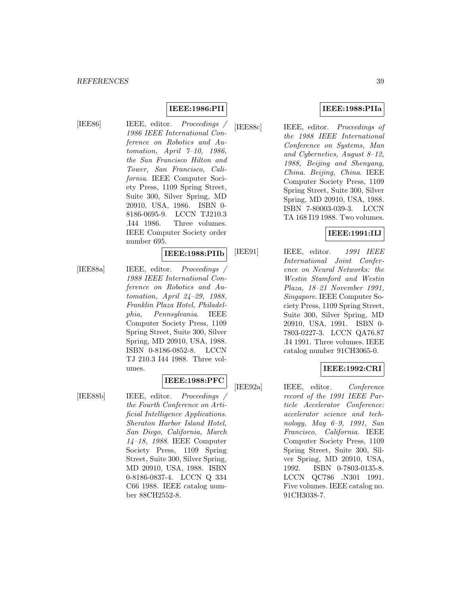# **IEEE:1986:PII**

[IEE86] IEEE, editor. Proceedings / 1986 IEEE International Conference on Robotics and Automation, April 7–10, 1986, the San Francisco Hilton and Tower, San Francisco, California. IEEE Computer Society Press, 1109 Spring Street, Suite 300, Silver Spring, MD 20910, USA, 1986. ISBN 0- 8186-0695-9. LCCN TJ210.3 .I44 1986. Three volumes. IEEE Computer Society order number 695.

#### **IEEE:1988:PIIb**

[IEE88a] IEEE, editor. Proceedings / 1988 IEEE International Conference on Robotics and Automation, April 24–29, 1988, Franklin Plaza Hotel, Philadelphia, Pennsylvania. IEEE Computer Society Press, 1109 Spring Street, Suite 300, Silver Spring, MD 20910, USA, 1988. ISBN 0-8186-0852-8. LCCN TJ 210.3 I44 1988. Three volumes.

### **IEEE:1988:PFC**

[IEE88b] IEEE, editor. Proceedings / the Fourth Conference on Artificial Intelligence Applications. Sheraton Harbor Island Hotel, San Diego, California, March 14–18, 1988. IEEE Computer Society Press, 1109 Spring Street, Suite 300, Silver Spring, MD 20910, USA, 1988. ISBN 0-8186-0837-4. LCCN Q 334 C66 1988. IEEE catalog number 88CH2552-8.

# **IEEE:1988:PIIa**

[IEE88c] IEEE, editor. Proceedings of the 1988 IEEE International Conference on Systems, Man and Cybernetics, August 8–12, 1988, Beijing and Shenyang, China. Beijing, China. IEEE Computer Society Press, 1109 Spring Street, Suite 300, Silver Spring, MD 20910, USA, 1988. ISBN 7-80003-039-3. LCCN TA 168 I19 1988. Two volumes.

### **IEEE:1991:IIJ**

[IEE91] IEEE, editor. 1991 IEEE International Joint Conference on Neural Networks: the Westin Stamford and Westin Plaza, 18–21 November 1991, Singapore. IEEE Computer Society Press, 1109 Spring Street, Suite 300, Silver Spring, MD 20910, USA, 1991. ISBN 0- 7803-0227-3. LCCN QA76.87 .I4 1991. Three volumes. IEEE catalog number 91CH3065-0.

# **IEEE:1992:CRI**

[IEE92a] IEEE, editor. Conference record of the 1991 IEEE Particle Accelerator Conference: accelerator science and technology, May 6–9, 1991, San Francisco, California. IEEE Computer Society Press, 1109 Spring Street, Suite 300, Silver Spring, MD 20910, USA, 1992. ISBN 0-7803-0135-8. LCCN QC786 .N301 1991. Five volumes. IEEE catalog no. 91CH3038-7.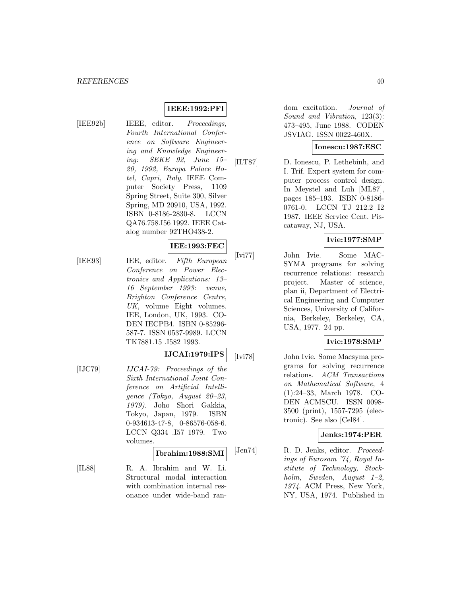# **IEEE:1992:PFI**

[IEE92b] IEEE, editor. Proceedings, Fourth International Conference on Software Engineering and Knowledge Engineering: SEKE 92, June 15– 20, 1992, Europa Palace Hotel, Capri, Italy. IEEE Computer Society Press, 1109 Spring Street, Suite 300, Silver Spring, MD 20910, USA, 1992. ISBN 0-8186-2830-8. LCCN QA76.758.I56 1992. IEEE Catalog number 92THO438-2.

### **IEE:1993:FEC**

[IEE93] IEE, editor. Fifth European Conference on Power Electronics and Applications: 13– 16 September 1993: venue, Brighton Conference Centre, UK, volume Eight volumes. IEE, London, UK, 1993. CO-DEN IECPB4. ISBN 0-85296- 587-7. ISSN 0537-9989. LCCN TK7881.15 .I582 1993.

# **IJCAI:1979:IPS**

[IJC79] IJCAI-79: Proceedings of the Sixth International Joint Conference on Artificial Intelligence (Tokyo, August 20–23, 1979). Joho Shori Gakkia, Tokyo, Japan, 1979. ISBN 0-934613-47-8, 0-86576-058-6. LCCN Q334 .I57 1979. Two volumes.

# **Ibrahim:1988:SMI**

[IL88] R. A. Ibrahim and W. Li. Structural modal interaction with combination internal resonance under wide-band random excitation. Journal of Sound and Vibration, 123(3): 473–495, June 1988. CODEN JSVIAG. ISSN 0022-460X.

### **Ionescu:1987:ESC**

[ILT87] D. Ionescu, P. Lethebinh, and I. Trif. Expert system for computer process control design. In Meystel and Luh [ML87], pages 185–193. ISBN 0-8186- 0761-0. LCCN TJ 212.2 I2 1987. IEEE Service Cent. Piscataway, NJ, USA.

# **Ivie:1977:SMP**

[Ivi77] John Ivie. Some MAC-SYMA programs for solving recurrence relations: research project. Master of science, plan ii, Department of Electrical Engineering and Computer Sciences, University of California, Berkeley, Berkeley, CA, USA, 1977. 24 pp.

### **Ivie:1978:SMP**

[Ivi78] John Ivie. Some Macsyma programs for solving recurrence relations. ACM Transactions on Mathematical Software, 4 (1):24–33, March 1978. CO-DEN ACMSCU. ISSN 0098- 3500 (print), 1557-7295 (electronic). See also [Cel84].

# **Jenks:1974:PER**

[Jen74] R. D. Jenks, editor. Proceedings of Eurosam '74, Royal Institute of Technology, Stockholm, Sweden, August 1–2, 1974. ACM Press, New York, NY, USA, 1974. Published in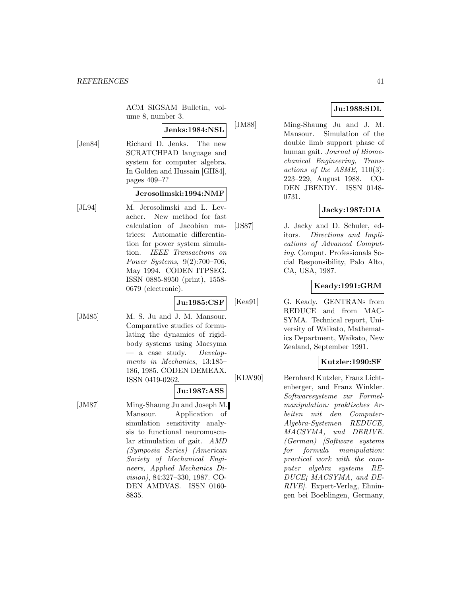ACM SIGSAM Bulletin, volume 8, number 3.

# **Jenks:1984:NSL**

[Jen84] Richard D. Jenks. The new SCRATCHPAD language and system for computer algebra. In Golden and Hussain [GH84], pages 409–??

### **Jerosolimski:1994:NMF**

[JL94] M. Jerosolimski and L. Levacher. New method for fast calculation of Jacobian matrices: Automatic differentiation for power system simulation. IEEE Transactions on Power Systems, 9(2):700–706, May 1994. CODEN ITPSEG. ISSN 0885-8950 (print), 1558- 0679 (electronic).

**Ju:1985:CSF**

[JM85] M. S. Ju and J. M. Mansour. Comparative studies of formulating the dynamics of rigidbody systems using Macsyma  $-$  a case study. Developments in Mechanics, 13:185– 186, 1985. CODEN DEMEAX. ISSN 0419-0262.

### **Ju:1987:ASS**

[JM87] Ming-Shaung Ju and Joseph M. Mansour. Application of simulation sensitivity analysis to functional neuromuscular stimulation of gait. AMD (Symposia Series) (American Society of Mechanical Engineers, Applied Mechanics Division), 84:327–330, 1987. CO-DEN AMDVAS. ISSN 0160- 8835.

### **Ju:1988:SDL**

[JM88] Ming-Shaung Ju and J. M. Mansour. Simulation of the double limb support phase of human gait. Journal of Biomechanical Engineering, Transactions of the ASME, 110(3): 223–229, August 1988. CO-DEN JBENDY. ISSN 0148- 0731.

# **Jacky:1987:DIA**

[JS87] J. Jacky and D. Schuler, editors. Directions and Implications of Advanced Computing. Comput. Professionals Social Responsibility, Palo Alto, CA, USA, 1987.

# **Keady:1991:GRM**

[Kea91] G. Keady. GENTRANs from REDUCE and from MAC-SYMA. Technical report, University of Waikato, Mathematics Department, Waikato, New Zealand, September 1991.

# **Kutzler:1990:SF**

[KLW90] Bernhard Kutzler, Franz Lichtenberger, and Franz Winkler. Softwaresysteme zur Formelmanipulation: praktisches Arbeiten mit den Computer-Algebra-Systemen REDUCE, MACSYMA, und DERIVE. (German) [Software systems for formula manipulation: practical work with the computer algebra systems RE-DUCE¡ MACSYMA, and DE-RIVE]. Expert-Verlag, Ehningen bei Boeblingen, Germany,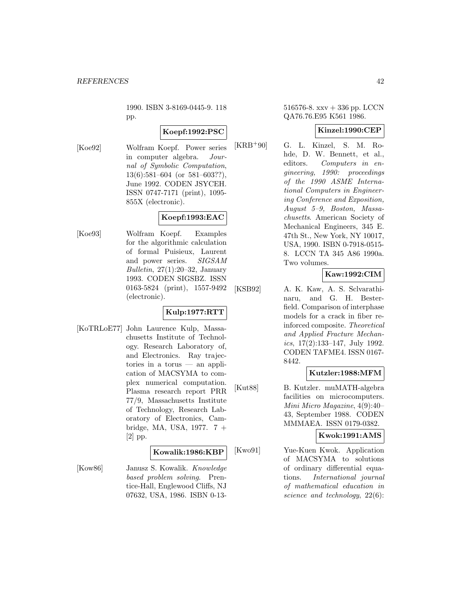1990. ISBN 3-8169-0445-9. 118 pp.

# **Koepf:1992:PSC**

[Koe92] Wolfram Koepf. Power series in computer algebra. Journal of Symbolic Computation, 13(6):581–604 (or 581–603??), June 1992. CODEN JSYCEH. ISSN 0747-7171 (print), 1095- 855X (electronic).

# **Koepf:1993:EAC**

[Koe93] Wolfram Koepf. Examples for the algorithmic calculation of formal Puisieux, Laurent and power series. SIGSAM Bulletin,  $27(1):20-32$ , January 1993. CODEN SIGSBZ. ISSN 0163-5824 (print), 1557-9492 (electronic).

# **Kulp:1977:RTT**

[KoTRLoE77] John Laurence Kulp, Massachusetts Institute of Technology. Research Laboratory of, and Electronics. Ray trajectories in a torus — an application of MACSYMA to complex numerical computation. Plasma research report PRR 77/9, Massachusetts Institute of Technology, Research Laboratory of Electronics, Cambridge, MA, USA, 1977. 7 + [2] pp.

### **Kowalik:1986:KBP**

[Kow86] Janusz S. Kowalik. Knowledge based problem solving. Prentice-Hall, Englewood Cliffs, NJ 07632, USA, 1986. ISBN 0-13-

### 516576-8. xxv + 336 pp. LCCN QA76.76.E95 K561 1986.

# **Kinzel:1990:CEP**

[KRB<sup>+</sup>90] G. L. Kinzel, S. M. Rohde, D. W. Bennett, et al., editors. Computers in engineering, 1990: proceedings of the 1990 ASME International Computers in Engineering Conference and Exposition, August 5–9, Boston, Massachusetts. American Society of Mechanical Engineers, 345 E. 47th St., New York, NY 10017, USA, 1990. ISBN 0-7918-0515- 8. LCCN TA 345 A86 1990a. Two volumes.

# **Kaw:1992:CIM**

[KSB92] A. K. Kaw, A. S. Sclvarathinaru, and G. H. Besterfield. Comparison of interphase models for a crack in fiber reinforced composite. Theoretical and Applied Fracture Mechanics, 17(2):133–147, July 1992. CODEN TAFME4. ISSN 0167- 8442.

# **Kutzler:1988:MFM**

[Kut88] B. Kutzler. muMATH-algebra facilities on microcomputers. Mini Micro Magazine, 4(9):40– 43, September 1988. CODEN MMMAEA. ISSN 0179-0382.

# **Kwok:1991:AMS**

[Kwo91] Yue-Kuen Kwok. Application of MACSYMA to solutions of ordinary differential equations. International journal of mathematical education in science and technology, 22(6):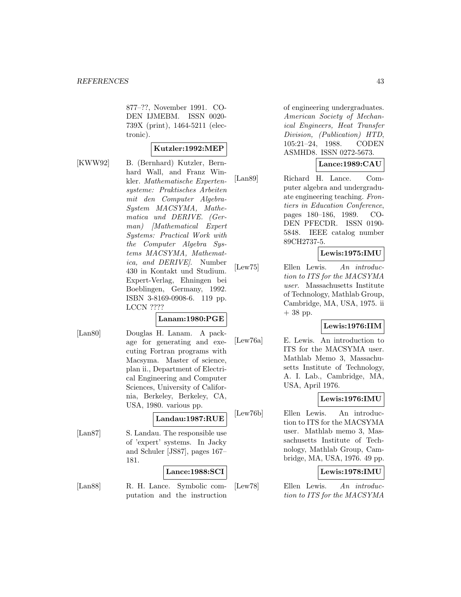877–??, November 1991. CO-DEN IJMEBM. ISSN 0020- 739X (print), 1464-5211 (electronic).

### **Kutzler:1992:MEP**

[KWW92] B. (Bernhard) Kutzler, Bernhard Wall, and Franz Winkler. Mathematische Expertensysteme: Praktisches Arbeiten mit den Computer Algebra-System MACSYMA, Mathematica und DERIVE. (German) [Mathematical Expert Systems: Practical Work with the Computer Algebra Systems MACSYMA, Mathematica, and DERIVE]. Number 430 in Kontakt und Studium. Expert-Verlag, Ehningen bei Boeblingen, Germany, 1992. ISBN 3-8169-0908-6. 119 pp. LCCN ????

# **Lanam:1980:PGE**

[Lan80] Douglas H. Lanam. A package for generating and executing Fortran programs with Macsyma. Master of science, plan ii., Department of Electrical Engineering and Computer Sciences, University of California, Berkeley, Berkeley, CA, USA, 1980. various pp.

# **Landau:1987:RUE**

[Lan87] S. Landau. The responsible use of 'expert' systems. In Jacky and Schuler [JS87], pages 167– 181.

# **Lance:1988:SCI**

[Lan88] R. H. Lance. Symbolic computation and the instruction

of engineering undergraduates. American Society of Mechanical Engineers, Heat Transfer Division, (Publication) HTD, 105:21–24, 1988. CODEN ASMHD8. ISSN 0272-5673.

# **Lance:1989:CAU**

[Lan89] Richard H. Lance. Computer algebra and undergraduate engineering teaching. Frontiers in Education Conference, pages 180–186, 1989. CO-DEN PFECDR. ISSN 0190- 5848. IEEE catalog number 89CH2737-5.

# **Lewis:1975:IMU**

[Lew75] Ellen Lewis. An introduction to ITS for the MACSYMA user. Massachusetts Institute of Technology, Mathlab Group, Cambridge, MA, USA, 1975. ii  $+38$  pp.

### **Lewis:1976:IIM**

[Lew76a] E. Lewis. An introduction to ITS for the MACSYMA user. Mathlab Memo 3, Massachusetts Institute of Technology, A. I. Lab., Cambridge, MA, USA, April 1976.

# **Lewis:1976:IMU**

[Lew76b] Ellen Lewis. An introduction to ITS for the MACSYMA user. Mathlab memo 3, Massachusetts Institute of Technology, Mathlab Group, Cambridge, MA, USA, 1976. 49 pp.

# **Lewis:1978:IMU**

[Lew78] Ellen Lewis. An introduction to ITS for the MACSYMA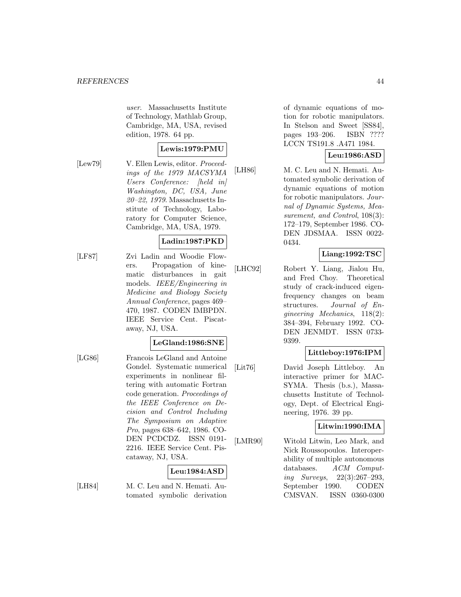user. Massachusetts Institute of Technology, Mathlab Group, Cambridge, MA, USA, revised edition, 1978. 64 pp.

# **Lewis:1979:PMU**

[Lew79] V. Ellen Lewis, editor. Proceedings of the 1979 MACSYMA Users Conference: [held in] Washington, DC, USA, June 20–22, 1979. Massachusetts Institute of Technology, Laboratory for Computer Science, Cambridge, MA, USA, 1979.

# **Ladin:1987:PKD**

[LF87] Zvi Ladin and Woodie Flowers. Propagation of kinematic disturbances in gait models. IEEE/Engineering in Medicine and Biology Society Annual Conference, pages 469– 470, 1987. CODEN IMBPDN. IEEE Service Cent. Piscataway, NJ, USA.

### **LeGland:1986:SNE**

[LG86] Francois LeGland and Antoine Gondel. Systematic numerical experiments in nonlinear filtering with automatic Fortran code generation. Proceedings of the IEEE Conference on Decision and Control Including The Symposium on Adaptive Pro, pages 638–642, 1986. CO-DEN PCDCDZ. ISSN 0191- 2216. IEEE Service Cent. Piscataway, NJ, USA.

# **Leu:1984:ASD**

[LH84] M. C. Leu and N. Hemati. Automated symbolic derivation of dynamic equations of motion for robotic manipulators. In Stelson and Sweet [SS84], pages 193–206. ISBN ???? LCCN TS191.8 .A471 1984.

# **Leu:1986:ASD**

[LH86] M. C. Leu and N. Hemati. Automated symbolic derivation of dynamic equations of motion for robotic manipulators. Journal of Dynamic Systems, Measurement, and Control, 108(3): 172–179, September 1986. CO-DEN JDSMAA. ISSN 0022- 0434.

# **Liang:1992:TSC**

[LHC92] Robert Y. Liang, Jialou Hu, and Fred Choy. Theoretical study of crack-induced eigenfrequency changes on beam structures. Journal of Engineering Mechanics, 118(2): 384–394, February 1992. CO-DEN JENMDT. ISSN 0733- 9399.

# **Littleboy:1976:IPM**

[Lit76] David Joseph Littleboy. An interactive primer for MAC-SYMA. Thesis (b.s.), Massachusetts Institute of Technology, Dept. of Electrical Engineering, 1976. 39 pp.

### **Litwin:1990:IMA**

[LMR90] Witold Litwin, Leo Mark, and Nick Roussopoulos. Interoperability of multiple autonomous databases. ACM Computing Surveys, 22(3):267–293, September 1990. CODEN CMSVAN. ISSN 0360-0300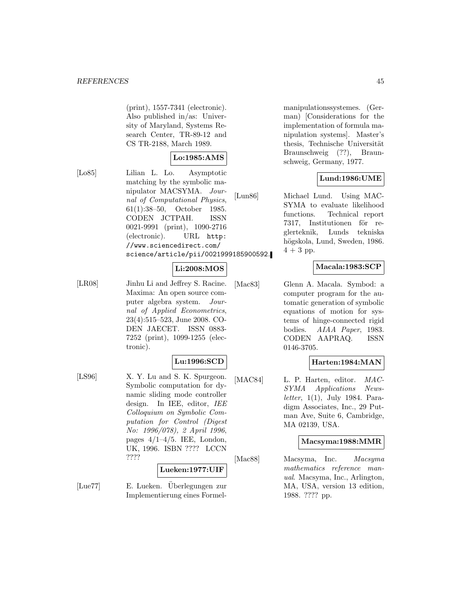(print), 1557-7341 (electronic). Also published in/as: University of Maryland, Systems Research Center, TR-89-12 and CS TR-2188, March 1989.

# **Lo:1985:AMS**

[Lo85] Lilian L. Lo. Asymptotic matching by the symbolic manipulator MACSYMA. Journal of Computational Physics, 61(1):38–50, October 1985. CODEN JCTPAH. ISSN 0021-9991 (print), 1090-2716 (electronic). URL http: //www.sciencedirect.com/ science/article/pii/0021999185900592.

# **Li:2008:MOS**

[LR08] Jinhu Li and Jeffrey S. Racine. Maxima: An open source computer algebra system. Journal of Applied Econometrics, 23(4):515–523, June 2008. CO-DEN JAECET. ISSN 0883- 7252 (print), 1099-1255 (electronic).

# **Lu:1996:SCD**

[LS96] X. Y. Lu and S. K. Spurgeon. Symbolic computation for dynamic sliding mode controller design. In IEE, editor, IEE Colloquium on Symbolic Computation for Control (Digest No: 1996/078), 2 April 1996, pages  $4/1-4/5$ . IEE, London, UK, 1996. ISBN ???? LCCN ????

#### **Lueken:1977:UIF**

[Lue77] E. Lueken. Überlegungen zur Implementierung eines Formel-

manipulationssystemes. (German) [Considerations for the implementation of formula manipulation systems]. Master's thesis, Technische Universität Braunschweig (??), Braunschweig, Germany, 1977.

# **Lund:1986:UME**

[Lun86] Michael Lund. Using MAC-SYMA to evaluate likelihood functions. Technical report 7317, Institutionen för reglerteknik, Lunds tekniska högskola, Lund, Sweden, 1986.  $4+3$  pp.

# **Macala:1983:SCP**

[Mac83] Glenn A. Macala. Symbod: a computer program for the automatic generation of symbolic equations of motion for systems of hinge-connected rigid bodies. AIAA Paper, 1983. CODEN AAPRAQ. ISSN 0146-3705.

# **Harten:1984:MAN**

[MAC84] L. P. Harten, editor. MAC-SYMA Applications Newsletter,  $1(1)$ , July 1984. Paradigm Associates, Inc., 29 Putman Ave, Suite 6, Cambridge, MA 02139, USA.

### **Macsyma:1988:MMR**

[Mac88] Macsyma, Inc. Macsyma mathematics reference manual. Macsyma, Inc., Arlington, MA, USA, version 13 edition, 1988. ???? pp.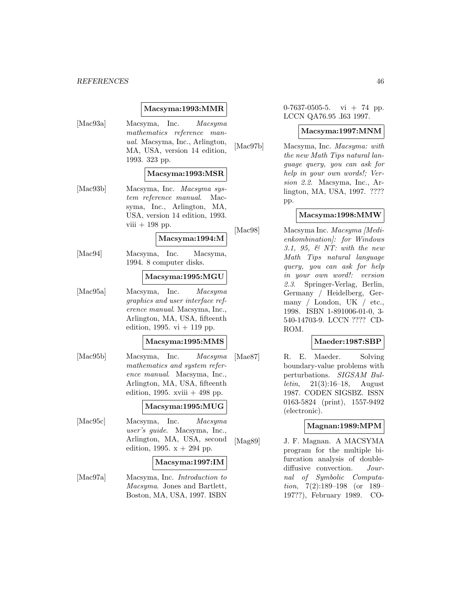#### *REFERENCES* 46

### **Macsyma:1993:MMR**

[Mac93a] Macsyma, Inc. Macsyma mathematics reference manual. Macsyma, Inc., Arlington, MA, USA, version 14 edition, 1993. 323 pp. **Macsyma:1993:MSR** [Mac93b] Macsyma, Inc. Macsyma system reference manual. Macsyma, Inc., Arlington, MA, USA, version 14 edition, 1993. viii  $+$  198 pp. **Macsyma:1994:M** [Mac94] Macsyma, Inc. Macsyma, 1994. 8 computer disks. **Macsyma:1995:MGU** [Mac95a] Macsyma, Inc. Macsyma graphics and user interface reference manual. Macsyma, Inc., Arlington, MA, USA, fifteenth edition, 1995. vi  $+$  119 pp. **Macsyma:1995:MMS** [Mac95b] Macsyma, Inc. Macsyma mathematics and system reference manual. Macsyma, Inc., Arlington, MA, USA, fifteenth edition, 1995. xviii  $+498$  pp. **Macsyma:1995:MUG** [Mac95c] Macsyma, Inc. Macsyma user's guide. Macsyma, Inc., Arlington, MA, USA, second edition, 1995.  $x + 294$  pp. **Macsyma:1997:IM** [Mac97a] Macsyma, Inc. Introduction to Macsyma. Jones and Bartlett, Boston, MA, USA, 1997. ISBN

 $0-7637-0505-5$ . vi + 74 pp. LCCN QA76.95 .I63 1997.

#### **Macsyma:1997:MNM**

[Mac97b] Macsyma, Inc. Macsyma: with the new Math Tips natural language query, you can ask for help in your own words!; Version 2.2. Macsyma, Inc., Arlington, MA, USA, 1997. ???? pp.

# **Macsyma:1998:MMW**

[Mac98] Macsyma Inc. *Macsyma [Medi*enkombination]: for Windows 3.1, 95, & NT: with the new Math Tips natural language query, you can ask for help in your own word!: version 2.3. Springer-Verlag, Berlin, Germany / Heidelberg, Germany / London, UK / etc., 1998. ISBN 1-891006-01-0, 3- 540-14703-9. LCCN ???? CD-ROM.

### **Maeder:1987:SBP**

[Mae87] R. E. Maeder. Solving boundary-value problems with perturbations. SIGSAM Bul*letin*,  $21(3):16-18$ , August 1987. CODEN SIGSBZ. ISSN 0163-5824 (print), 1557-9492 (electronic).

### **Magnan:1989:MPM**

[Mag89] J. F. Magnan. A MACSYMA program for the multiple bifurcation analysis of doublediffusive convection. Journal of Symbolic Computation, 7(2):189–198 (or 189– 197??), February 1989. CO-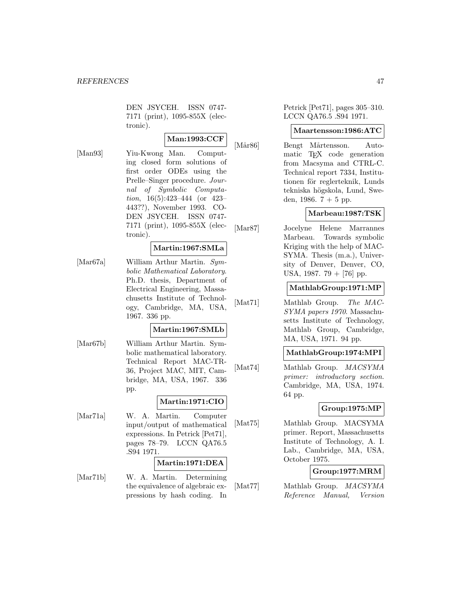DEN JSYCEH. ISSN 0747- 7171 (print), 1095-855X (electronic).

**Man:1993:CCF**

[Man93] Yiu-Kwong Man. Computing closed form solutions of first order ODEs using the Prelle–Singer procedure. Journal of Symbolic Computation, 16(5):423–444 (or 423– 443??), November 1993. CO-DEN JSYCEH. ISSN 0747- 7171 (print), 1095-855X (electronic).

# **Martin:1967:SMLa**

[Mar67a] William Arthur Martin. Symbolic Mathematical Laboratory. Ph.D. thesis, Department of Electrical Engineering, Massachusetts Institute of Technology, Cambridge, MA, USA, 1967. 336 pp.

# **Martin:1967:SMLb**

[Mar67b] William Arthur Martin. Symbolic mathematical laboratory. Technical Report MAC-TR-36, Project MAC, MIT, Cambridge, MA, USA, 1967. 336 pp.

# **Martin:1971:CIO**

[Mar71a] W. A. Martin. Computer input/output of mathematical expressions. In Petrick [Pet71], pages 78–79. LCCN QA76.5 .S94 1971.

### **Martin:1971:DEA**

[Mar71b] W. A. Martin. Determining the equivalence of algebraic expressions by hash coding. In

Petrick [Pet71], pages 305–310. LCCN QA76.5 .S94 1971.

#### **Maartensson:1986:ATC**

[Mår86] Bengt Mårtensson. Automatic TEX code generation from Macsyma and CTRL-C. Technical report 7334, Institutionen för reglerteknik, Lunds tekniska högskola, Lund, Sweden, 1986.  $7 + 5$  pp.

# **Marbeau:1987:TSK**

[Mar87] Jocelyne Helene Marrannes Marbeau. Towards symbolic Kriging with the help of MAC-SYMA. Thesis (m.a.), University of Denver, Denver, CO, USA, 1987. 79 + [76] pp.

### **MathlabGroup:1971:MP**

[Mat71] Mathlab Group. The MAC-SYMA papers 1970. Massachusetts Institute of Technology, Mathlab Group, Cambridge, MA, USA, 1971. 94 pp.

# **MathlabGroup:1974:MPI**

[Mat74] Mathlab Group. *MACSYMA* primer: introductory section. Cambridge, MA, USA, 1974. 64 pp.

### **Group:1975:MP**

[Mat75] Mathlab Group. MACSYMA primer. Report, Massachusetts Institute of Technology, A. I. Lab., Cambridge, MA, USA, October 1975.

### **Group:1977:MRM**

[Mat77] Mathlab Group. MACSYMA Reference Manual, Version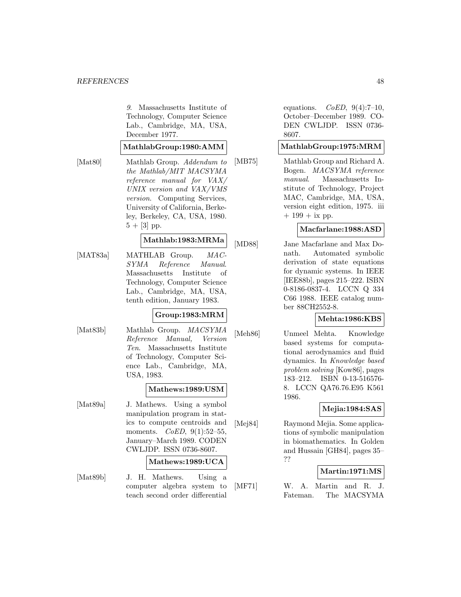9. Massachusetts Institute of Technology, Computer Science Lab., Cambridge, MA, USA, December 1977.

#### **MathlabGroup:1980:AMM**

[Mat80] Mathlab Group. Addendum to the Mathlab/MIT MACSYMA reference manual for VAX/ UNIX version and VAX/VMS version. Computing Services, University of California, Berkeley, Berkeley, CA, USA, 1980.  $5 + [3]$  pp.

# **Mathlab:1983:MRMa**

[MAT83a] MATHLAB Group. MAC-SYMA Reference Manual. Massachusetts Institute of Technology, Computer Science Lab., Cambridge, MA, USA, tenth edition, January 1983.

# **Group:1983:MRM**

[Mat83b] Mathlab Group. *MACSYMA* Reference Manual, Version Ten. Massachusetts Institute of Technology, Computer Science Lab., Cambridge, MA, USA, 1983.

#### **Mathews:1989:USM**

[Mat89a] J. Mathews. Using a symbol manipulation program in statics to compute centroids and moments.  $CoED$ ,  $9(1):52-55$ , January–March 1989. CODEN CWLJDP. ISSN 0736-8607.

# **Mathews:1989:UCA**

[Mat89b] J. H. Mathews. Using a computer algebra system to teach second order differential

equations.  $CoED$ ,  $9(4):7-10$ , October–December 1989. CO-DEN CWLJDP. ISSN 0736- 8607.

#### **MathlabGroup:1975:MRM**

[MB75] Mathlab Group and Richard A. Bogen. MACSYMA reference manual. Massachusetts Institute of Technology, Project MAC, Cambridge, MA, USA, version eight edition, 1975. iii  $+ 199 + i x$  pp.

#### **Macfarlane:1988:ASD**

[MD88] Jane Macfarlane and Max Donath. Automated symbolic derivation of state equations for dynamic systems. In IEEE [IEE88b], pages 215–222. ISBN 0-8186-0837-4. LCCN Q 334 C66 1988. IEEE catalog number 88CH2552-8.

### **Mehta:1986:KBS**

[Meh86] Unmeel Mehta. Knowledge based systems for computational aerodynamics and fluid dynamics. In Knowledge based problem solving [Kow86], pages 183–212. ISBN 0-13-516576- 8. LCCN QA76.76.E95 K561 1986.

### **Mejia:1984:SAS**

[Mej84] Raymond Mejia. Some applications of symbolic manipulation in biomathematics. In Golden and Hussain [GH84], pages 35– ??

### **Martin:1971:MS**

[MF71] W. A. Martin and R. J. Fateman. The MACSYMA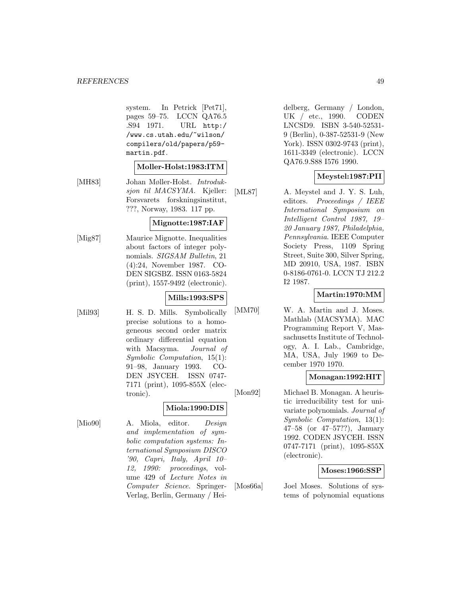system. In Petrick [Pet71], pages 59–75. LCCN QA76.5 .S94 1971. URL http:/ /www.cs.utah.edu/~wilson/ compilers/old/papers/p59 martin.pdf.

#### **Moller-Holst:1983:ITM**

[MH83] Johan Møller-Holst. Introduksjon til MACSYMA. Kjeller: Forsvarets forskningsinstitut, ???, Norway, 1983. 117 pp.

### **Mignotte:1987:IAF**

[Mig87] Maurice Mignotte. Inequalities about factors of integer polynomials. SIGSAM Bulletin, 21 (4):24, November 1987. CO-DEN SIGSBZ. ISSN 0163-5824 (print), 1557-9492 (electronic).

# **Mills:1993:SPS**

[Mil93] H. S. D. Mills. Symbolically precise solutions to a homogeneous second order matrix ordinary differential equation with Macsyma. Journal of Symbolic Computation, 15(1): 91–98, January 1993. CO-DEN JSYCEH. ISSN 0747- 7171 (print), 1095-855X (electronic).

# **Miola:1990:DIS**

[Mio90] A. Miola, editor. Design and implementation of symbolic computation systems: International Symposium DISCO '90, Capri, Italy, April 10– 12, 1990: proceedings, volume 429 of Lecture Notes in Computer Science. Springer-Verlag, Berlin, Germany / Heidelberg, Germany / London, UK / etc., 1990. CODEN LNCSD9. ISBN 3-540-52531- 9 (Berlin), 0-387-52531-9 (New York). ISSN 0302-9743 (print), 1611-3349 (electronic). LCCN QA76.9.S88 I576 1990.

# **Meystel:1987:PII**

[ML87] A. Meystel and J. Y. S. Luh, editors. Proceedings / IEEE International Symposium on Intelligent Control 1987, 19– 20 January 1987, Philadelphia, Pennsylvania. IEEE Computer Society Press, 1109 Spring Street, Suite 300, Silver Spring, MD 20910, USA, 1987. ISBN 0-8186-0761-0. LCCN TJ 212.2 I2 1987.

# **Martin:1970:MM**

[MM70] W. A. Martin and J. Moses. Mathlab (MACSYMA). MAC Programming Report V, Massachusetts Institute of Technology, A. I. Lab., Cambridge, MA, USA, July 1969 to December 1970 1970.

### **Monagan:1992:HIT**

[Mon92] Michael B. Monagan. A heuristic irreducibility test for univariate polynomials. Journal of Symbolic Computation, 13(1): 47–58 (or 47–57??), January 1992. CODEN JSYCEH. ISSN 0747-7171 (print), 1095-855X (electronic).

### **Moses:1966:SSP**

[Mos66a] Joel Moses. Solutions of systems of polynomial equations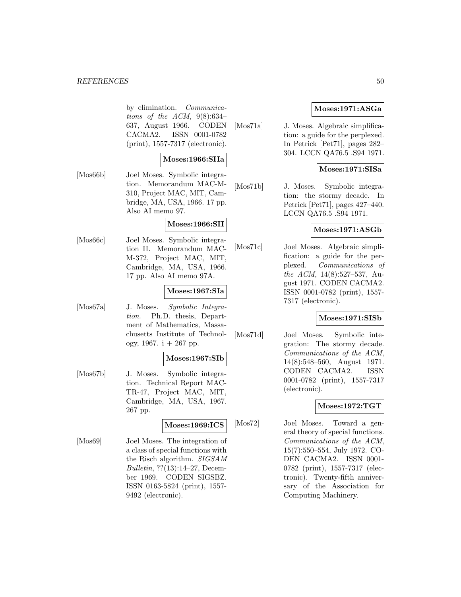#### **REFERENCES** 50

by elimination. Communications of the ACM,  $9(8):634-$ 637, August 1966. CODEN CACMA2. ISSN 0001-0782 (print), 1557-7317 (electronic).

#### **Moses:1966:SIIa**

[Mos66b] Joel Moses. Symbolic integration. Memorandum MAC-M-310, Project MAC, MIT, Cambridge, MA, USA, 1966. 17 pp. Also AI memo 97.

#### **Moses:1966:SII**

[Mos66c] Joel Moses. Symbolic integration II. Memorandum MAC-M-372, Project MAC, MIT, Cambridge, MA, USA, 1966. 17 pp. Also AI memo 97A.

### **Moses:1967:SIa**

[Mos67a] J. Moses. Symbolic Integration. Ph.D. thesis, Department of Mathematics, Massachusetts Institute of Technology, 1967. i  $+267$  pp.

#### **Moses:1967:SIb**

[Mos67b] J. Moses. Symbolic integration. Technical Report MAC-TR-47, Project MAC, MIT, Cambridge, MA, USA, 1967. 267 pp.

#### **Moses:1969:ICS**

[Mos69] Joel Moses. The integration of a class of special functions with the Risch algorithm. SIGSAM Bulletin, ??(13):14–27, December 1969. CODEN SIGSBZ. ISSN 0163-5824 (print), 1557- 9492 (electronic).

### **Moses:1971:ASGa**

[Mos71a] J. Moses. Algebraic simplification: a guide for the perplexed. In Petrick [Pet71], pages 282– 304. LCCN QA76.5 .S94 1971.

### **Moses:1971:SISa**

[Mos71b] J. Moses. Symbolic integration: the stormy decade. In Petrick [Pet71], pages 427–440. LCCN QA76.5 .S94 1971.

#### **Moses:1971:ASGb**

[Mos71c] Joel Moses. Algebraic simplification: a guide for the perplexed. Communications of the ACM, 14(8):527–537, August 1971. CODEN CACMA2. ISSN 0001-0782 (print), 1557- 7317 (electronic).

### **Moses:1971:SISb**

[Mos71d] Joel Moses. Symbolic integration: The stormy decade. Communications of the ACM, 14(8):548–560, August 1971. CODEN CACMA2. ISSN 0001-0782 (print), 1557-7317 (electronic).

### **Moses:1972:TGT**

[Mos72] Joel Moses. Toward a general theory of special functions. Communications of the ACM, 15(7):550–554, July 1972. CO-DEN CACMA2. ISSN 0001- 0782 (print), 1557-7317 (electronic). Twenty-fifth anniversary of the Association for Computing Machinery.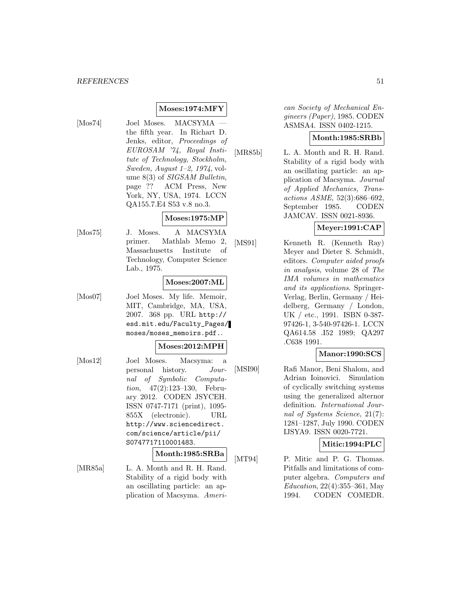# **Moses:1974:MFY**

- 
- [Mos74] Joel Moses. MACSYMA the fifth year. In Richart D. Jenks, editor, Proceedings of EUROSAM '74, Royal Institute of Technology, Stockholm, Sweden, August 1–2, 1974, volume 8(3) of SIGSAM Bulletin, page ?? ACM Press, New York, NY, USA, 1974. LCCN QA155.7.E4 S53 v.8 no.3.

### **Moses:1975:MP**

[Mos75] J. Moses. A MACSYMA primer. Mathlab Memo 2, Massachusetts Institute of Technology, Computer Science Lab., 1975.

#### **Moses:2007:ML**

[Mos07] Joel Moses. My life. Memoir, MIT, Cambridge, MA, USA, 2007. 368 pp. URL http:// esd.mit.edu/Faculty\_Pages/ moses/moses\_memoirs.pdf..

#### **Moses:2012:MPH**

[Mos12] Joel Moses. Macsyma: a personal history. Journal of Symbolic Computation, 47(2):123–130, February 2012. CODEN JSYCEH. ISSN 0747-7171 (print), 1095- 855X (electronic). URL http://www.sciencedirect. com/science/article/pii/ S0747717110001483.

# **Month:1985:SRBa**

[MR85a] L. A. Month and R. H. Rand. Stability of a rigid body with an oscillating particle: an application of Macsyma. Ameri-

can Society of Mechanical Engineers (Paper), 1985. CODEN ASMSA4. ISSN 0402-1215.

# **Month:1985:SRBb**

[MR85b] L. A. Month and R. H. Rand. Stability of a rigid body with an oscillating particle: an application of Macsyma. Journal of Applied Mechanics, Transactions ASME, 52(3):686–692, September 1985. CODEN JAMCAV. ISSN 0021-8936.

### **Meyer:1991:CAP**

[MS91] Kenneth R. (Kenneth Ray) Meyer and Dieter S. Schmidt, editors. Computer aided proofs in analysis, volume 28 of The IMA volumes in mathematics and its applications. Springer-Verlag, Berlin, Germany / Heidelberg, Germany / London, UK / etc., 1991. ISBN 0-387- 97426-1, 3-540-97426-1. LCCN QA614.58 .I52 1989; QA297 .C638 1991.

### **Manor:1990:SCS**

[MSI90] Rafi Manor, Beni Shalom, and Adrian Ioinovici. Simulation of cyclically switching systems using the generalized alternor definition. International Journal of Systems Science, 21(7): 1281–1287, July 1990. CODEN IJSYA9. ISSN 0020-7721.

**Mitic:1994:PLC**

[MT94] P. Mitic and P. G. Thomas. Pitfalls and limitations of computer algebra. Computers and Education, 22(4):355–361, May 1994. CODEN COMEDR.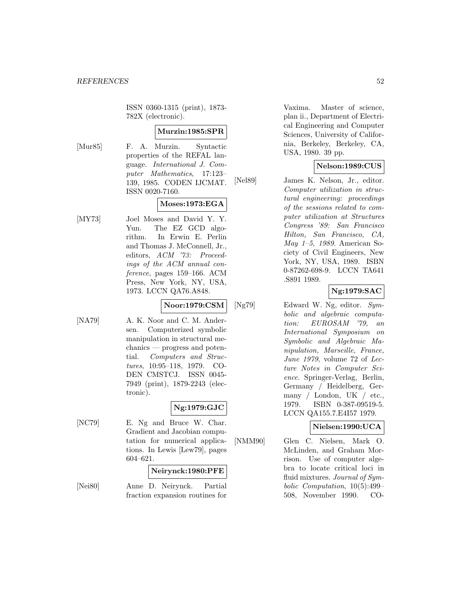ISSN 0360-1315 (print), 1873- 782X (electronic).

# **Murzin:1985:SPR**

[Mur85] F. A. Murzin. Syntactic properties of the REFAL language. International J. Computer Mathematics, 17:123– 139, 1985. CODEN IJCMAT. ISSN 0020-7160.

# **Moses:1973:EGA**

[MY73] Joel Moses and David Y. Y. Yun. The EZ GCD algorithm. In Erwin E. Perlin and Thomas J. McConnell, Jr., editors, ACM '73: Proceedings of the ACM annual conference, pages 159–166. ACM Press, New York, NY, USA, 1973. LCCN QA76.A848.

# **Noor:1979:CSM**

[NA79] A. K. Noor and C. M. Andersen. Computerized symbolic manipulation in structural mechanics — progress and potential. Computers and Structures, 10:95–118, 1979. CO-DEN CMSTCJ. ISSN 0045- 7949 (print), 1879-2243 (electronic).

# **Ng:1979:GJC**

[NC79] E. Ng and Bruce W. Char. Gradient and Jacobian computation for numerical applications. In Lewis [Lew79], pages 604–621.

### **Neirynck:1980:PFE**

[Nei80] Anne D. Neirynck. Partial fraction expansion routines for Vaxima. Master of science, plan ii., Department of Electrical Engineering and Computer Sciences, University of California, Berkeley, Berkeley, CA, USA, 1980. 39 pp.

# **Nelson:1989:CUS**

[Nel89] James K. Nelson, Jr., editor. Computer utilization in structural engineering: proceedings of the sessions related to computer utilization at Structures Congress '89: San Francisco Hilton, San Francisco, CA, May 1–5, 1989. American Society of Civil Engineers, New York, NY, USA, 1989. ISBN 0-87262-698-9. LCCN TA641 .S891 1989.

# **Ng:1979:SAC**

[Ng79] Edward W. Ng, editor. Symbolic and algebraic computation: EUROSAM '79, an International Symposium on Symbolic and Algebraic Manipulation, Marseille, France, June 1979, volume 72 of Lecture Notes in Computer Science. Springer-Verlag, Berlin, Germany / Heidelberg, Germany / London, UK / etc., 1979. ISBN 0-387-09519-5. LCCN QA155.7.E4I57 1979.

### **Nielsen:1990:UCA**

[NMM90] Glen C. Nielsen, Mark O. McLinden, and Graham Morrison. Use of computer algebra to locate critical loci in fluid mixtures. Journal of Symbolic Computation, 10(5):499– 508, November 1990. CO-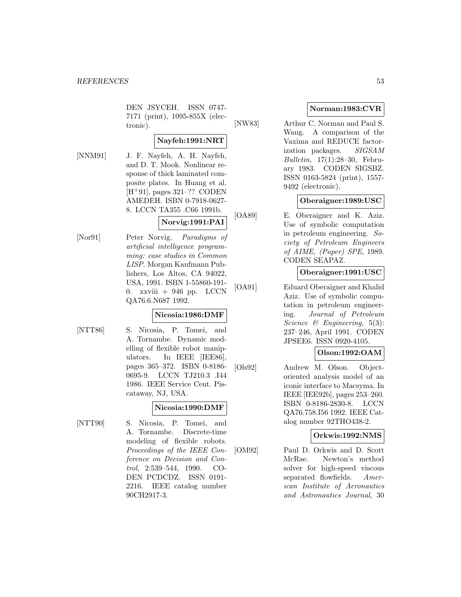DEN JSYCEH. ISSN 0747- 7171 (print), 1095-855X (electronic).

# **Nayfeh:1991:NRT**

[NNM91] J. F. Nayfeh, A. H. Nayfeh, and D. T. Mook. Nonlinear response of thick laminated composite plates. In Huang et al.  $[H+91]$ , pages 321–?? CODEN AMEDEH. ISBN 0-7918-0627- 8. LCCN TA355 .C66 1991b.

# **Norvig:1991:PAI**

[Nor91] Peter Norvig. Paradigms of artificial intelligence programming: case studies in Common LISP. Morgan Kaufmann Publishers, Los Altos, CA 94022, USA, 1991. ISBN 1-55860-191- 0. xxviii  $+$  946 pp. LCCN QA76.6.N687 1992.

# **Nicosia:1986:DMF**

[NTT86] S. Nicosia, P. Tomei, and A. Tornambe. Dynamic modelling of flexible robot manipulators. In IEEE [IEE86], pages 365–372. ISBN 0-8186- 0695-9. LCCN TJ210.3 .I44 1986. IEEE Service Cent. Piscataway, NJ, USA.

### **Nicosia:1990:DMF**

[NTT90] S. Nicosia, P. Tomei, and A. Tornambe. Discrete-time modeling of flexible robots. Proceedings of the IEEE Conference on Decision and Control, 2:539–544, 1990. CO-DEN PCDCDZ. ISSN 0191- 2216. IEEE catalog number 90CH2917-3.

# **Norman:1983:CVR**

[NW83] Arthur C. Norman and Paul S. Wang. A comparison of the Vaxima and REDUCE factorization packages. SIGSAM Bulletin, 17(1):28–30, February 1983. CODEN SIGSBZ. ISSN 0163-5824 (print), 1557- 9492 (electronic).

# **Oberaigner:1989:USC**

[OA89] E. Oberaigner and K. Aziz. Use of symbolic computation in petroleum engineering. Society of Petroleum Engineers of AIME, (Paper) SPE, 1989. CODEN SEAPAZ.

# **Oberaigner:1991:USC**

[OA91] Eduard Oberaigner and Khalid Aziz. Use of symbolic computation in petroleum engineering. Journal of Petroleum Science  $\mathcal B$  Engineering, 5(3): 237–246, April 1991. CODEN JPSEE6. ISSN 0920-4105.

# **Olson:1992:OAM**

[Ols92] Andrew M. Olson. Objectoriented analysis model of an iconic interface to Macsyma. In IEEE [IEE92b], pages 253–260. ISBN 0-8186-2830-8. LCCN QA76.758.I56 1992. IEEE Catalog number 92THO438-2.

# **Orkwis:1992:NMS**

[OM92] Paul D. Orkwis and D. Scott McRae. Newton's method solver for high-speed viscous separated flowfields. American Institute of Aeronautics and Astronautics Journal, 30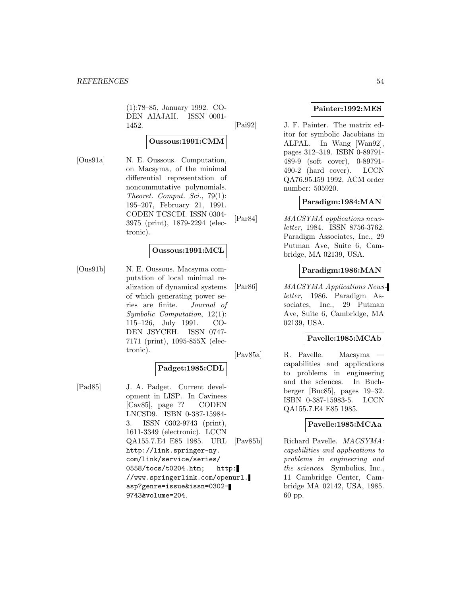(1):78–85, January 1992. CO-DEN AIAJAH. ISSN 0001- 1452.

# **Oussous:1991:CMM**

[Ous91a] N. E. Oussous. Computation, on Macsyma, of the minimal differential representation of noncommutative polynomials. Theoret. Comput. Sci., 79(1): 195–207, February 21, 1991. CODEN TCSCDI. ISSN 0304- 3975 (print), 1879-2294 (electronic).

# **Oussous:1991:MCL**

[Ous91b] N. E. Oussous. Macsyma computation of local minimal realization of dynamical systems of which generating power series are finite. Journal of Symbolic Computation, 12(1): 115–126, July 1991. CO-DEN JSYCEH. ISSN 0747- 7171 (print), 1095-855X (electronic).

### **Padget:1985:CDL**

[Pad85] J. A. Padget. Current development in LISP. In Caviness [Cav85], page ?? CODEN LNCSD9. ISBN 0-387-15984- 3. ISSN 0302-9743 (print), 1611-3349 (electronic). LCCN QA155.7.E4 E85 1985. URL http://link.springer-ny. com/link/service/series/ 0558/tocs/t0204.htm; http: //www.springerlink.com/openurl. asp?genre=issue&issn=0302- 9743&volume=204.

# **Painter:1992:MES**

[Pai92] J. F. Painter. The matrix editor for symbolic Jacobians in ALPAL. In Wang [Wan92], pages 312–319. ISBN 0-89791- 489-9 (soft cover), 0-89791- 490-2 (hard cover). LCCN QA76.95.I59 1992. ACM order number: 505920.

### **Paradigm:1984:MAN**

[Par84] MACSYMA applications newsletter, 1984. ISSN 8756-3762. Paradigm Associates, Inc., 29 Putman Ave, Suite 6, Cambridge, MA 02139, USA.

# **Paradigm:1986:MAN**

[Par86] MACSYMA Applications Newsletter, 1986. Paradigm Associates, Inc., 29 Putman Ave, Suite 6, Cambridge, MA 02139, USA.

# **Pavelle:1985:MCAb**

[Pav85a] R. Pavelle. Macsyma capabilities and applications to problems in engineering and the sciences. In Buchberger [Buc85], pages 19–32. ISBN 0-387-15983-5. LCCN QA155.7.E4 E85 1985.

# **Pavelle:1985:MCAa**

[Pav85b] Richard Pavelle. MACSYMA: capabilities and applications to problems in engineering and the sciences. Symbolics, Inc., 11 Cambridge Center, Cambridge MA 02142, USA, 1985. 60 pp.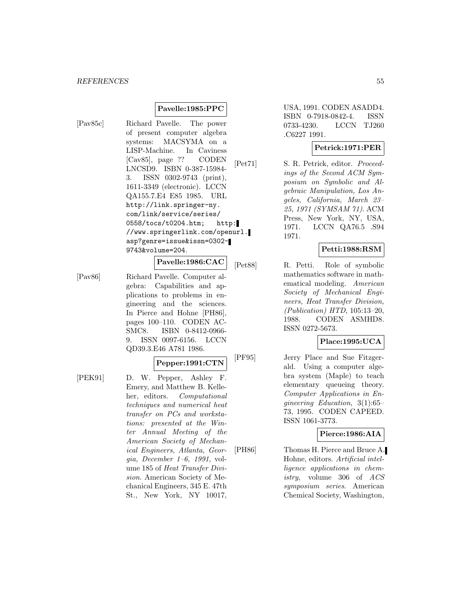# **Pavelle:1985:PPC**

[Pav85c] Richard Pavelle. The power of present computer algebra systems: MACSYMA on a LISP-Machine. In Caviness [Cav85], page ?? CODEN LNCSD9. ISBN 0-387-15984- 3. ISSN 0302-9743 (print), 1611-3349 (electronic). LCCN QA155.7.E4 E85 1985. URL http://link.springer-ny. com/link/service/series/ 0558/tocs/t0204.htm; http: //www.springerlink.com/openurl. asp?genre=issue&issn=0302- 9743&volume=204.

**Pavelle:1986:CAC**

[Pav86] Richard Pavelle. Computer algebra: Capabilities and applications to problems in engineering and the sciences. In Pierce and Hohne [PH86], pages 100–110. CODEN AC-SMC8. ISBN 0-8412-0966-

**Pepper:1991:CTN**

9. ISSN 0097-6156. LCCN QD39.3.E46 A781 1986.

[PEK91] D. W. Pepper, Ashley F. Emery, and Matthew B. Kelleher, editors. Computational techniques and numerical heat transfer on PCs and workstations: presented at the Winter Annual Meeting of the American Society of Mechanical Engineers, Atlanta, Georgia, December 1–6, 1991, volume 185 of Heat Transfer Division. American Society of Mechanical Engineers, 345 E. 47th St., New York, NY 10017,

USA, 1991. CODEN ASADD4. ISBN 0-7918-0842-4. ISSN 0733-4230. LCCN TJ260 .C6227 1991.

# **Petrick:1971:PER**

[Pet71] S. R. Petrick, editor. Proceedings of the Second ACM Symposium on Symbolic and Algebraic Manipulation, Los Angeles, California, March 23– 25, 1971 (SYMSAM 71). ACM Press, New York, NY, USA, 1971. LCCN QA76.5 .S94 1971.

# **Petti:1988:RSM**

[Pet88] R. Petti. Role of symbolic mathematics software in mathematical modeling. American Society of Mechanical Engineers, Heat Transfer Division,  $(Publication) HTD, 105:13-20,$ 1988. CODEN ASMHD8. ISSN 0272-5673.

# **Place:1995:UCA**

[PF95] Jerry Place and Sue Fitzgerald. Using a computer algebra system (Maple) to teach elementary queueing theory. Computer Applications in Engineering Education, 3(1):65– 73, 1995. CODEN CAPEED. ISSN 1061-3773.

### **Pierce:1986:AIA**

[PH86] Thomas H. Pierce and Bruce A. Hohne, editors. Artificial intelligence applications in chemistry, volume 306 of ACS symposium series. American Chemical Society, Washington,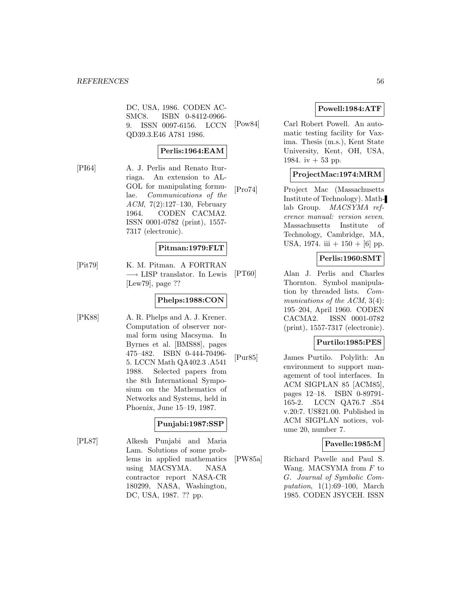DC, USA, 1986. CODEN AC-SMC8. ISBN 0-8412-0966- 9. ISSN 0097-6156. LCCN QD39.3.E46 A781 1986.

# **Perlis:1964:EAM**

[PI64] A. J. Perlis and Renato Iturriaga. An extension to AL-GOL for manipulating formulae. Communications of the ACM, 7(2):127–130, February 1964. CODEN CACMA2. ISSN 0001-0782 (print), 1557- 7317 (electronic).

# **Pitman:1979:FLT**

[Pit79] K. M. Pitman. A FORTRAN −→ LISP translator. In Lewis [Lew79], page ??

# **Phelps:1988:CON**

[PK88] A. R. Phelps and A. J. Krener. Computation of observer normal form using Macsyma. In Byrnes et al. [BMS88], pages 475–482. ISBN 0-444-70496- 5. LCCN Math QA402.3 .A541 1988. Selected papers from the 8th International Symposium on the Mathematics of Networks and Systems, held in Phoenix, June 15–19, 1987.

### **Punjabi:1987:SSP**

[PL87] Alkesh Punjabi and Maria Lam. Solutions of some problems in applied mathematics using MACSYMA. NASA contractor report NASA-CR 180299, NASA, Washington, DC, USA, 1987. ?? pp.

# **Powell:1984:ATF**

[Pow84] Carl Robert Powell. An automatic testing facility for Vaxima. Thesis (m.s.), Kent State University, Kent, OH, USA, 1984. iv  $+53$  pp.

# **ProjectMac:1974:MRM**

[Pro74] Project Mac (Massachusetts Institute of Technology). Mathlab Group. MACSYMA reference manual: version seven. Massachusetts Institute of Technology, Cambridge, MA, USA, 1974. iii  $+ 150 + [6]$  pp.

# **Perlis:1960:SMT**

[PT60] Alan J. Perlis and Charles Thornton. Symbol manipulation by threaded lists. Communications of the ACM, 3(4): 195–204, April 1960. CODEN CACMA2. ISSN 0001-0782 (print), 1557-7317 (electronic).

### **Purtilo:1985:PES**

[Pur85] James Purtilo. Polylith: An environment to support management of tool interfaces. In ACM SIGPLAN 85 [ACM85], pages 12–18. ISBN 0-89791- 165-2. LCCN QA76.7 .S54 v.20:7. US\$21.00. Published in ACM SIGPLAN notices, volume 20, number 7.

# **Pavelle:1985:M**

[PW85a] Richard Pavelle and Paul S. Wang. MACSYMA from  $F$  to G. Journal of Symbolic Computation, 1(1):69–100, March 1985. CODEN JSYCEH. ISSN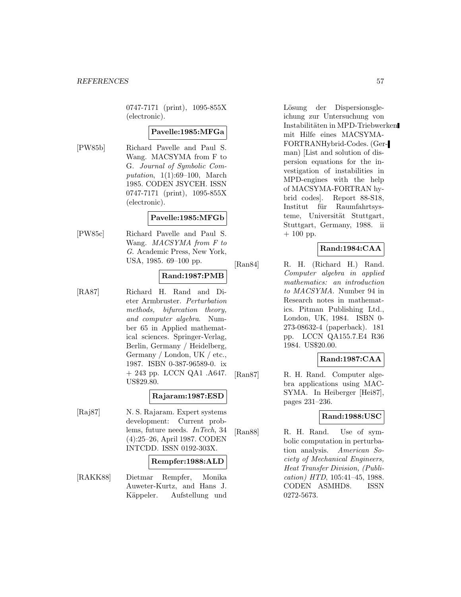0747-7171 (print), 1095-855X (electronic).

# **Pavelle:1985:MFGa**

[PW85b] Richard Pavelle and Paul S. Wang. MACSYMA from F to G. Journal of Symbolic Computation, 1(1):69–100, March 1985. CODEN JSYCEH. ISSN 0747-7171 (print), 1095-855X (electronic).

# **Pavelle:1985:MFGb**

[PW85c] Richard Pavelle and Paul S. Wang. MACSYMA from F to G. Academic Press, New York, USA, 1985. 69–100 pp.

# **Rand:1987:PMB**

[RA87] Richard H. Rand and Dieter Armbruster. Perturbation methods, bifurcation theory, and computer algebra. Number 65 in Applied mathematical sciences. Springer-Verlag, Berlin, Germany / Heidelberg, Germany / London, UK / etc., 1987. ISBN 0-387-96589-0. ix + 243 pp. LCCN QA1 .A647. US\$29.80.

#### **Rajaram:1987:ESD**

[Raj87] N. S. Rajaram. Expert systems development: Current problems, future needs. InTech, 34 (4):25–26, April 1987. CODEN INTCDD. ISSN 0192-303X.

### **Rempfer:1988:ALD**

[RAKK88] Dietmar Rempfer, Monika Auweter-Kurtz, and Hans J. Käppeler. Aufstellung und

Lösung der Dispersionsgleichung zur Untersuchung von Instabilitäten in MPD-Triebwerken mit Hilfe eines MACSYMA-FORTRANHybrid-Codes. (German) [List and solution of dispersion equations for the investigation of instabilities in MPD-engines with the help of MACSYMA-FORTRAN hybrid codes]. Report 88-S18, Institut für Raumfahrtsysteme, Universität Stuttgart, Stuttgart, Germany, 1988. ii  $+ 100$  pp.

# **Rand:1984:CAA**

[Ran84] R. H. (Richard H.) Rand. Computer algebra in applied mathematics: an introduction to MACSYMA. Number 94 in Research notes in mathematics. Pitman Publishing Ltd., London, UK, 1984. ISBN 0- 273-08632-4 (paperback). 181 pp. LCCN QA155.7.E4 R36 1984. US\$20.00.

### **Rand:1987:CAA**

[Ran87] R. H. Rand. Computer algebra applications using MAC-SYMA. In Heiberger [Hei87], pages 231–236.

### **Rand:1988:USC**

[Ran88] R. H. Rand. Use of symbolic computation in perturbation analysis. American Society of Mechanical Engineers, Heat Transfer Division, (Publication) HTD, 105:41–45, 1988. CODEN ASMHD8. ISSN 0272-5673.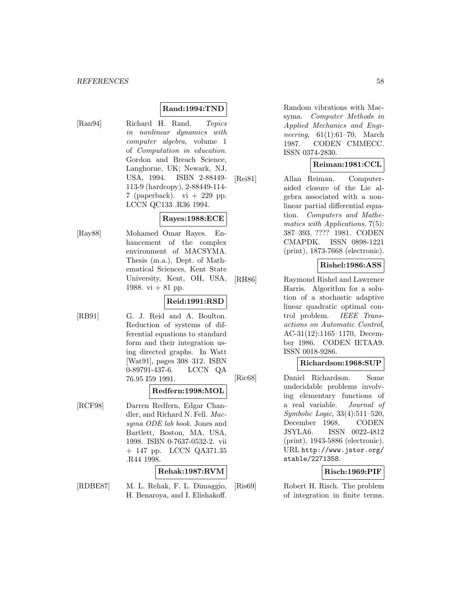# **Rand:1994:TND**

[Ran94] Richard H. Rand. Topics in nonlinear dynamics with computer algebra, volume 1 of Computation in education. Gordon and Breach Science, Langhorne, UK; Newark, NJ, USA, 1994. ISBN 2-88449- 113-9 (hardcopy), 2-88449-114- 7 (paperback).  $vi + 229$  pp. LCCN QC133 .R36 1994.

### **Rayes:1988:ECE**

[Ray88] Mohamed Omar Rayes. Enhancement of the complex environment of MACSYMA. Thesis (m.a.), Dept. of Mathematical Sciences, Kent State University, Kent, OH, USA, 1988. vi  $+81$  pp.

# **Reid:1991:RSD**

[RB91] G. J. Reid and A. Boulton. Reduction of systems of differential equations to standard form and their integration using directed graphs. In Watt [Wat91], pages 308–312. ISBN 0-89791-437-6. LCCN QA 76.95 I59 1991.

### **Redfern:1998:MOL**

[RCF98] Darren Redfern, Edgar Chandler, and Richard N. Fell. Macsyma ODE lab book. Jones and Bartlett, Boston, MA, USA, 1998. ISBN 0-7637-0532-2. vii + 147 pp. LCCN QA371.35 .R44 1998.

### **Rehak:1987:RVM**

[RDBE87] M. L. Rehak, F. L. Dimaggio, H. Benaroya, and I. Elishakoff.

Random vibrations with Macsyma. Computer Methods in Applied Mechanics and Engineering, 61(1):61–70, March 1987. CODEN CMMECC. ISSN 0374-2830.

# **Reiman:1981:CCL**

[Rei81] Allan Reiman. Computeraided closure of the Lie algebra associated with a nonlinear partial differential equation. Computers and Mathematics with Applications, 7(5): 387–393, ???? 1981. CODEN CMAPDK. ISSN 0898-1221 (print), 1873-7668 (electronic).

# **Rishel:1986:ASS**

[RH86] Raymond Rishel and Lawrence Harris. Algorithm for a solution of a stochastic adaptive linear quadratic optimal control problem. IEEE Transactions on Automatic Control, AC-31(12):1165–1170, December 1986. CODEN IETAA9. ISSN 0018-9286.

### **Richardson:1968:SUP**

[Ric68] Daniel Richardson. Some undecidable problems involving elementary functions of a real variable. Journal of Symbolic Logic, 33(4):511–520, December 1968. CODEN JSYLA6. ISSN 0022-4812 (print), 1943-5886 (electronic). URL http://www.jstor.org/ stable/2271358.

# **Risch:1969:PIF**

[Ris69] Robert H. Risch. The problem of integration in finite terms.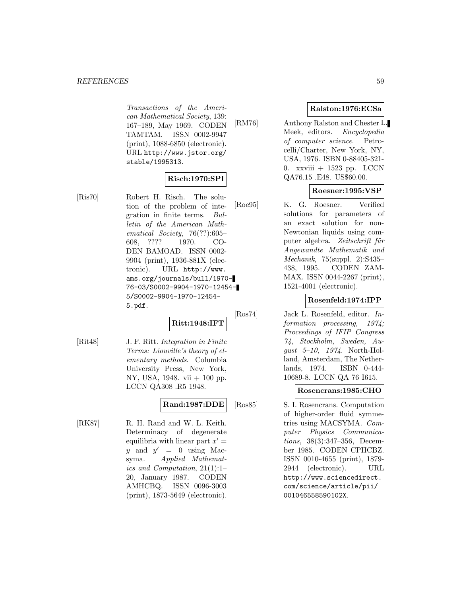Transactions of the American Mathematical Society, 139: 167–189, May 1969. CODEN TAMTAM. ISSN 0002-9947 (print), 1088-6850 (electronic). URL http://www.jstor.org/ stable/1995313.

# **Risch:1970:SPI**

[Ris70] Robert H. Risch. The solution of the problem of integration in finite terms. Bulletin of the American Mathematical Society, 76(??):605– 608, ???? 1970. CO-DEN BAMOAD. ISSN 0002- 9904 (print), 1936-881X (electronic). URL http://www. ams.org/journals/bull/1970- 76-03/S0002-9904-1970-12454- 5/S0002-9904-1970-12454- 5.pdf.

**Ritt:1948:IFT**

[Rit48] J. F. Ritt. Integration in Finite Terms: Liouville's theory of elementary methods. Columbia University Press, New York, NY, USA, 1948. vii + 100 pp. LCCN QA308 .R5 1948.

# **Rand:1987:DDE**

[RK87] R. H. Rand and W. L. Keith. Determinacy of degenerate equilibria with linear part  $x' =$ y and  $y' = 0$  using Macsyma. Applied Mathematics and Computation, 21(1):1– 20, January 1987. CODEN AMHCBQ. ISSN 0096-3003 (print), 1873-5649 (electronic).

# **Ralston:1976:ECSa**

[RM76] Anthony Ralston and Chester L. Meek, editors. Encyclopedia of computer science. Petrocelli/Charter, New York, NY, USA, 1976. ISBN 0-88405-321- 0. xxviii  $+$  1523 pp. LCCN QA76.15 .E48. US\$60.00.

# **Roesner:1995:VSP**

[Roe95] K. G. Roesner. Verified solutions for parameters of an exact solution for non-Newtonian liquids using computer algebra. Zeitschrift für Angewandte Mathematik und Mechanik, 75(suppl. 2):S435– 438, 1995. CODEN ZAM-MAX. ISSN 0044-2267 (print), 1521-4001 (electronic).

# **Rosenfeld:1974:IPP**

[Ros74] Jack L. Rosenfeld, editor. Information processing, 1974; Proceedings of IFIP Congress 74, Stockholm, Sweden, August 5–10, 1974. North-Holland, Amsterdam, The Netherlands, 1974. ISBN 0-444- 10689-8. LCCN QA 76 I615.

### **Rosencrans:1985:CHO**

[Ros85] S. I. Rosencrans. Computation of higher-order fluid symmetries using MACSYMA. Computer Physics Communications, 38(3):347–356, December 1985. CODEN CPHCBZ. ISSN 0010-4655 (print), 1879- 2944 (electronic). URL http://www.sciencedirect. com/science/article/pii/ 001046558590102X.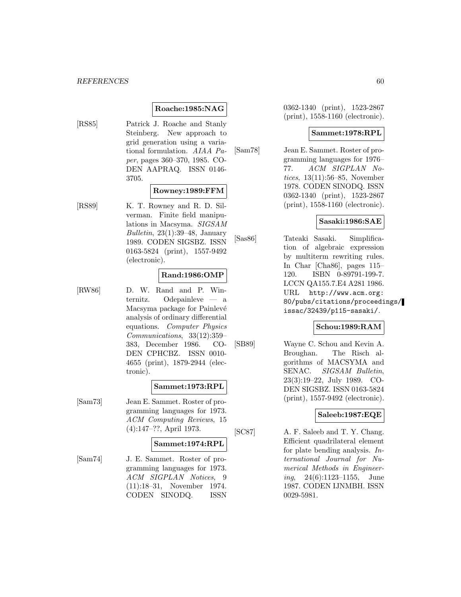### **Roache:1985:NAG**

[RS85] Patrick J. Roache and Stanly Steinberg. New approach to grid generation using a variational formulation. AIAA Paper, pages 360–370, 1985. CO-DEN AAPRAQ. ISSN 0146- 3705.

#### **Rowney:1989:FFM**

[RS89] K. T. Rowney and R. D. Silverman. Finite field manipulations in Macsyma. SIGSAM Bulletin,  $23(1):39-48$ , January 1989. CODEN SIGSBZ. ISSN 0163-5824 (print), 1557-9492 (electronic).

### **Rand:1986:OMP**

[RW86] D. W. Rand and P. Winternitz. Odepainleve — a Macsyma package for Painlevé analysis of ordinary differential equations. Computer Physics Communications, 33(12):359– 383, December 1986. CO-DEN CPHCBZ. ISSN 0010- 4655 (print), 1879-2944 (electronic).

#### **Sammet:1973:RPL**

[Sam73] Jean E. Sammet. Roster of programming languages for 1973. ACM Computing Reviews, 15 (4):147–??, April 1973.

#### **Sammet:1974:RPL**

[Sam74] J. E. Sammet. Roster of programming languages for 1973. ACM SIGPLAN Notices, 9 (11):18–31, November 1974. CODEN SINODQ. ISSN

0362-1340 (print), 1523-2867 (print), 1558-1160 (electronic).

### **Sammet:1978:RPL**

[Sam78] Jean E. Sammet. Roster of programming languages for 1976– 77. ACM SIGPLAN Notices, 13(11):56–85, November 1978. CODEN SINODQ. ISSN 0362-1340 (print), 1523-2867 (print), 1558-1160 (electronic).

#### **Sasaki:1986:SAE**

[Sas86] Tateaki Sasaki. Simplification of algebraic expression by multiterm rewriting rules. In Char [Cha86], pages 115– 120. ISBN 0-89791-199-7. LCCN QA155.7.E4 A281 1986. URL http://www.acm.org: 80/pubs/citations/proceedings/ issac/32439/p115-sasaki/.

# **Schou:1989:RAM**

[SB89] Wayne C. Schou and Kevin A. Broughan. The Risch algorithms of MACSYMA and SENAC. SIGSAM Bulletin, 23(3):19–22, July 1989. CO-DEN SIGSBZ. ISSN 0163-5824 (print), 1557-9492 (electronic).

# **Saleeb:1987:EQE**

[SC87] A. F. Saleeb and T. Y. Chang. Efficient quadrilateral element for plate bending analysis. International Journal for Numerical Methods in Engineering, 24(6):1123–1155, June 1987. CODEN IJNMBH. ISSN 0029-5981.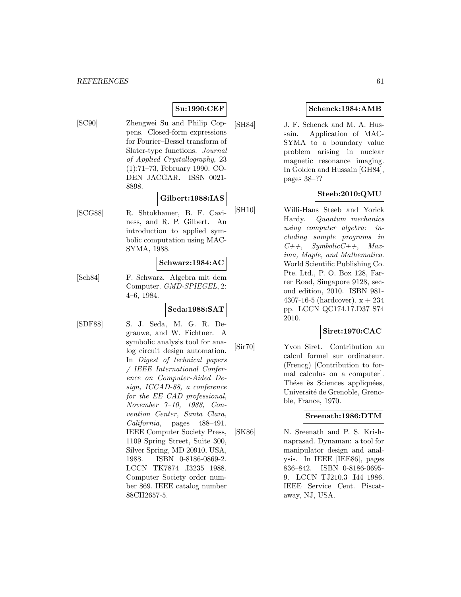# **Su:1990:CEF**

[SC90] Zhengwei Su and Philip Coppens. Closed-form expressions for Fourier–Bessel transform of Slater-type functions. Journal of Applied Crystallography, 23 (1):71–73, February 1990. CO-DEN JACGAR. ISSN 0021- 8898.

### **Gilbert:1988:IAS**

[SCG88] R. Shtokhamer, B. F. Caviness, and R. P. Gilbert. An introduction to applied symbolic computation using MAC-SYMA, 1988.

#### **Schwarz:1984:AC**

[Sch84] F. Schwarz. Algebra mit dem Computer. GMD-SPIEGEL, 2: 4–6, 1984.

# **Seda:1988:SAT**

[SDF88] S. J. Seda, M. G. R. Degrauwe, and W. Fichtner. A symbolic analysis tool for analog circuit design automation. In Digest of technical papers / IEEE International Conference on Computer-Aided Design, ICCAD-88, a conference for the EE CAD professional, November 7–10, 1988, Convention Center, Santa Clara, California, pages 488–491. IEEE Computer Society Press, 1109 Spring Street, Suite 300, Silver Spring, MD 20910, USA, 1988. ISBN 0-8186-0869-2. LCCN TK7874 .I3235 1988. Computer Society order number 869. IEEE catalog number 88CH2657-5.

### **Schenck:1984:AMB**

[SH84] J. F. Schenck and M. A. Hussain. Application of MAC-SYMA to a boundary value problem arising in nuclear magnetic resonance imaging. In Golden and Hussain [GH84], pages 38–??

# **Steeb:2010:QMU**

[SH10] Willi-Hans Steeb and Yorick Hardy. Quantum mechanics using computer algebra: including sample programs in  $C++$ , Symbolic $C++$ , Maxima, Maple, and Mathematica. World Scientific Publishing Co. Pte. Ltd., P. O. Box 128, Farrer Road, Singapore 9128, second edition, 2010. ISBN 981- 4307-16-5 (hardcover).  $x + 234$ pp. LCCN QC174.17.D37 S74 2010.

# **Siret:1970:CAC**

[Sir70] Yvon Siret. Contribution au calcul formel sur ordinateur. (Frencg) [Contribution to formal calculus on a computer]. Thése ès Sciences appliquées, Université de Grenoble, Grenoble, France, 1970.

### **Sreenath:1986:DTM**

[SK86] N. Sreenath and P. S. Krishnaprasad. Dynaman: a tool for manipulator design and analysis. In IEEE [IEE86], pages 836–842. ISBN 0-8186-0695- 9. LCCN TJ210.3 .I44 1986. IEEE Service Cent. Piscataway, NJ, USA.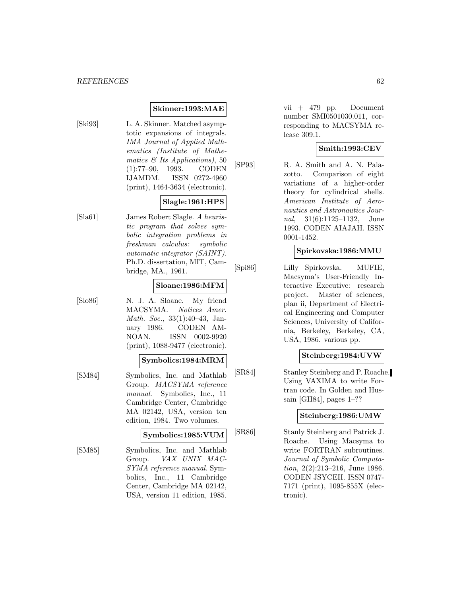# **Skinner:1993:MAE**

[Ski93] L. A. Skinner. Matched asymptotic expansions of integrals. IMA Journal of Applied Mathematics (Institute of Mathematics & Its Applications), 50 (1):77–90, 1993. CODEN IJAMDM. ISSN 0272-4960 (print), 1464-3634 (electronic).

# **Slagle:1961:HPS**

[Sla61] James Robert Slagle. A heuristic program that solves symbolic integration problems in freshman calculus: symbolic automatic integrator (SAINT). Ph.D. dissertation, MIT, Cambridge, MA., 1961.

### **Sloane:1986:MFM**

[Slo86] N. J. A. Sloane. My friend MACSYMA. Notices Amer. Math. Soc., 33(1):40–43, January 1986. CODEN AM-NOAN. ISSN 0002-9920 (print), 1088-9477 (electronic).

### **Symbolics:1984:MRM**

[SM84] Symbolics, Inc. and Mathlab Group. MACSYMA reference manual. Symbolics, Inc., 11 Cambridge Center, Cambridge MA 02142, USA, version ten edition, 1984. Two volumes.

# **Symbolics:1985:VUM**

[SM85] Symbolics, Inc. and Mathlab Group. VAX UNIX MAC-SYMA reference manual. Symbolics, Inc., 11 Cambridge Center, Cambridge MA 02142, USA, version 11 edition, 1985.

vii + 479 pp. Document number SMI0501030.011, corresponding to MACSYMA release 309.1.

# **Smith:1993:CEV**

[SP93] R. A. Smith and A. N. Palazotto. Comparison of eight variations of a higher-order theory for cylindrical shells. American Institute of Aeronautics and Astronautics Journal, 31(6):1125–1132, June 1993. CODEN AIAJAH. ISSN 0001-1452.

### **Spirkovska:1986:MMU**

[Spi86] Lilly Spirkovska. MUFIE, Macsyma's User-Friendly Interactive Executive: research project. Master of sciences, plan ii, Department of Electrical Engineering and Computer Sciences, University of California, Berkeley, Berkeley, CA, USA, 1986. various pp.

## **Steinberg:1984:UVW**

[SR84] Stanley Steinberg and P. Roache. Using VAXIMA to write Fortran code. In Golden and Hussain [GH84], pages 1–??

#### **Steinberg:1986:UMW**

[SR86] Stanly Steinberg and Patrick J. Roache. Using Macsyma to write FORTRAN subroutines. Journal of Symbolic Computation, 2(2):213–216, June 1986. CODEN JSYCEH. ISSN 0747- 7171 (print), 1095-855X (electronic).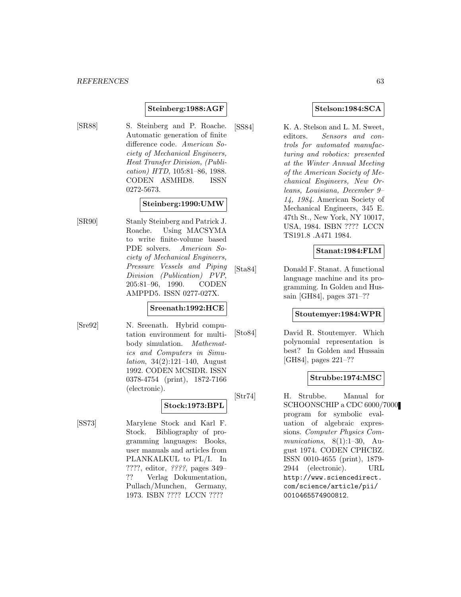### **Steinberg:1988:AGF**

[SR88] S. Steinberg and P. Roache. Automatic generation of finite difference code. American Society of Mechanical Engineers, Heat Transfer Division, (Publication) HTD, 105:81–86, 1988. CODEN ASMHD8. ISSN 0272-5673.

### **Steinberg:1990:UMW**

[SR90] Stanly Steinberg and Patrick J. Roache. Using MACSYMA to write finite-volume based PDE solvers. American Society of Mechanical Engineers, Pressure Vessels and Piping Division (Publication) PVP, 205:81–96, 1990. CODEN AMPPD5. ISSN 0277-027X.

### **Sreenath:1992:HCE**

**Stock:1973:BPL**

[Sre92] N. Sreenath. Hybrid computation environment for multibody simulation. Mathematics and Computers in Simulation, 34(2):121–140, August 1992. CODEN MCSIDR. ISSN 0378-4754 (print), 1872-7166 (electronic).

[SS73] Marylene Stock and Karl F. Stock. Bibliography of programming languages: Books, user manuals and articles from PLANKALKUL to PL/I. In ????, editor, ????, pages 349– ?? Verlag Dokumentation, Pullach/Munchen, Germany, 1973. ISBN ???? LCCN ????

# **Stelson:1984:SCA**

[SS84] K. A. Stelson and L. M. Sweet, editors. Sensors and controls for automated manufacturing and robotics: presented at the Winter Annual Meeting of the American Society of Mechanical Engineers, New Orleans, Louisiana, December 9– 14, 1984. American Society of Mechanical Engineers, 345 E. 47th St., New York, NY 10017, USA, 1984. ISBN ???? LCCN TS191.8 .A471 1984.

# **Stanat:1984:FLM**

[Sta84] Donald F. Stanat. A functional language machine and its programming. In Golden and Hussain [GH84], pages 371–??

### **Stoutemyer:1984:WPR**

[Sto84] David R. Stoutemyer. Which polynomial representation is best? In Golden and Hussain [GH84], pages 221–??

### **Strubbe:1974:MSC**

[Str74] H. Strubbe. Manual for SCHOONSCHIP a CDC 6000/7000 program for symbolic evaluation of algebraic expressions. Computer Physics Communications,  $8(1):1-30$ , August 1974. CODEN CPHCBZ. ISSN 0010-4655 (print), 1879- 2944 (electronic). URL http://www.sciencedirect. com/science/article/pii/ 0010465574900812.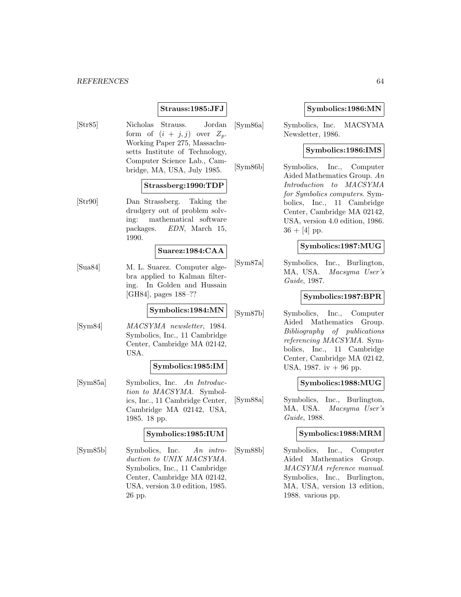#### *REFERENCES* 64

# **Strauss:1985:JFJ**

[Str85] Nicholas Strauss. Jordan form of  $(i + j, j)$  over  $Z_p$ . Working Paper 275, Massachusetts Institute of Technology, Computer Science Lab., Cambridge, MA, USA, July 1985.

### **Strassberg:1990:TDP**

[Str90] Dan Strassberg. Taking the drudgery out of problem solving: mathematical software packages. EDN, March 15, 1990.

#### **Suarez:1984:CAA**

[Sua84] M. L. Suarez. Computer algebra applied to Kalman filtering. In Golden and Hussain [GH84], pages 188–??

# **Symbolics:1984:MN**

[Sym84] MACSYMA newsletter, 1984. Symbolics, Inc., 11 Cambridge Center, Cambridge MA 02142, USA.

#### **Symbolics:1985:IM**

[Sym85a] Symbolics, Inc. An Introduction to MACSYMA. Symbolics, Inc., 11 Cambridge Center, Cambridge MA 02142, USA, 1985. 18 pp.

#### **Symbolics:1985:IUM**

[Sym85b] Symbolics, Inc. An introduction to UNIX MACSYMA. Symbolics, Inc., 11 Cambridge Center, Cambridge MA 02142, USA, version 3.0 edition, 1985. 26 pp.

### **Symbolics:1986:MN**

[Sym86a] Symbolics, Inc. MACSYMA Newsletter, 1986.

## **Symbolics:1986:IMS**

[Sym86b] Symbolics, Inc., Computer Aided Mathematics Group. An Introduction to MACSYMA for Symbolics computers. Symbolics, Inc., 11 Cambridge Center, Cambridge MA 02142, USA, version 4.0 edition, 1986.  $36 + [4]$  pp.

### **Symbolics:1987:MUG**

[Sym87a] Symbolics, Inc., Burlington, MA, USA. Macsyma User's Guide, 1987.

### **Symbolics:1987:BPR**

[Sym87b] Symbolics, Inc., Computer Aided Mathematics Group. Bibliography of publications referencing MACSYMA. Symbolics, Inc., 11 Cambridge Center, Cambridge MA 02142, USA, 1987. iv  $+96$  pp.

#### **Symbolics:1988:MUG**

[Sym88a] Symbolics, Inc., Burlington, MA, USA. Macsyma User's Guide, 1988.

#### **Symbolics:1988:MRM**

[Sym88b] Symbolics, Inc., Computer Aided Mathematics Group. MACSYMA reference manual. Symbolics, Inc., Burlington, MA, USA, version 13 edition, 1988. various pp.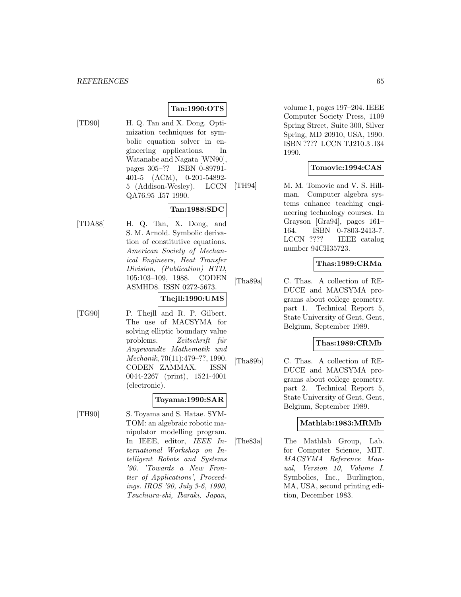# **Tan:1990:OTS**

- 
- [TD90] H. Q. Tan and X. Dong. Optimization techniques for symbolic equation solver in engineering applications. In Watanabe and Nagata [WN90], pages 305–?? ISBN 0-89791- 401-5 (ACM), 0-201-54892- 5 (Addison-Wesley). LCCN QA76.95 .I57 1990.

# **Tan:1988:SDC**

[TDA88] H. Q. Tan, X. Dong, and S. M. Arnold. Symbolic derivation of constitutive equations. American Society of Mechanical Engineers, Heat Transfer Division, (Publication) HTD, 105:103–109, 1988. CODEN ASMHD8. ISSN 0272-5673.

# **Thejll:1990:UMS**

[TG90] P. Thejll and R. P. Gilbert. The use of MACSYMA for solving elliptic boundary value problems. Zeitschrift für Angewandte Mathematik und Mechanik, 70(11):479–??, 1990. CODEN ZAMMAX. ISSN 0044-2267 (print), 1521-4001 (electronic).

### **Toyama:1990:SAR**

[TH90] S. Toyama and S. Hatae. SYM-TOM: an algebraic robotic manipulator modelling program. In IEEE, editor, IEEE International Workshop on Intelligent Robots and Systems '90. 'Towards a New Frontier of Applications', Proceedings. IROS '90, July 3-6, 1990, Tsuchiura-shi, Ibaraki, Japan,

volume 1, pages 197–204. IEEE Computer Society Press, 1109 Spring Street, Suite 300, Silver Spring, MD 20910, USA, 1990. ISBN ???? LCCN TJ210.3 .I34 1990.

# **Tomovic:1994:CAS**

[TH94] M. M. Tomovic and V. S. Hillman. Computer algebra systems enhance teaching engineering technology courses. In Grayson [Gra94], pages 161– 164. ISBN 0-7803-2413-7. LCCN ???? IEEE catalog number 94CH35723.

# **Thas:1989:CRMa**

[Tha89a] C. Thas. A collection of RE-DUCE and MACSYMA programs about college geometry. part 1. Technical Report 5, State University of Gent, Gent, Belgium, September 1989.

# **Thas:1989:CRMb**

[Tha89b] C. Thas. A collection of RE-DUCE and MACSYMA programs about college geometry. part 2. Technical Report 5, State University of Gent, Gent, Belgium, September 1989.

### **Mathlab:1983:MRMb**

[The83a] The Mathlab Group, Lab. for Computer Science, MIT. MACSYMA Reference Manual, Version 10, Volume I. Symbolics, Inc., Burlington, MA, USA, second printing edition, December 1983.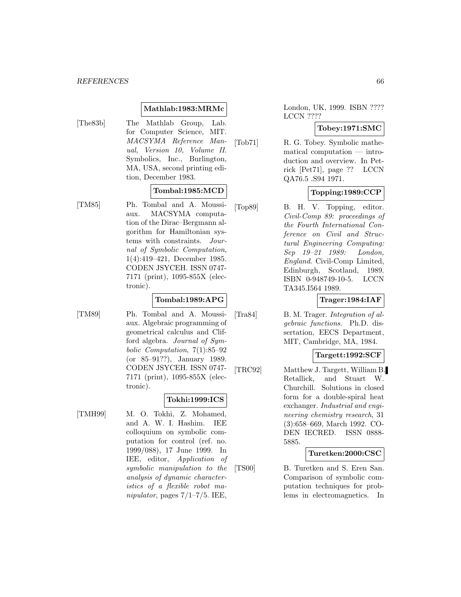### **Mathlab:1983:MRMc**

[The83b] The Mathlab Group, Lab. for Computer Science, MIT. MACSYMA Reference Manual, Version 10, Volume II. Symbolics, Inc., Burlington, MA, USA, second printing edition, December 1983.

#### **Tombal:1985:MCD**

[TM85] Ph. Tombal and A. Moussiaux. MACSYMA computation of the Dirac–Bergmann algorithm for Hamiltonian systems with constraints. Journal of Symbolic Computation, 1(4):419–421, December 1985. CODEN JSYCEH. ISSN 0747- 7171 (print), 1095-855X (electronic).

### **Tombal:1989:APG**

[TM89] Ph. Tombal and A. Moussiaux. Algebraic programming of geometrical calculus and Clifford algebra. Journal of Symbolic Computation, 7(1):85–92 (or 85–91??), January 1989. CODEN JSYCEH. ISSN 0747- 7171 (print), 1095-855X (electronic).

### **Tokhi:1999:ICS**

[TMH99] M. O. Tokhi, Z. Mohamed, and A. W. I. Hashim. IEE colloquium on symbolic computation for control (ref. no. 1999/088), 17 June 1999. In IEE, editor, Application of symbolic manipulation to the analysis of dynamic characteristics of a flexible robot manipulator, pages  $7/1-7/5$ . IEE,

London, UK, 1999. ISBN ???? LCCN ????

# **Tobey:1971:SMC**

[Tob71] R. G. Tobey. Symbolic mathematical computation — introduction and overview. In Petrick [Pet71], page ?? LCCN QA76.5 .S94 1971.

# **Topping:1989:CCP**

[Top89] B. H. V. Topping, editor. Civil-Comp 89: proceedings of the Fourth International Conference on Civil and Structural Engineering Computing: Sep 19–21 1989: London, England. Civil-Comp Limited, Edinburgh, Scotland, 1989. ISBN 0-948749-10-5. LCCN TA345.I564 1989.

# **Trager:1984:IAF**

[Tra84] B. M. Trager. Integration of algebraic functions. Ph.D. dissertation, EECS Department, MIT, Cambridge, MA, 1984.

### **Targett:1992:SCF**

[TRC92] Matthew J. Targett, William B. Retallick, and Stuart W. Churchill. Solutions in closed form for a double-spiral heat exchanger. Industrial and engineering chemistry research, 31 (3):658–669, March 1992. CO-DEN IECRED. ISSN 0888- 5885.

### **Turetken:2000:CSC**

[TS00] B. Turetken and S. Eren San. Comparison of symbolic computation techniques for problems in electromagnetics. In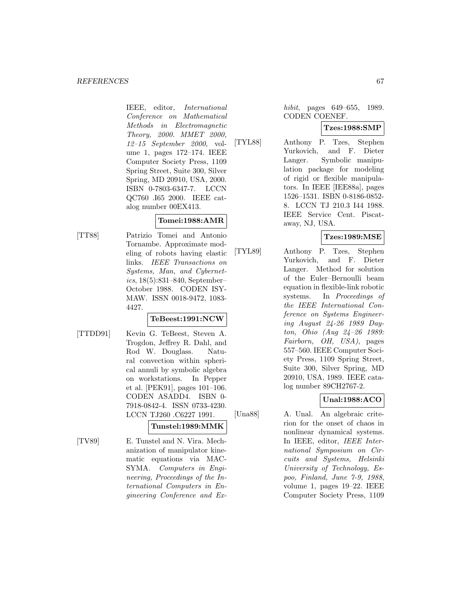#### *REFERENCES* 67

IEEE, editor, International Conference on Mathematical Methods in Electromagnetic Theory, 2000. MMET 2000, 12–15 September 2000, volume 1, pages 172–174. IEEE Computer Society Press, 1109 Spring Street, Suite 300, Silver Spring, MD 20910, USA, 2000. ISBN 0-7803-6347-7. LCCN QC760 .I65 2000. IEEE catalog number 00EX413.

# **Tomei:1988:AMR**

[TT88] Patrizio Tomei and Antonio Tornambe. Approximate modeling of robots having elastic links. IEEE Transactions on Systems, Man, and Cybernetics, 18(5):831–840, September– October 1988. CODEN ISY-MAW. ISSN 0018-9472, 1083- 4427.

# **TeBeest:1991:NCW**

- 
- [TTDD91] Kevin G. TeBeest, Steven A. Trogdon, Jeffrey R. Dahl, and Rod W. Douglass. Natural convection within spherical annuli by symbolic algebra on workstations. In Pepper et al. [PEK91], pages 101–106. CODEN ASADD4. ISBN 0- 7918-0842-4. ISSN 0733-4230. LCCN TJ260 .C6227 1991.

# **Tunstel:1989:MMK**

[TV89] E. Tunstel and N. Vira. Mechanization of manipulator kinematic equations via MAC-SYMA. Computers in Engineering, Proceedings of the International Computers in Engineering Conference and Exhibit, pages 649–655, 1989. CODEN COENEF.

# **Tzes:1988:SMP**

[TYL88] Anthony P. Tzes, Stephen Yurkovich, and F. Dieter Langer. Symbolic manipulation package for modeling of rigid or flexible manipulators. In IEEE [IEE88a], pages 1526–1531. ISBN 0-8186-0852- 8. LCCN TJ 210.3 I44 1988. IEEE Service Cent. Piscataway, NJ, USA.

# **Tzes:1989:MSE**

[TYL89] Anthony P. Tzes, Stephen Yurkovich, and F. Dieter Langer. Method for solution of the Euler–Bernoulli beam equation in flexible-link robotic systems. In *Proceedings of* the IEEE International Conference on Systems Engineering August 24-26 1989 Dayton, Ohio (Aug 24–26 1989: Fairborn, OH, USA), pages 557–560. IEEE Computer Society Press, 1109 Spring Street, Suite 300, Silver Spring, MD 20910, USA, 1989. IEEE catalog number 89CH2767-2.

# **Unal:1988:ACO**

[Una88] A. Unal. An algebraic criterion for the onset of chaos in nonlinear dynamical systems. In IEEE, editor, IEEE International Symposium on Circuits and Systems, Helsinki University of Technology, Espoo, Finland, June 7-9, 1988, volume 1, pages 19–22. IEEE Computer Society Press, 1109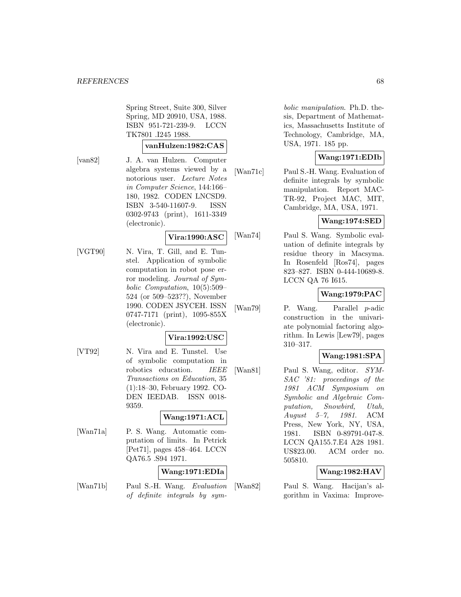Spring Street, Suite 300, Silver Spring, MD 20910, USA, 1988. ISBN 951-721-239-9. LCCN TK7801 .I245 1988.

#### **vanHulzen:1982:CAS**

[van82] J. A. van Hulzen. Computer algebra systems viewed by a notorious user. Lecture Notes in Computer Science, 144:166– 180, 1982. CODEN LNCSD9. ISBN 3-540-11607-9. ISSN 0302-9743 (print), 1611-3349 (electronic).

### **Vira:1990:ASC**

[VGT90] N. Vira, T. Gill, and E. Tunstel. Application of symbolic computation in robot pose error modeling. Journal of Symbolic Computation, 10(5):509– 524 (or 509–523??), November 1990. CODEN JSYCEH. ISSN 0747-7171 (print), 1095-855X (electronic).

# **Vira:1992:USC**

[VT92] N. Vira and E. Tunstel. Use of symbolic computation in robotics education. IEEE Transactions on Education, 35 (1):18–30, February 1992. CO-DEN IEEDAB. ISSN 0018- 9359.

# **Wang:1971:ACL**

[Wan71a] P. S. Wang. Automatic computation of limits. In Petrick [Pet71], pages 458–464. LCCN QA76.5 .S94 1971.

# **Wang:1971:EDIa**

[Wan71b] Paul S.-H. Wang. Evaluation of definite integrals by sym-

bolic manipulation. Ph.D. thesis, Department of Mathematics, Massachusetts Institute of Technology, Cambridge, MA, USA, 1971. 185 pp.

# **Wang:1971:EDIb**

[Wan71c] Paul S.-H. Wang. Evaluation of definite integrals by symbolic manipulation. Report MAC-TR-92, Project MAC, MIT, Cambridge, MA, USA, 1971.

# **Wang:1974:SED**

[Wan74] Paul S. Wang. Symbolic evaluation of definite integrals by residue theory in Macsyma. In Rosenfeld [Ros74], pages 823–827. ISBN 0-444-10689-8. LCCN QA 76 I615.

# **Wang:1979:PAC**

[Wan79] P. Wang. Parallel p-adic construction in the univariate polynomial factoring algorithm. In Lewis [Lew79], pages 310–317.

### **Wang:1981:SPA**

[Wan81] Paul S. Wang, editor. SYM-SAC '81: proceedings of the 1981 ACM Symposium on Symbolic and Algebraic Computation, Snowbird, Utah, August 5–7, 1981. ACM Press, New York, NY, USA, 1981. ISBN 0-89791-047-8. LCCN QA155.7.E4 A28 1981. US\$23.00. ACM order no. 505810.

# **Wang:1982:HAV**

[Wan82] Paul S. Wang. Hacijan's algorithm in Vaxima: Improve-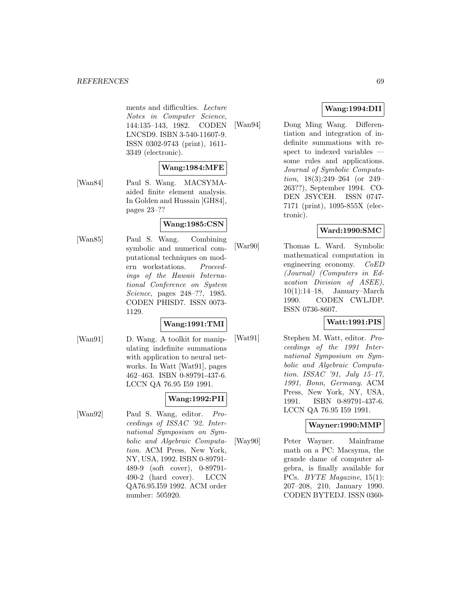#### *REFERENCES* 69

ments and difficulties. Lecture Notes in Computer Science, 144:135–143, 1982. CODEN LNCSD9. ISBN 3-540-11607-9. ISSN 0302-9743 (print), 1611- 3349 (electronic).

# **Wang:1984:MFE**

[Wan84] Paul S. Wang. MACSYMAaided finite element analysis. In Golden and Hussain [GH84], pages 23–??

# **Wang:1985:CSN**

[Wan85] Paul S. Wang. Combining symbolic and numerical computational techniques on modern workstations. Proceedings of the Hawaii International Conference on System Science, pages 248–??, 1985. CODEN PHISD7. ISSN 0073- 1129.

#### **Wang:1991:TMI**

[Wan91] D. Wang. A toolkit for manipulating indefinite summations with application to neural networks. In Watt [Wat91], pages 462–463. ISBN 0-89791-437-6. LCCN QA 76.95 I59 1991.

# **Wang:1992:PII**

[Wan92] Paul S. Wang, editor. Proceedings of ISSAC '92. International Symposium on Symbolic and Algebraic Computation. ACM Press, New York, NY, USA, 1992. ISBN 0-89791- 489-9 (soft cover), 0-89791- 490-2 (hard cover). LCCN QA76.95.I59 1992. ACM order number: 505920.

# **Wang:1994:DII**

[Wan94] Dong Ming Wang. Differentiation and integration of indefinite summations with respect to indexed variables some rules and applications. Journal of Symbolic Computation, 18(3):249–264 (or 249– 263??), September 1994. CO-DEN JSYCEH. ISSN 0747- 7171 (print), 1095-855X (electronic).

# **Ward:1990:SMC**

[War90] Thomas L. Ward. Symbolic mathematical computation in engineering economy. CoED (Journal) (Computers in Education Division of ASEE), 10(1):14–18, January–March 1990. CODEN CWLJDP. ISSN 0736-8607.

### **Watt:1991:PIS**

[Wat91] Stephen M. Watt, editor. Proceedings of the 1991 International Symposium on Symbolic and Algebraic Computation. ISSAC '91, July 15–17, 1991, Bonn, Germany. ACM Press, New York, NY, USA, 1991. ISBN 0-89791-437-6. LCCN QA 76.95 I59 1991.

### **Wayner:1990:MMP**

[Way90] Peter Wayner. Mainframe math on a PC: Macsyma, the grande dame of computer algebra, is finally available for PCs. BYTE Magazine, 15(1): 207–208, 210, January 1990. CODEN BYTEDJ. ISSN 0360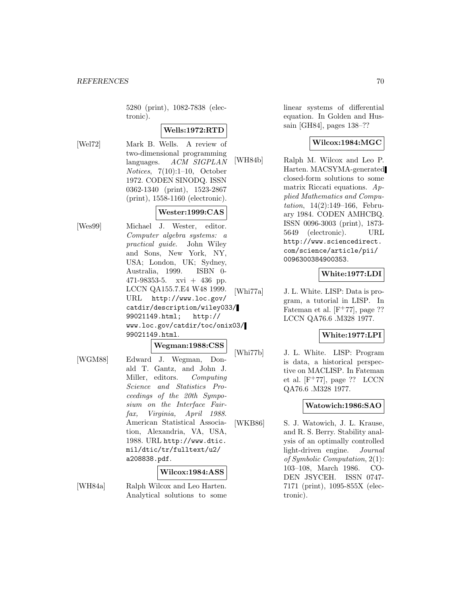5280 (print), 1082-7838 (electronic).

# **Wells:1972:RTD**

[Wel72] Mark B. Wells. A review of two-dimensional programming languages. ACM SIGPLAN Notices, 7(10):1–10, October 1972. CODEN SINODQ. ISSN 0362-1340 (print), 1523-2867 (print), 1558-1160 (electronic).

# **Wester:1999:CAS**

[Wes99] Michael J. Wester, editor. Computer algebra systems: a practical guide. John Wiley and Sons, New York, NY, USA; London, UK; Sydney, Australia, 1999. ISBN 0- 471-98353-5. xvi + 436 pp. LCCN QA155.7.E4 W48 1999. URL http://www.loc.gov/ catdir/description/wiley033/ 99021149.html; http:// www.loc.gov/catdir/toc/onix03/ 99021149.html.

#### **Wegman:1988:CSS**

[WGM88] Edward J. Wegman, Donald T. Gantz, and John J. Miller, editors. Computing Science and Statistics Proceedings of the 20th Symposium on the Interface Fairfax, Virginia, April 1988. American Statistical Association, Alexandria, VA, USA, 1988. URL http://www.dtic. mil/dtic/tr/fulltext/u2/ a208838.pdf.

# **Wilcox:1984:ASS**

[WH84a] Ralph Wilcox and Leo Harten. Analytical solutions to some

linear systems of differential equation. In Golden and Hussain [GH84], pages 138–??

# **Wilcox:1984:MGC**

[WH84b] Ralph M. Wilcox and Leo P. Harten. MACSYMA-generated closed-form solutions to some matrix Riccati equations. Applied Mathematics and Computation, 14(2):149–166, February 1984. CODEN AMHCBQ. ISSN 0096-3003 (print), 1873- 5649 (electronic). URL http://www.sciencedirect. com/science/article/pii/ 0096300384900353.

# **White:1977:LDI**

[Whi77a] J. L. White. LISP: Data is program, a tutorial in LISP. In Fateman et al.  $[F^+77]$ , page ?? LCCN QA76.6 .M328 1977.

# **White:1977:LPI**

[Whi77b] J. L. White. LISP: Program is data, a historical perspective on MACLISP. In Fateman et al.  $[F^+77]$ , page ?? LCCN QA76.6 .M328 1977.

### **Watowich:1986:SAO**

[WKB86] S. J. Watowich, J. L. Krause, and R. S. Berry. Stability analysis of an optimally controlled light-driven engine. Journal of Symbolic Computation, 2(1): 103–108, March 1986. CO-DEN JSYCEH. ISSN 0747- 7171 (print), 1095-855X (electronic).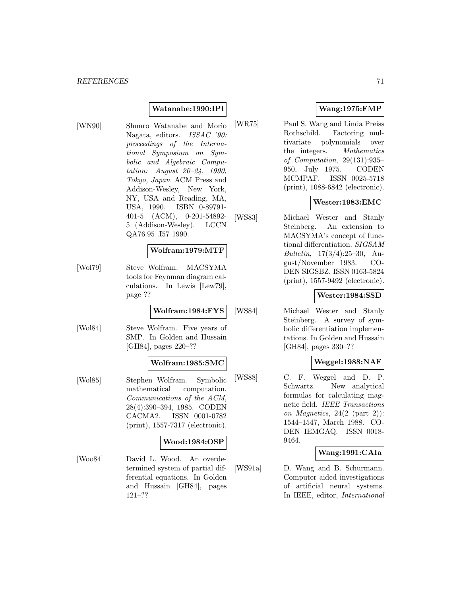# **Watanabe:1990:IPI**

[WN90] Shunro Watanabe and Morio Nagata, editors. ISSAC '90: proceedings of the International Symposium on Symbolic and Algebraic Computation: August 20–24, 1990, Tokyo, Japan. ACM Press and Addison-Wesley, New York, NY, USA and Reading, MA, USA, 1990. ISBN 0-89791- 401-5 (ACM), 0-201-54892- 5 (Addison-Wesley). LCCN QA76.95 .I57 1990.

#### **Wolfram:1979:MTF**

[Wol79] Steve Wolfram. MACSYMA tools for Feynman diagram calculations. In Lewis [Lew79], page ??

# **Wolfram:1984:FYS**

[Wol84] Steve Wolfram. Five years of SMP. In Golden and Hussain [GH84], pages 220–??

### **Wolfram:1985:SMC**

[Wol85] Stephen Wolfram. Symbolic mathematical computation. Communications of the ACM, 28(4):390–394, 1985. CODEN CACMA2. ISSN 0001-0782 (print), 1557-7317 (electronic).

### **Wood:1984:OSP**

[Woo84] David L. Wood. An overdetermined system of partial differential equations. In Golden and Hussain [GH84], pages 121–??

### **Wang:1975:FMP**

[WR75] Paul S. Wang and Linda Preiss Rothschild. Factoring multivariate polynomials over the integers. Mathematics of Computation, 29(131):935– 950, July 1975. CODEN MCMPAF. ISSN 0025-5718 (print), 1088-6842 (electronic).

# **Wester:1983:EMC**

[WS83] Michael Wester and Stanly Steinberg. An extension to MACSYMA's concept of functional differentiation. SIGSAM Bulletin, 17(3/4):25–30, August/November 1983. CO-DEN SIGSBZ. ISSN 0163-5824 (print), 1557-9492 (electronic).

### **Wester:1984:SSD**

[WS84] Michael Wester and Stanly Steinberg. A survey of symbolic differentiation implementations. In Golden and Hussain [GH84], pages 330–??

# **Weggel:1988:NAF**

[WS88] C. F. Weggel and D. P. Schwartz. New analytical formulas for calculating magnetic field. IEEE Transactions on Magnetics,  $24(2 \text{ (part 2)})$ : 1544–1547, March 1988. CO-DEN IEMGAQ. ISSN 0018- 9464.

### **Wang:1991:CAIa**

[WS91a] D. Wang and B. Schurmann. Computer aided investigations of artificial neural systems. In IEEE, editor, International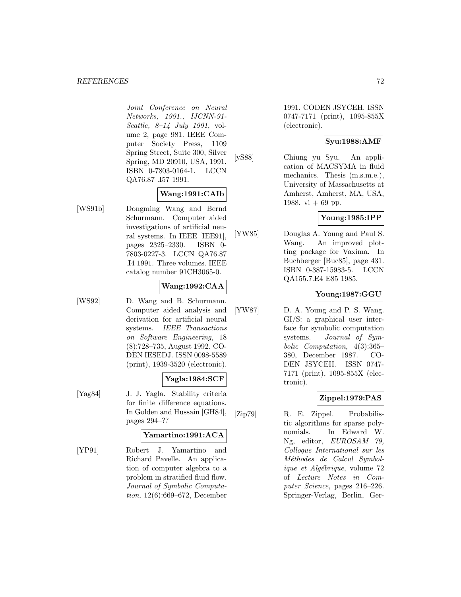#### *REFERENCES* 72

Joint Conference on Neural Networks, 1991., IJCNN-91- Seattle, 8–14 July 1991, volume 2, page 981. IEEE Computer Society Press, 1109 Spring Street, Suite 300, Silver Spring, MD 20910, USA, 1991. ISBN 0-7803-0164-1. LCCN QA76.87 .I57 1991.

# **Wang:1991:CAIb**

[WS91b] Dongming Wang and Bernd Schurmann. Computer aided investigations of artificial neural systems. In IEEE [IEE91], pages 2325–2330. ISBN 0- 7803-0227-3. LCCN QA76.87 .I4 1991. Three volumes. IEEE catalog number 91CH3065-0.

# **Wang:1992:CAA**

[WS92] D. Wang and B. Schurmann. Computer aided analysis and derivation for artificial neural systems. IEEE Transactions on Software Engineering, 18 (8):728–735, August 1992. CO-DEN IESEDJ. ISSN 0098-5589 (print), 1939-3520 (electronic).

### **Yagla:1984:SCF**

[Yag84] J. J. Yagla. Stability criteria for finite difference equations. In Golden and Hussain [GH84], pages 294–??

### **Yamartino:1991:ACA**

[YP91] Robert J. Yamartino and Richard Pavelle. An application of computer algebra to a problem in stratified fluid flow. Journal of Symbolic Computation, 12(6):669–672, December

1991. CODEN JSYCEH. ISSN 0747-7171 (print), 1095-855X (electronic).

# **Syu:1988:AMF**

[yS88] Chiung yu Syu. An application of MACSYMA in fluid mechanics. Thesis (m.s.m.e.), University of Massachusetts at Amherst, Amherst, MA, USA, 1988. vi  $+ 69$  pp.

# **Young:1985:IPP**

[YW85] Douglas A. Young and Paul S. Wang. An improved plotting package for Vaxima. In Buchberger [Buc85], page 431. ISBN 0-387-15983-5. LCCN QA155.7.E4 E85 1985.

# **Young:1987:GGU**

[YW87] D. A. Young and P. S. Wang. GI/S: a graphical user interface for symbolic computation systems. Journal of Symbolic Computation, 4(3):365– 380, December 1987. CO-DEN JSYCEH. ISSN 0747- 7171 (print), 1095-855X (electronic).

# **Zippel:1979:PAS**

[Zip79] R. E. Zippel. Probabilistic algorithms for sparse polynomials. In Edward W. Ng, editor, EUROSAM 79, Colloque International sur les Méthodes de Calcul Symbolique et Algébrique, volume 72 of Lecture Notes in Computer Science, pages 216–226. Springer-Verlag, Berlin, Ger-